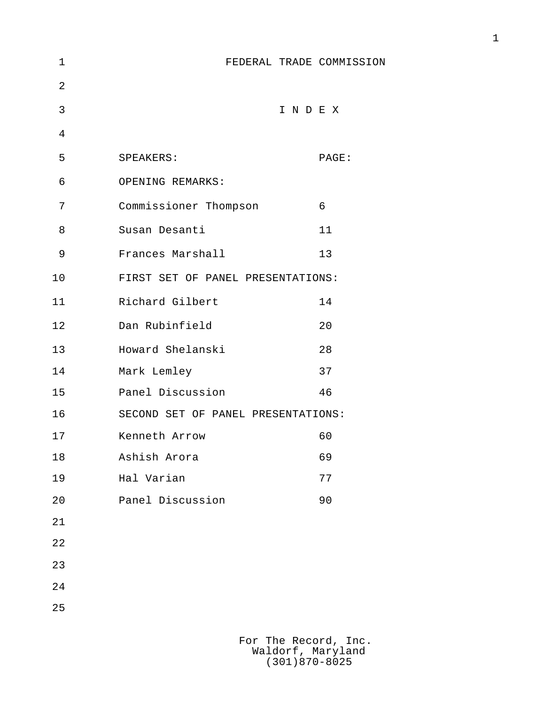| 1              | FEDERAL TRADE COMMISSION           |       |
|----------------|------------------------------------|-------|
| $\overline{2}$ |                                    |       |
| 3              |                                    | INDEX |
| 4              |                                    |       |
| 5              | SPEAKERS:                          | PAGE: |
| 6              | OPENING REMARKS:                   |       |
| 7              | Commissioner Thompson              | 6     |
| 8              | Susan Desanti                      | 11    |
| 9              | Frances Marshall                   | 13    |
| 10             | FIRST SET OF PANEL PRESENTATIONS:  |       |
| 11             | Richard Gilbert                    | 14    |
| 12             | Dan Rubinfield                     | 20    |
| 13             | Howard Shelanski                   | 28    |
| 14             | Mark Lemley                        | 37    |
| 15             | Panel Discussion                   | 46    |
| 16             | SECOND SET OF PANEL PRESENTATIONS: |       |
| 17             | Kenneth Arrow                      | 60    |
| 18             | Ashish Arora                       | 69    |
| 19             | Hal Varian                         | 77    |
| 20             | Panel Discussion                   | 90    |
| 21             |                                    |       |
| 22             |                                    |       |
| 23             |                                    |       |
| 24             |                                    |       |
| 25             |                                    |       |
|                |                                    |       |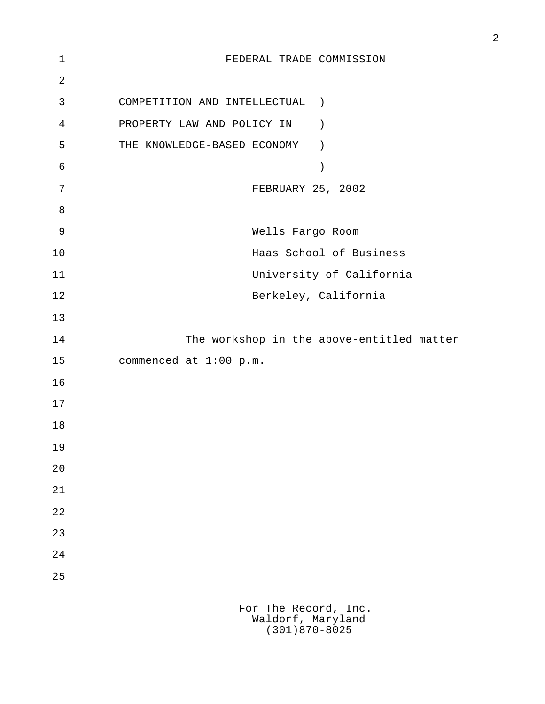| $\mathbf 1$ | FEDERAL TRADE COMMISSION                        |
|-------------|-------------------------------------------------|
| 2           |                                                 |
| 3           | COMPETITION AND INTELLECTUAL<br>$\rightarrow$   |
| 4           | PROPERTY LAW AND POLICY IN<br>$\left( \right)$  |
| 5           | THE KNOWLEDGE-BASED ECONOMY<br>$\left( \right)$ |
| 6           | $\mathcal{C}$                                   |
| 7           | FEBRUARY 25, 2002                               |
| 8           |                                                 |
| 9           | Wells Fargo Room                                |
| 10          | Haas School of Business                         |
| 11          | University of California                        |
| 12          | Berkeley, California                            |
| 13          |                                                 |
| 14          | The workshop in the above-entitled matter       |
| 15          | commenced at 1:00 p.m.                          |
| 16          |                                                 |
| 17          |                                                 |
| 18          |                                                 |
| 19          |                                                 |
| 20          |                                                 |
| 21          |                                                 |
| 22          |                                                 |
| 23          |                                                 |
| 24          |                                                 |
| 25          |                                                 |
|             | For The Record, Inc.                            |
|             | Waldorf, Maryland                               |

2

(301)870-8025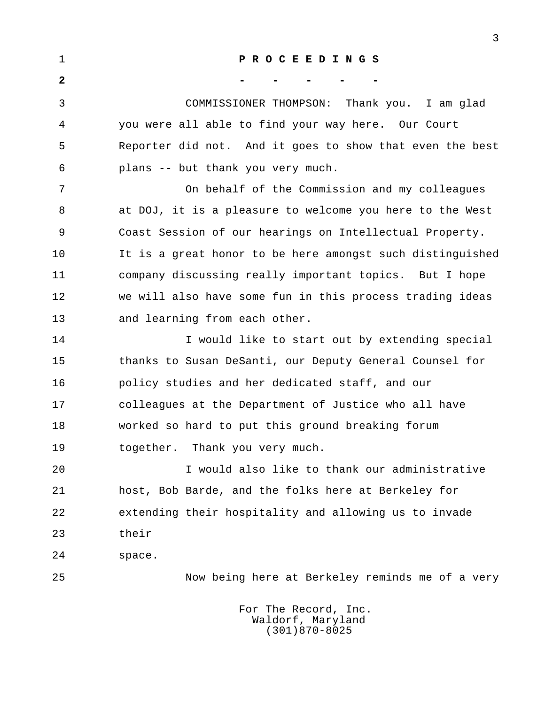| $\mathbf 1$  | PROCEEDINGS                                               |
|--------------|-----------------------------------------------------------|
| $\mathbf{2}$ |                                                           |
| 3            | COMMISSIONER THOMPSON: Thank you. I am glad               |
| 4            | you were all able to find your way here. Our Court        |
| 5            | Reporter did not. And it goes to show that even the best  |
| 6            | plans -- but thank you very much.                         |
| 7            | On behalf of the Commission and my colleagues             |
| 8            | at DOJ, it is a pleasure to welcome you here to the West  |
| 9            | Coast Session of our hearings on Intellectual Property.   |
| 10           | It is a great honor to be here amongst such distinguished |
| 11           | company discussing really important topics. But I hope    |
| 12           | we will also have some fun in this process trading ideas  |
| 13           | and learning from each other.                             |
| 14           | I would like to start out by extending special            |
| 15           | thanks to Susan DeSanti, our Deputy General Counsel for   |
| 16           | policy studies and her dedicated staff, and our           |
| 17           | colleagues at the Department of Justice who all have      |
| 18           | worked so hard to put this ground breaking forum          |
| 19           | together. Thank you very much.                            |
| 20           | I would also like to thank our administrative             |
| 21           | host, Bob Barde, and the folks here at Berkeley for       |
| 22           | extending their hospitality and allowing us to invade     |
| 23           | their                                                     |
| 24           | space.                                                    |
| 25           | Now being here at Berkeley reminds me of a very           |
|              | For The Record, Inc.                                      |

3

 Waldorf, Maryland (301)870-8025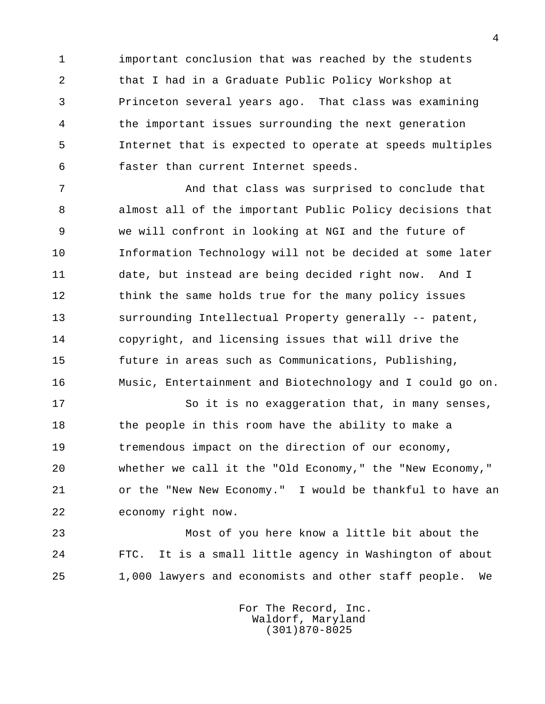1 important conclusion that was reached by the students 2 that I had in a Graduate Public Policy Workshop at 3 Princeton several years ago. That class was examining 4 the important issues surrounding the next generation 5 Internet that is expected to operate at speeds multiples 6 faster than current Internet speeds.

7 And that class was surprised to conclude that 8 almost all of the important Public Policy decisions that 9 we will confront in looking at NGI and the future of 10 Information Technology will not be decided at some later 11 date, but instead are being decided right now. And I 12 think the same holds true for the many policy issues 13 surrounding Intellectual Property generally -- patent, 14 copyright, and licensing issues that will drive the 15 future in areas such as Communications, Publishing, 16 Music, Entertainment and Biotechnology and I could go on.

17 So it is no exaggeration that, in many senses, 18 the people in this room have the ability to make a 19 tremendous impact on the direction of our economy, 20 whether we call it the "Old Economy," the "New Economy," 21 or the "New New Economy." I would be thankful to have an 22 economy right now.

 23 Most of you here know a little bit about the 24 FTC. It is a small little agency in Washington of about 25 1,000 lawyers and economists and other staff people. We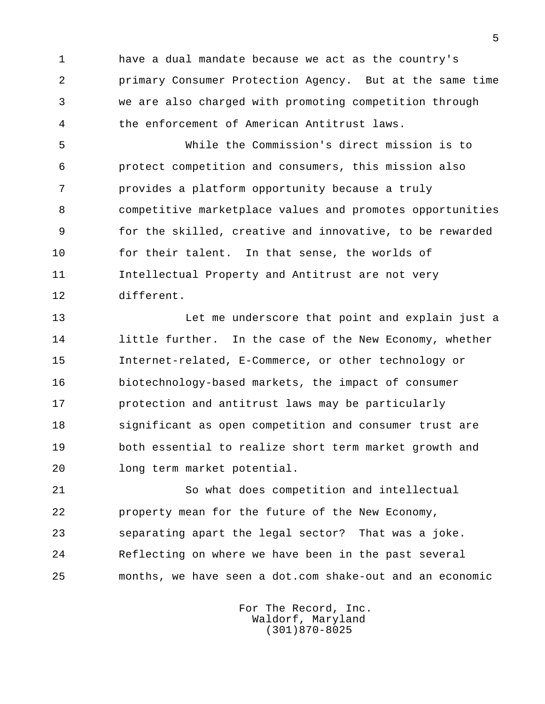1 have a dual mandate because we act as the country's 2 primary Consumer Protection Agency. But at the same time 3 we are also charged with promoting competition through 4 the enforcement of American Antitrust laws.

 5 While the Commission's direct mission is to 6 protect competition and consumers, this mission also 7 provides a platform opportunity because a truly 8 competitive marketplace values and promotes opportunities 9 for the skilled, creative and innovative, to be rewarded 10 for their talent. In that sense, the worlds of 11 Intellectual Property and Antitrust are not very 12 different.

 13 Let me underscore that point and explain just a 14 little further. In the case of the New Economy, whether 15 Internet-related, E-Commerce, or other technology or 16 biotechnology-based markets, the impact of consumer 17 protection and antitrust laws may be particularly 18 significant as open competition and consumer trust are 19 both essential to realize short term market growth and 20 long term market potential.

 21 So what does competition and intellectual 22 property mean for the future of the New Economy, 23 separating apart the legal sector? That was a joke. 24 Reflecting on where we have been in the past several 25 months, we have seen a dot.com shake-out and an economic

> For The Record, Inc. Waldorf, Maryland (301)870-8025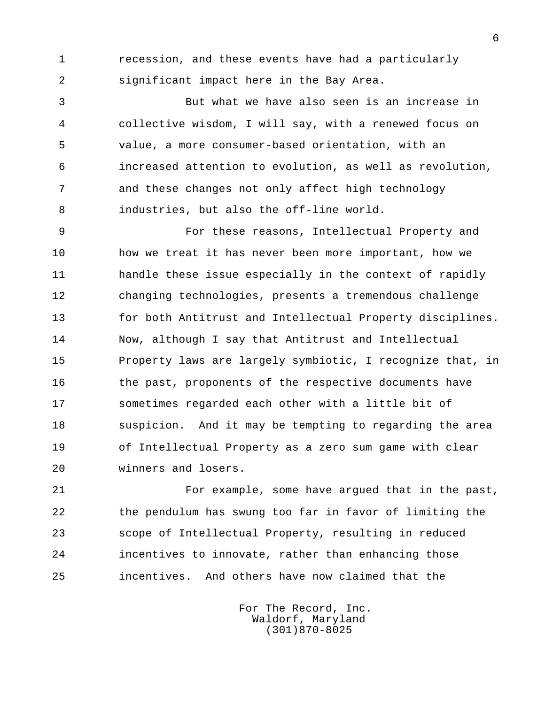1 recession, and these events have had a particularly 2 significant impact here in the Bay Area.

 3 But what we have also seen is an increase in 4 collective wisdom, I will say, with a renewed focus on 5 value, a more consumer-based orientation, with an 6 increased attention to evolution, as well as revolution, 7 and these changes not only affect high technology 8 industries, but also the off-line world.

 9 For these reasons, Intellectual Property and 10 how we treat it has never been more important, how we 11 handle these issue especially in the context of rapidly 12 changing technologies, presents a tremendous challenge 13 for both Antitrust and Intellectual Property disciplines. 14 Now, although I say that Antitrust and Intellectual 15 Property laws are largely symbiotic, I recognize that, in 16 the past, proponents of the respective documents have 17 sometimes regarded each other with a little bit of 18 suspicion. And it may be tempting to regarding the area 19 of Intellectual Property as a zero sum game with clear 20 winners and losers.

 21 For example, some have argued that in the past, 22 the pendulum has swung too far in favor of limiting the 23 scope of Intellectual Property, resulting in reduced 24 incentives to innovate, rather than enhancing those 25 incentives. And others have now claimed that the

> For The Record, Inc. Waldorf, Maryland (301)870-8025

 $\overline{6}$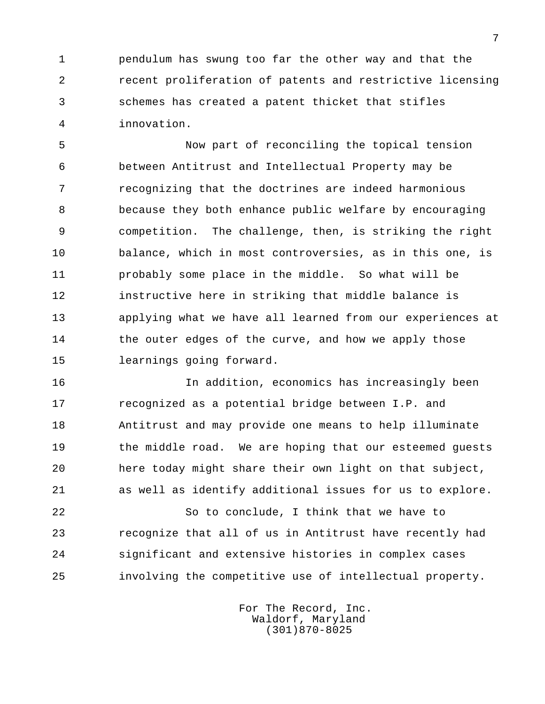1 pendulum has swung too far the other way and that the 2 recent proliferation of patents and restrictive licensing 3 schemes has created a patent thicket that stifles 4 innovation.

 5 Now part of reconciling the topical tension 6 between Antitrust and Intellectual Property may be 7 recognizing that the doctrines are indeed harmonious 8 because they both enhance public welfare by encouraging 9 competition. The challenge, then, is striking the right 10 balance, which in most controversies, as in this one, is 11 probably some place in the middle. So what will be 12 instructive here in striking that middle balance is 13 applying what we have all learned from our experiences at 14 the outer edges of the curve, and how we apply those 15 learnings going forward.

 16 In addition, economics has increasingly been 17 recognized as a potential bridge between I.P. and 18 Antitrust and may provide one means to help illuminate 19 the middle road. We are hoping that our esteemed guests 20 here today might share their own light on that subject, 21 as well as identify additional issues for us to explore.

 22 So to conclude, I think that we have to 23 recognize that all of us in Antitrust have recently had 24 significant and extensive histories in complex cases 25 involving the competitive use of intellectual property.

> For The Record, Inc. Waldorf, Maryland (301)870-8025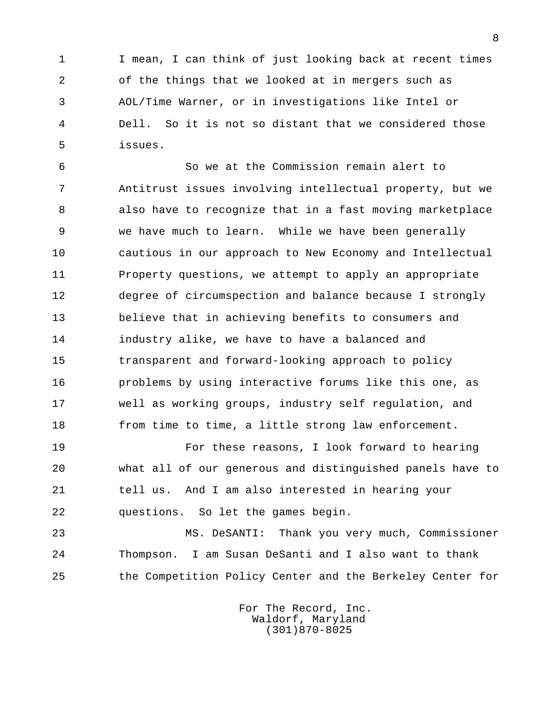1 I mean, I can think of just looking back at recent times 2 of the things that we looked at in mergers such as 3 AOL/Time Warner, or in investigations like Intel or 4 Dell. So it is not so distant that we considered those 5 issues.

 6 So we at the Commission remain alert to 7 Antitrust issues involving intellectual property, but we 8 also have to recognize that in a fast moving marketplace 9 we have much to learn. While we have been generally 10 cautious in our approach to New Economy and Intellectual 11 Property questions, we attempt to apply an appropriate 12 degree of circumspection and balance because I strongly 13 believe that in achieving benefits to consumers and 14 industry alike, we have to have a balanced and 15 transparent and forward-looking approach to policy 16 problems by using interactive forums like this one, as 17 well as working groups, industry self regulation, and 18 from time to time, a little strong law enforcement.

 19 For these reasons, I look forward to hearing 20 what all of our generous and distinguished panels have to 21 tell us. And I am also interested in hearing your 22 questions. So let the games begin.

 23 MS. DeSANTI: Thank you very much, Commissioner 24 Thompson. I am Susan DeSanti and I also want to thank 25 the Competition Policy Center and the Berkeley Center for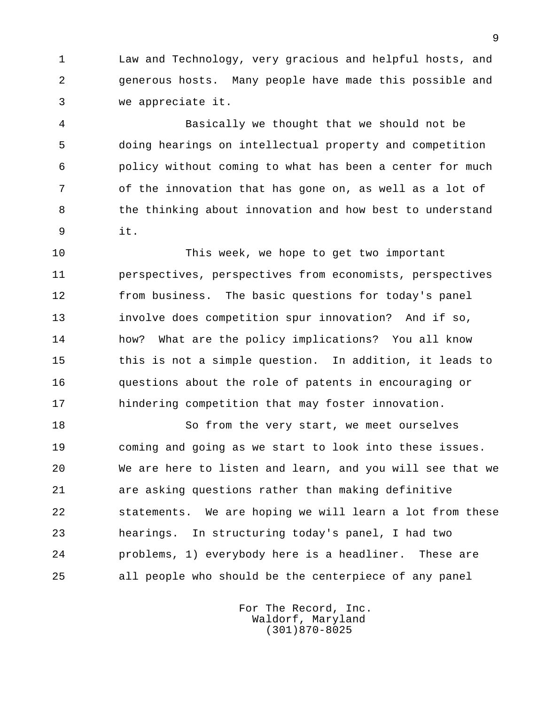1 Law and Technology, very gracious and helpful hosts, and 2 generous hosts. Many people have made this possible and 3 we appreciate it.

 4 Basically we thought that we should not be 5 doing hearings on intellectual property and competition 6 policy without coming to what has been a center for much 7 of the innovation that has gone on, as well as a lot of 8 the thinking about innovation and how best to understand 9 it.

 10 This week, we hope to get two important 11 perspectives, perspectives from economists, perspectives 12 from business. The basic questions for today's panel 13 involve does competition spur innovation? And if so, 14 how? What are the policy implications? You all know 15 this is not a simple question. In addition, it leads to 16 questions about the role of patents in encouraging or 17 hindering competition that may foster innovation.

 18 So from the very start, we meet ourselves 19 coming and going as we start to look into these issues. 20 We are here to listen and learn, and you will see that we 21 are asking questions rather than making definitive 22 statements. We are hoping we will learn a lot from these 23 hearings. In structuring today's panel, I had two 24 problems, 1) everybody here is a headliner. These are 25 all people who should be the centerpiece of any panel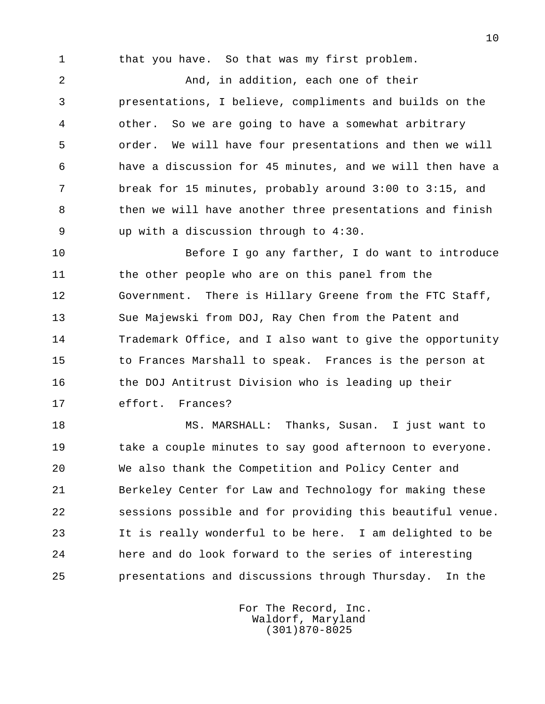1 that you have. So that was my first problem.

 2 And, in addition, each one of their 3 presentations, I believe, compliments and builds on the 4 other. So we are going to have a somewhat arbitrary 5 order. We will have four presentations and then we will 6 have a discussion for 45 minutes, and we will then have a 7 break for 15 minutes, probably around 3:00 to 3:15, and 8 then we will have another three presentations and finish 9 up with a discussion through to 4:30.

 10 Before I go any farther, I do want to introduce 11 the other people who are on this panel from the 12 Government. There is Hillary Greene from the FTC Staff, 13 Sue Majewski from DOJ, Ray Chen from the Patent and 14 Trademark Office, and I also want to give the opportunity 15 to Frances Marshall to speak. Frances is the person at 16 the DOJ Antitrust Division who is leading up their 17 effort. Frances?

 18 MS. MARSHALL: Thanks, Susan. I just want to 19 take a couple minutes to say good afternoon to everyone. 20 We also thank the Competition and Policy Center and 21 Berkeley Center for Law and Technology for making these 22 sessions possible and for providing this beautiful venue. 23 It is really wonderful to be here. I am delighted to be 24 here and do look forward to the series of interesting 25 presentations and discussions through Thursday. In the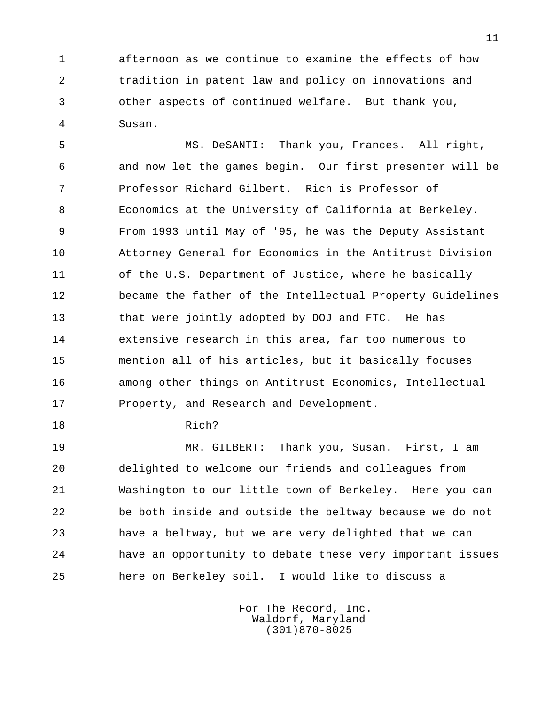1 afternoon as we continue to examine the effects of how 2 tradition in patent law and policy on innovations and 3 other aspects of continued welfare. But thank you, 4 Susan.

 5 MS. DeSANTI: Thank you, Frances. All right, 6 and now let the games begin. Our first presenter will be 7 Professor Richard Gilbert. Rich is Professor of 8 Economics at the University of California at Berkeley. 9 From 1993 until May of '95, he was the Deputy Assistant 10 Attorney General for Economics in the Antitrust Division 11 of the U.S. Department of Justice, where he basically 12 became the father of the Intellectual Property Guidelines 13 that were jointly adopted by DOJ and FTC. He has 14 extensive research in this area, far too numerous to 15 mention all of his articles, but it basically focuses 16 among other things on Antitrust Economics, Intellectual 17 Property, and Research and Development.

18 Rich?

 19 MR. GILBERT: Thank you, Susan. First, I am 20 delighted to welcome our friends and colleagues from 21 Washington to our little town of Berkeley. Here you can 22 be both inside and outside the beltway because we do not 23 have a beltway, but we are very delighted that we can 24 have an opportunity to debate these very important issues 25 here on Berkeley soil. I would like to discuss a

> For The Record, Inc. Waldorf, Maryland (301)870-8025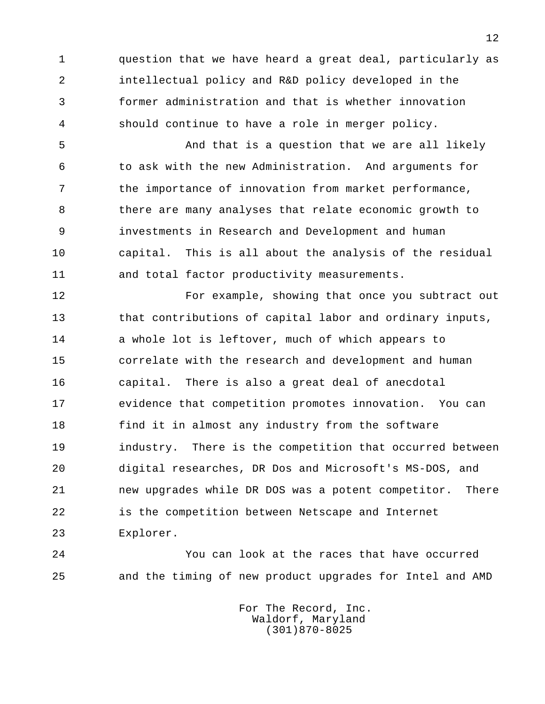1 question that we have heard a great deal, particularly as 2 intellectual policy and R&D policy developed in the 3 former administration and that is whether innovation 4 should continue to have a role in merger policy.

5 **19 And that is a question that we are all likely**  6 to ask with the new Administration. And arguments for 7 the importance of innovation from market performance, 8 there are many analyses that relate economic growth to 9 investments in Research and Development and human 10 capital. This is all about the analysis of the residual 11 and total factor productivity measurements.

 12 For example, showing that once you subtract out 13 that contributions of capital labor and ordinary inputs, 14 a whole lot is leftover, much of which appears to 15 correlate with the research and development and human 16 capital. There is also a great deal of anecdotal 17 evidence that competition promotes innovation. You can 18 find it in almost any industry from the software 19 industry. There is the competition that occurred between 20 digital researches, DR Dos and Microsoft's MS-DOS, and 21 new upgrades while DR DOS was a potent competitor. There 22 is the competition between Netscape and Internet 23 Explorer.

 24 You can look at the races that have occurred 25 and the timing of new product upgrades for Intel and AMD

> For The Record, Inc. Waldorf, Maryland (301)870-8025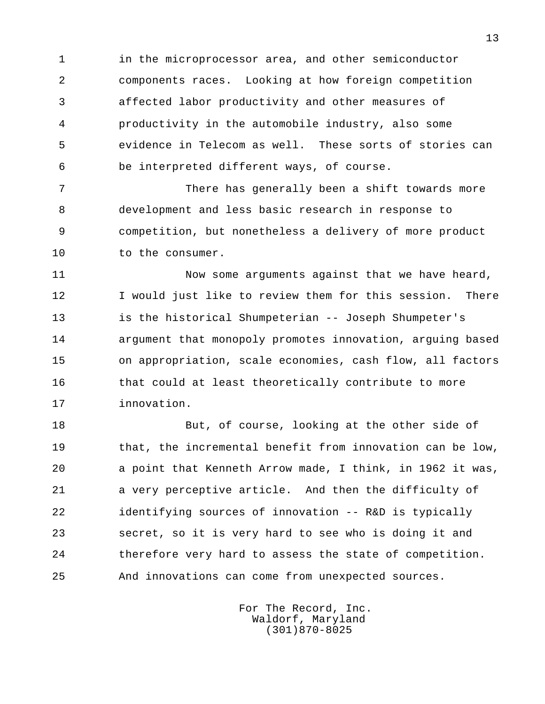1 in the microprocessor area, and other semiconductor 2 components races. Looking at how foreign competition 3 affected labor productivity and other measures of 4 productivity in the automobile industry, also some 5 evidence in Telecom as well. These sorts of stories can 6 be interpreted different ways, of course.

 7 There has generally been a shift towards more 8 development and less basic research in response to 9 competition, but nonetheless a delivery of more product 10 to the consumer.

11 Now some arguments against that we have heard, 12 I would just like to review them for this session. There 13 is the historical Shumpeterian -- Joseph Shumpeter's 14 argument that monopoly promotes innovation, arguing based 15 on appropriation, scale economies, cash flow, all factors 16 that could at least theoretically contribute to more 17 innovation.

18 But, of course, looking at the other side of 19 that, the incremental benefit from innovation can be low, 20 a point that Kenneth Arrow made, I think, in 1962 it was, 21 a very perceptive article. And then the difficulty of 22 identifying sources of innovation -- R&D is typically 23 secret, so it is very hard to see who is doing it and 24 therefore very hard to assess the state of competition. 25 And innovations can come from unexpected sources.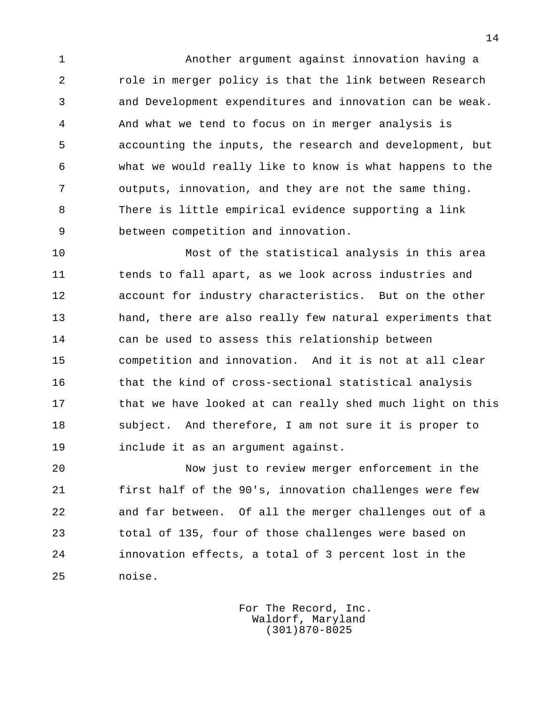1 Another argument against innovation having a 2 role in merger policy is that the link between Research 3 and Development expenditures and innovation can be weak. 4 And what we tend to focus on in merger analysis is 5 accounting the inputs, the research and development, but 6 what we would really like to know is what happens to the 7 outputs, innovation, and they are not the same thing. 8 There is little empirical evidence supporting a link 9 between competition and innovation.

 10 Most of the statistical analysis in this area 11 tends to fall apart, as we look across industries and 12 account for industry characteristics. But on the other 13 hand, there are also really few natural experiments that 14 can be used to assess this relationship between 15 competition and innovation. And it is not at all clear 16 that the kind of cross-sectional statistical analysis 17 that we have looked at can really shed much light on this 18 subject. And therefore, I am not sure it is proper to 19 include it as an argument against.

 20 Now just to review merger enforcement in the 21 first half of the 90's, innovation challenges were few 22 and far between. Of all the merger challenges out of a 23 total of 135, four of those challenges were based on 24 innovation effects, a total of 3 percent lost in the 25 noise.

> For The Record, Inc. Waldorf, Maryland (301)870-8025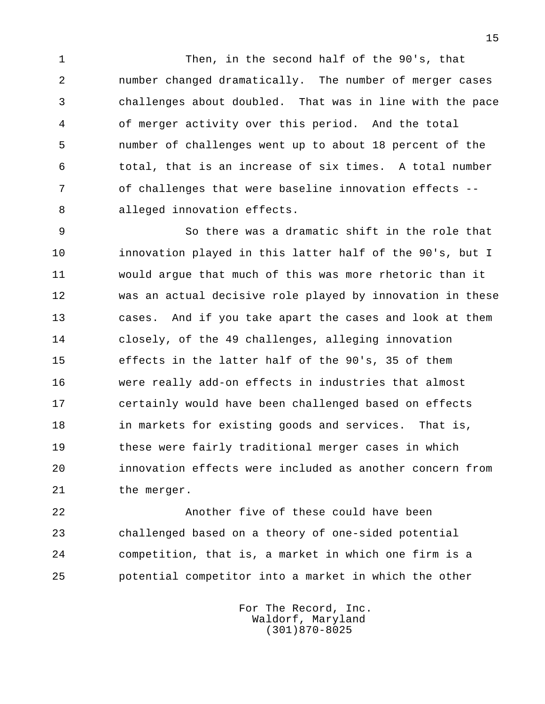1 Then, in the second half of the 90's, that 2 number changed dramatically. The number of merger cases 3 challenges about doubled. That was in line with the pace 4 of merger activity over this period. And the total 5 number of challenges went up to about 18 percent of the 6 total, that is an increase of six times. A total number 7 of challenges that were baseline innovation effects -- 8 alleged innovation effects.

 9 So there was a dramatic shift in the role that 10 innovation played in this latter half of the 90's, but I 11 would argue that much of this was more rhetoric than it 12 was an actual decisive role played by innovation in these 13 cases. And if you take apart the cases and look at them 14 closely, of the 49 challenges, alleging innovation 15 effects in the latter half of the 90's, 35 of them 16 were really add-on effects in industries that almost 17 certainly would have been challenged based on effects 18 in markets for existing goods and services. That is, 19 these were fairly traditional merger cases in which 20 innovation effects were included as another concern from 21 the merger.

 22 Another five of these could have been 23 challenged based on a theory of one-sided potential 24 competition, that is, a market in which one firm is a 25 potential competitor into a market in which the other

> For The Record, Inc. Waldorf, Maryland (301)870-8025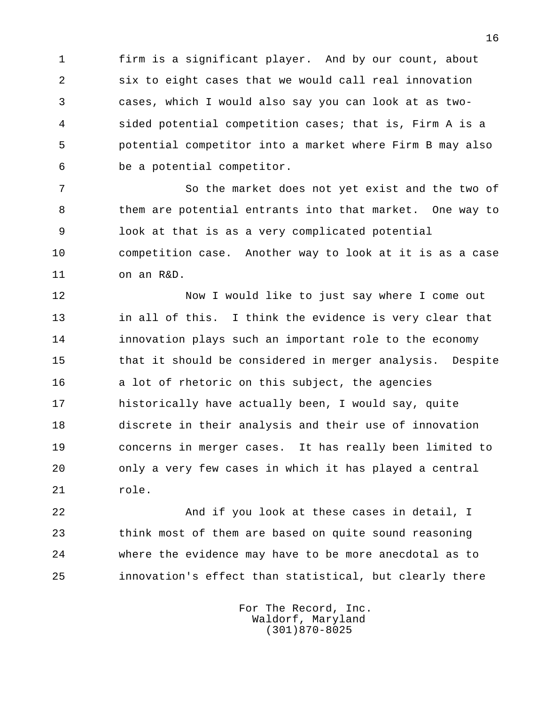1 firm is a significant player. And by our count, about 2 six to eight cases that we would call real innovation 3 cases, which I would also say you can look at as two- 4 sided potential competition cases; that is, Firm A is a 5 potential competitor into a market where Firm B may also 6 be a potential competitor.

 7 So the market does not yet exist and the two of 8 them are potential entrants into that market. One way to 9 look at that is as a very complicated potential 10 competition case. Another way to look at it is as a case 11 on an R&D.

 12 Now I would like to just say where I come out 13 in all of this. I think the evidence is very clear that 14 innovation plays such an important role to the economy 15 that it should be considered in merger analysis. Despite 16 a lot of rhetoric on this subject, the agencies 17 historically have actually been, I would say, quite 18 discrete in their analysis and their use of innovation 19 concerns in merger cases. It has really been limited to 20 only a very few cases in which it has played a central 21 role.

 22 And if you look at these cases in detail, I 23 think most of them are based on quite sound reasoning 24 where the evidence may have to be more anecdotal as to 25 innovation's effect than statistical, but clearly there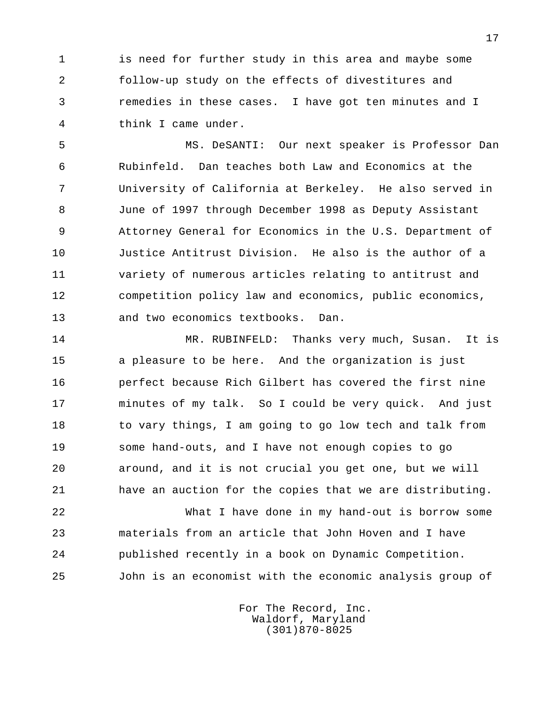1 is need for further study in this area and maybe some 2 follow-up study on the effects of divestitures and 3 remedies in these cases. I have got ten minutes and I 4 think I came under.

 5 MS. DeSANTI: Our next speaker is Professor Dan 6 Rubinfeld. Dan teaches both Law and Economics at the 7 University of California at Berkeley. He also served in 8 June of 1997 through December 1998 as Deputy Assistant 9 Attorney General for Economics in the U.S. Department of 10 Justice Antitrust Division. He also is the author of a 11 variety of numerous articles relating to antitrust and 12 competition policy law and economics, public economics, 13 and two economics textbooks. Dan.

 14 MR. RUBINFELD: Thanks very much, Susan. It is 15 a pleasure to be here. And the organization is just 16 perfect because Rich Gilbert has covered the first nine 17 minutes of my talk. So I could be very quick. And just 18 to vary things, I am going to go low tech and talk from 19 some hand-outs, and I have not enough copies to go 20 around, and it is not crucial you get one, but we will 21 have an auction for the copies that we are distributing.

 22 What I have done in my hand-out is borrow some 23 materials from an article that John Hoven and I have 24 published recently in a book on Dynamic Competition. 25 John is an economist with the economic analysis group of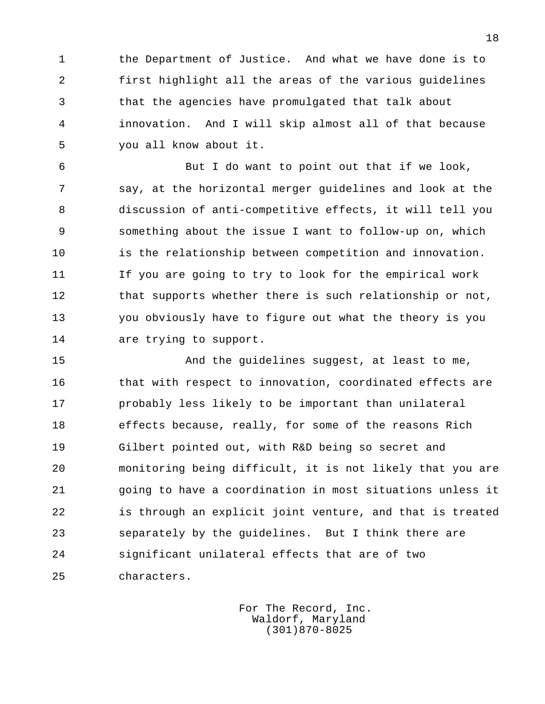1 the Department of Justice. And what we have done is to 2 first highlight all the areas of the various guidelines 3 that the agencies have promulgated that talk about 4 innovation. And I will skip almost all of that because 5 you all know about it.

 6 But I do want to point out that if we look, 7 say, at the horizontal merger guidelines and look at the 8 discussion of anti-competitive effects, it will tell you 9 something about the issue I want to follow-up on, which 10 is the relationship between competition and innovation. 11 If you are going to try to look for the empirical work 12 that supports whether there is such relationship or not, 13 you obviously have to figure out what the theory is you 14 are trying to support.

 15 And the guidelines suggest, at least to me, 16 that with respect to innovation, coordinated effects are 17 probably less likely to be important than unilateral 18 effects because, really, for some of the reasons Rich 19 Gilbert pointed out, with R&D being so secret and 20 monitoring being difficult, it is not likely that you are 21 going to have a coordination in most situations unless it 22 is through an explicit joint venture, and that is treated 23 separately by the guidelines. But I think there are 24 significant unilateral effects that are of two 25 characters.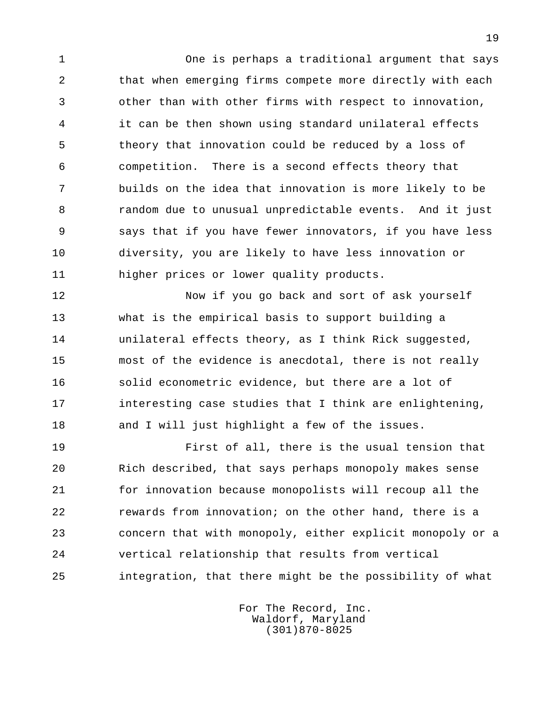1 One is perhaps a traditional argument that says 2 that when emerging firms compete more directly with each 3 other than with other firms with respect to innovation, 4 it can be then shown using standard unilateral effects 5 theory that innovation could be reduced by a loss of 6 competition. There is a second effects theory that 7 builds on the idea that innovation is more likely to be 8 random due to unusual unpredictable events. And it just 9 says that if you have fewer innovators, if you have less 10 diversity, you are likely to have less innovation or 11 higher prices or lower quality products.

 12 Now if you go back and sort of ask yourself 13 what is the empirical basis to support building a 14 unilateral effects theory, as I think Rick suggested, 15 most of the evidence is anecdotal, there is not really 16 solid econometric evidence, but there are a lot of 17 interesting case studies that I think are enlightening, 18 and I will just highlight a few of the issues.

 19 First of all, there is the usual tension that 20 Rich described, that says perhaps monopoly makes sense 21 for innovation because monopolists will recoup all the 22 rewards from innovation; on the other hand, there is a 23 concern that with monopoly, either explicit monopoly or a 24 vertical relationship that results from vertical 25 integration, that there might be the possibility of what

> For The Record, Inc. Waldorf, Maryland (301)870-8025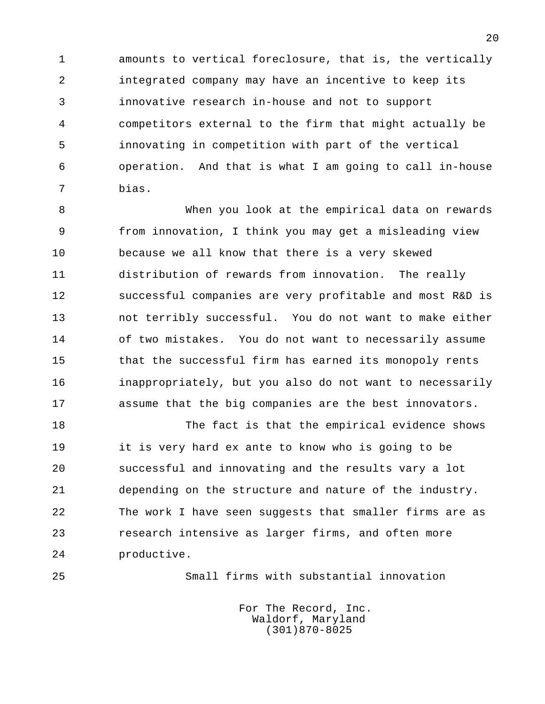1 amounts to vertical foreclosure, that is, the vertically 2 integrated company may have an incentive to keep its 3 innovative research in-house and not to support 4 competitors external to the firm that might actually be 5 innovating in competition with part of the vertical 6 operation. And that is what I am going to call in-house 7 bias.

 8 When you look at the empirical data on rewards 9 from innovation, I think you may get a misleading view 10 because we all know that there is a very skewed 11 distribution of rewards from innovation. The really 12 successful companies are very profitable and most R&D is 13 not terribly successful. You do not want to make either 14 of two mistakes. You do not want to necessarily assume 15 that the successful firm has earned its monopoly rents 16 inappropriately, but you also do not want to necessarily 17 assume that the big companies are the best innovators.

18 The fact is that the empirical evidence shows 19 it is very hard ex ante to know who is going to be 20 successful and innovating and the results vary a lot 21 depending on the structure and nature of the industry. 22 The work I have seen suggests that smaller firms are as 23 research intensive as larger firms, and often more 24 productive.

25 Small firms with substantial innovation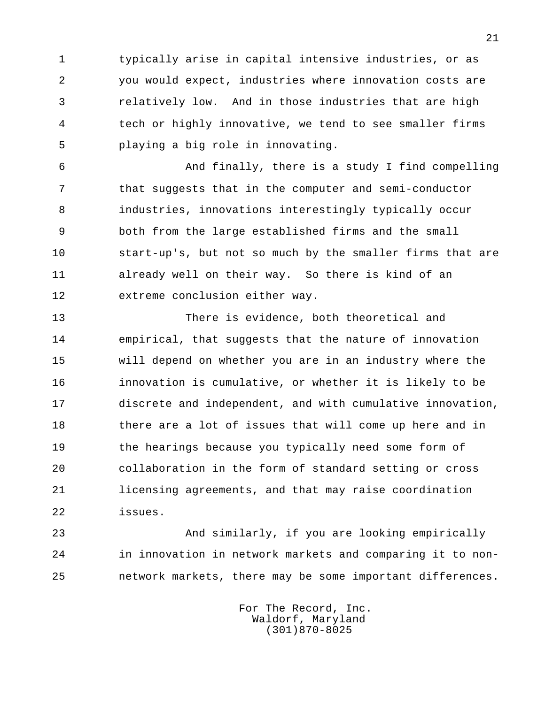1 typically arise in capital intensive industries, or as 2 you would expect, industries where innovation costs are 3 relatively low. And in those industries that are high 4 tech or highly innovative, we tend to see smaller firms 5 playing a big role in innovating.

 6 And finally, there is a study I find compelling 7 that suggests that in the computer and semi-conductor 8 industries, innovations interestingly typically occur 9 both from the large established firms and the small 10 start-up's, but not so much by the smaller firms that are 11 already well on their way. So there is kind of an 12 extreme conclusion either way.

 13 There is evidence, both theoretical and 14 empirical, that suggests that the nature of innovation 15 will depend on whether you are in an industry where the 16 innovation is cumulative, or whether it is likely to be 17 discrete and independent, and with cumulative innovation, 18 there are a lot of issues that will come up here and in 19 the hearings because you typically need some form of 20 collaboration in the form of standard setting or cross 21 licensing agreements, and that may raise coordination 22 issues.

 23 And similarly, if you are looking empirically 24 in innovation in network markets and comparing it to non- 25 network markets, there may be some important differences.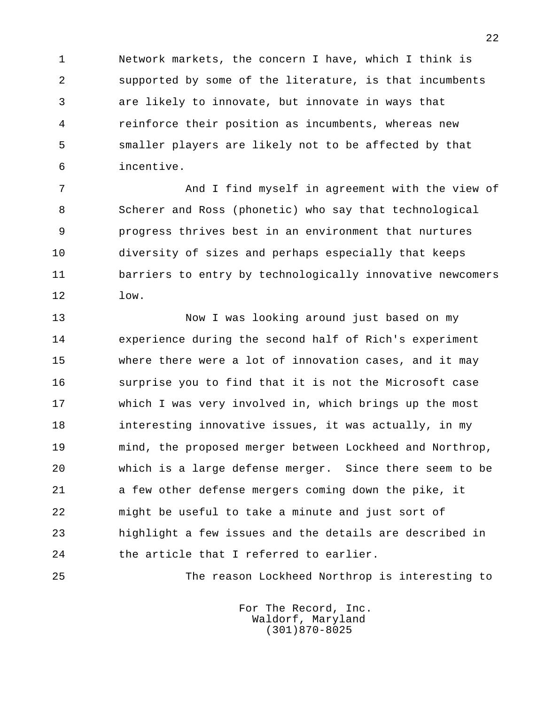1 Network markets, the concern I have, which I think is 2 supported by some of the literature, is that incumbents 3 are likely to innovate, but innovate in ways that 4 reinforce their position as incumbents, whereas new 5 smaller players are likely not to be affected by that 6 incentive.

 7 And I find myself in agreement with the view of 8 Scherer and Ross (phonetic) who say that technological 9 progress thrives best in an environment that nurtures 10 diversity of sizes and perhaps especially that keeps 11 barriers to entry by technologically innovative newcomers  $12 \qquad \qquad$   $1 \text{ow}.$ 

 13 Now I was looking around just based on my 14 experience during the second half of Rich's experiment 15 where there were a lot of innovation cases, and it may 16 surprise you to find that it is not the Microsoft case 17 which I was very involved in, which brings up the most 18 interesting innovative issues, it was actually, in my 19 mind, the proposed merger between Lockheed and Northrop, 20 which is a large defense merger. Since there seem to be 21 a few other defense mergers coming down the pike, it 22 might be useful to take a minute and just sort of 23 highlight a few issues and the details are described in 24 the article that I referred to earlier.

25 The reason Lockheed Northrop is interesting to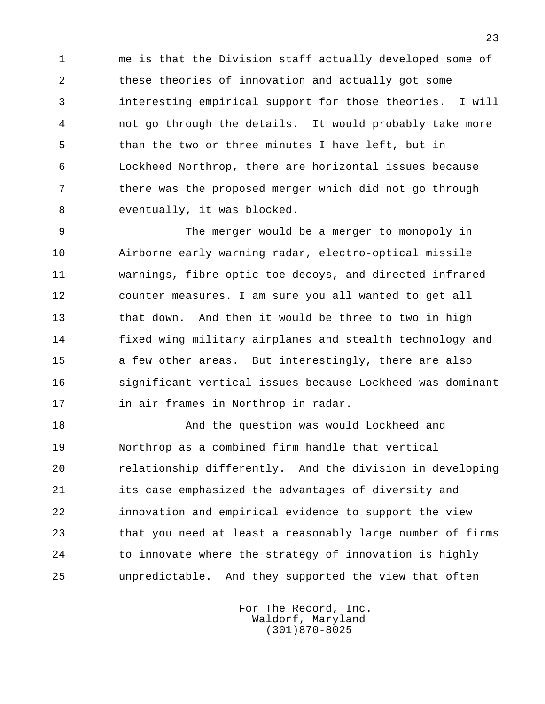1 me is that the Division staff actually developed some of 2 these theories of innovation and actually got some 3 interesting empirical support for those theories. I will 4 not go through the details. It would probably take more 5 than the two or three minutes I have left, but in 6 Lockheed Northrop, there are horizontal issues because 7 there was the proposed merger which did not go through 8 eventually, it was blocked.

 9 The merger would be a merger to monopoly in 10 Airborne early warning radar, electro-optical missile 11 warnings, fibre-optic toe decoys, and directed infrared 12 counter measures. I am sure you all wanted to get all 13 that down. And then it would be three to two in high 14 fixed wing military airplanes and stealth technology and 15 a few other areas. But interestingly, there are also 16 significant vertical issues because Lockheed was dominant 17 in air frames in Northrop in radar.

 18 And the question was would Lockheed and 19 Northrop as a combined firm handle that vertical 20 relationship differently. And the division in developing 21 its case emphasized the advantages of diversity and 22 innovation and empirical evidence to support the view 23 that you need at least a reasonably large number of firms 24 to innovate where the strategy of innovation is highly 25 unpredictable. And they supported the view that often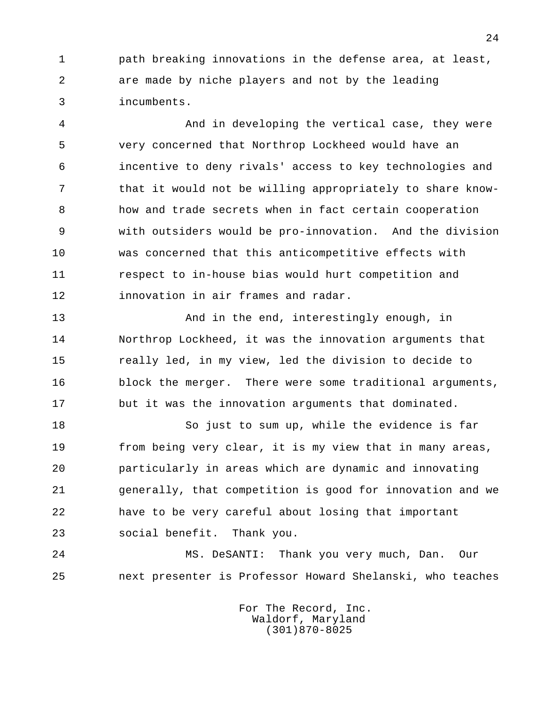1 path breaking innovations in the defense area, at least, 2 are made by niche players and not by the leading 3 incumbents.

 4 And in developing the vertical case, they were 5 very concerned that Northrop Lockheed would have an 6 incentive to deny rivals' access to key technologies and 7 that it would not be willing appropriately to share know- 8 how and trade secrets when in fact certain cooperation 9 with outsiders would be pro-innovation. And the division 10 was concerned that this anticompetitive effects with 11 respect to in-house bias would hurt competition and 12 innovation in air frames and radar.

13 And in the end, interestingly enough, in 14 Northrop Lockheed, it was the innovation arguments that 15 really led, in my view, led the division to decide to 16 block the merger. There were some traditional arguments, 17 but it was the innovation arguments that dominated.

 18 So just to sum up, while the evidence is far 19 from being very clear, it is my view that in many areas, 20 particularly in areas which are dynamic and innovating 21 generally, that competition is good for innovation and we 22 have to be very careful about losing that important 23 social benefit. Thank you.

 24 MS. DeSANTI: Thank you very much, Dan. Our 25 next presenter is Professor Howard Shelanski, who teaches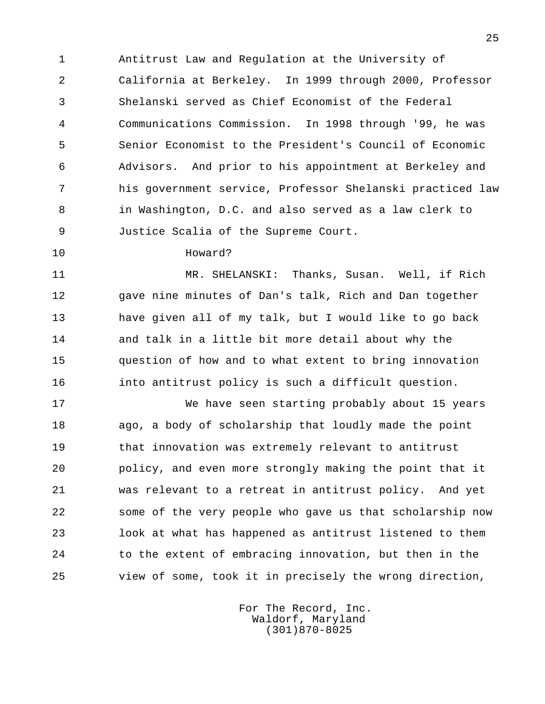1 Antitrust Law and Regulation at the University of 2 California at Berkeley. In 1999 through 2000, Professor 3 Shelanski served as Chief Economist of the Federal 4 Communications Commission. In 1998 through '99, he was 5 Senior Economist to the President's Council of Economic 6 Advisors. And prior to his appointment at Berkeley and 7 his government service, Professor Shelanski practiced law 8 in Washington, D.C. and also served as a law clerk to 9 Justice Scalia of the Supreme Court.

## 10 Howard?

 11 MR. SHELANSKI: Thanks, Susan. Well, if Rich 12 gave nine minutes of Dan's talk, Rich and Dan together 13 have given all of my talk, but I would like to go back 14 and talk in a little bit more detail about why the 15 question of how and to what extent to bring innovation 16 into antitrust policy is such a difficult question.

 17 We have seen starting probably about 15 years 18 ago, a body of scholarship that loudly made the point 19 that innovation was extremely relevant to antitrust 20 policy, and even more strongly making the point that it 21 was relevant to a retreat in antitrust policy. And yet 22 some of the very people who gave us that scholarship now 23 look at what has happened as antitrust listened to them 24 to the extent of embracing innovation, but then in the 25 view of some, took it in precisely the wrong direction,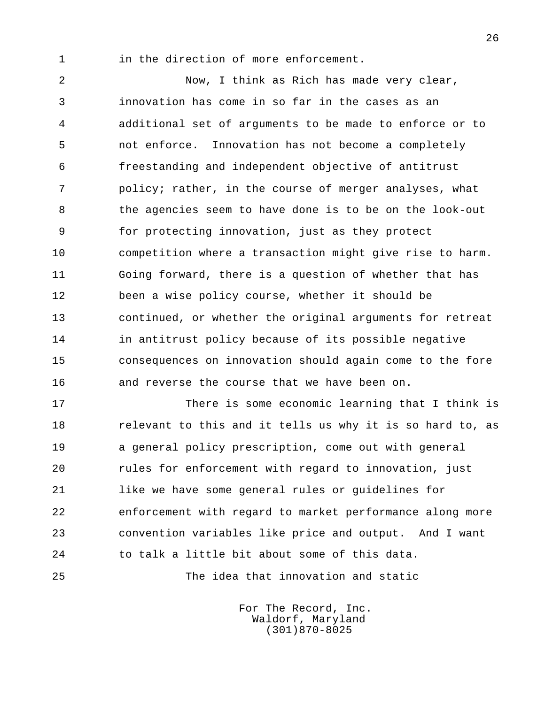1 in the direction of more enforcement.

 2 Now, I think as Rich has made very clear, 3 innovation has come in so far in the cases as an 4 additional set of arguments to be made to enforce or to 5 not enforce. Innovation has not become a completely 6 freestanding and independent objective of antitrust 7 policy; rather, in the course of merger analyses, what 8 the agencies seem to have done is to be on the look-out 9 for protecting innovation, just as they protect 10 competition where a transaction might give rise to harm. 11 Going forward, there is a question of whether that has 12 been a wise policy course, whether it should be 13 continued, or whether the original arguments for retreat 14 in antitrust policy because of its possible negative 15 consequences on innovation should again come to the fore 16 and reverse the course that we have been on.

 17 There is some economic learning that I think is 18 relevant to this and it tells us why it is so hard to, as 19 a general policy prescription, come out with general 20 rules for enforcement with regard to innovation, just 21 like we have some general rules or guidelines for 22 enforcement with regard to market performance along more 23 convention variables like price and output. And I want 24 to talk a little bit about some of this data.

25 The idea that innovation and static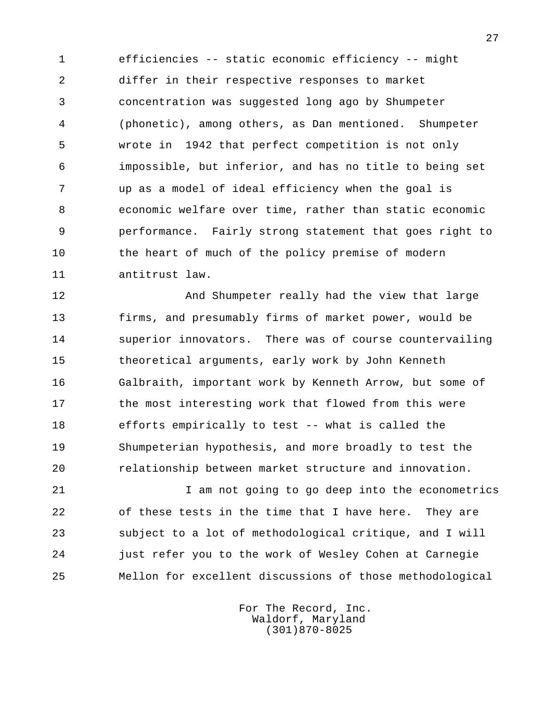1 efficiencies -- static economic efficiency -- might 2 differ in their respective responses to market 3 concentration was suggested long ago by Shumpeter 4 (phonetic), among others, as Dan mentioned. Shumpeter 5 wrote in 1942 that perfect competition is not only 6 impossible, but inferior, and has no title to being set 7 up as a model of ideal efficiency when the goal is 8 economic welfare over time, rather than static economic 9 performance. Fairly strong statement that goes right to 10 the heart of much of the policy premise of modern 11 antitrust law.

12 And Shumpeter really had the view that large 13 firms, and presumably firms of market power, would be 14 superior innovators. There was of course countervailing 15 theoretical arguments, early work by John Kenneth 16 Galbraith, important work by Kenneth Arrow, but some of 17 the most interesting work that flowed from this were 18 efforts empirically to test -- what is called the 19 Shumpeterian hypothesis, and more broadly to test the 20 relationship between market structure and innovation.

 21 I am not going to go deep into the econometrics 22 of these tests in the time that I have here. They are 23 subject to a lot of methodological critique, and I will 24 just refer you to the work of Wesley Cohen at Carnegie 25 Mellon for excellent discussions of those methodological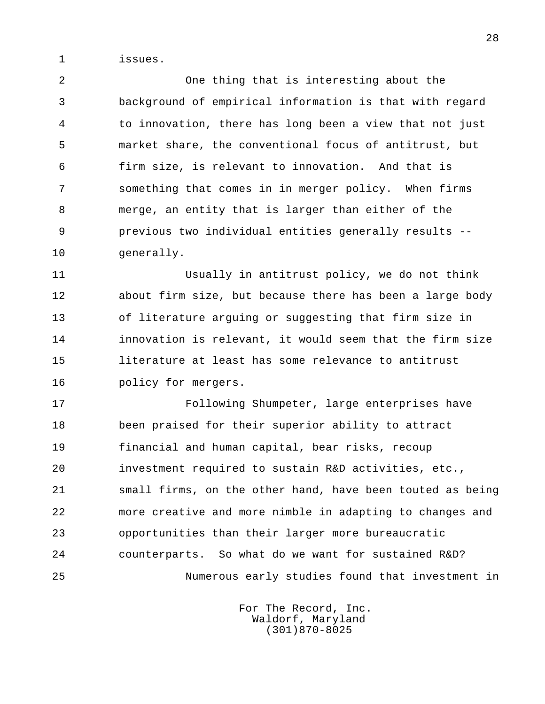1 issues.

 2 One thing that is interesting about the 3 background of empirical information is that with regard 4 to innovation, there has long been a view that not just 5 market share, the conventional focus of antitrust, but 6 firm size, is relevant to innovation. And that is 7 something that comes in in merger policy. When firms 8 merge, an entity that is larger than either of the 9 previous two individual entities generally results -- 10 generally.

 11 Usually in antitrust policy, we do not think 12 about firm size, but because there has been a large body 13 of literature arguing or suggesting that firm size in 14 innovation is relevant, it would seem that the firm size 15 literature at least has some relevance to antitrust 16 policy for mergers.

 17 Following Shumpeter, large enterprises have 18 been praised for their superior ability to attract 19 financial and human capital, bear risks, recoup 20 investment required to sustain R&D activities, etc., 21 small firms, on the other hand, have been touted as being 22 more creative and more nimble in adapting to changes and 23 opportunities than their larger more bureaucratic 24 counterparts. So what do we want for sustained R&D? 25 Numerous early studies found that investment in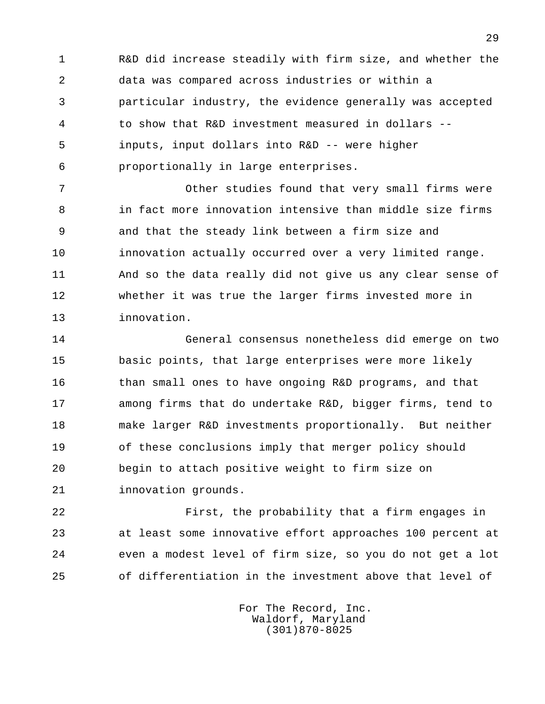1 R&D did increase steadily with firm size, and whether the 2 data was compared across industries or within a 3 particular industry, the evidence generally was accepted 4 to show that R&D investment measured in dollars -- 5 inputs, input dollars into R&D -- were higher 6 proportionally in large enterprises.

 7 Other studies found that very small firms were 8 in fact more innovation intensive than middle size firms 9 and that the steady link between a firm size and 10 innovation actually occurred over a very limited range. 11 And so the data really did not give us any clear sense of 12 whether it was true the larger firms invested more in 13 innovation.

 14 General consensus nonetheless did emerge on two 15 basic points, that large enterprises were more likely 16 than small ones to have ongoing R&D programs, and that 17 among firms that do undertake R&D, bigger firms, tend to 18 make larger R&D investments proportionally. But neither 19 of these conclusions imply that merger policy should 20 begin to attach positive weight to firm size on 21 innovation grounds.

 22 First, the probability that a firm engages in 23 at least some innovative effort approaches 100 percent at 24 even a modest level of firm size, so you do not get a lot 25 of differentiation in the investment above that level of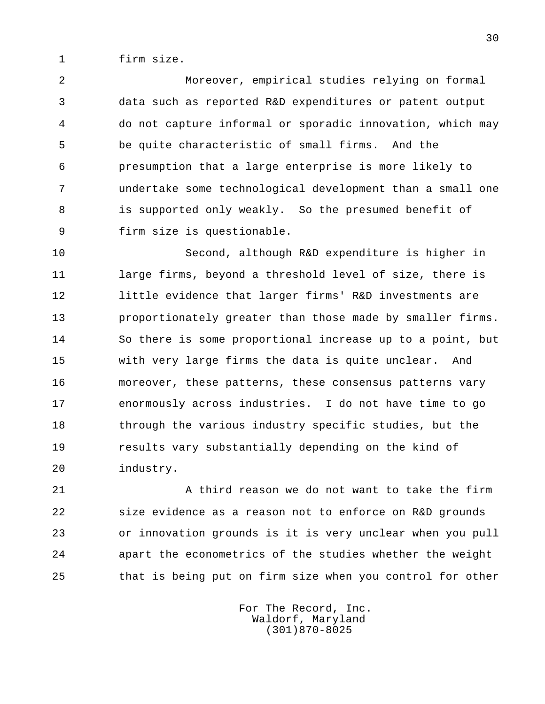1 firm size.

 2 Moreover, empirical studies relying on formal 3 data such as reported R&D expenditures or patent output 4 do not capture informal or sporadic innovation, which may 5 be quite characteristic of small firms. And the 6 presumption that a large enterprise is more likely to 7 undertake some technological development than a small one 8 is supported only weakly. So the presumed benefit of 9 firm size is questionable.

 10 Second, although R&D expenditure is higher in 11 large firms, beyond a threshold level of size, there is 12 little evidence that larger firms' R&D investments are 13 proportionately greater than those made by smaller firms. 14 So there is some proportional increase up to a point, but 15 with very large firms the data is quite unclear. And 16 moreover, these patterns, these consensus patterns vary 17 enormously across industries. I do not have time to go 18 through the various industry specific studies, but the 19 results vary substantially depending on the kind of 20 industry.

21 A third reason we do not want to take the firm 22 size evidence as a reason not to enforce on R&D grounds 23 or innovation grounds is it is very unclear when you pull 24 apart the econometrics of the studies whether the weight 25 that is being put on firm size when you control for other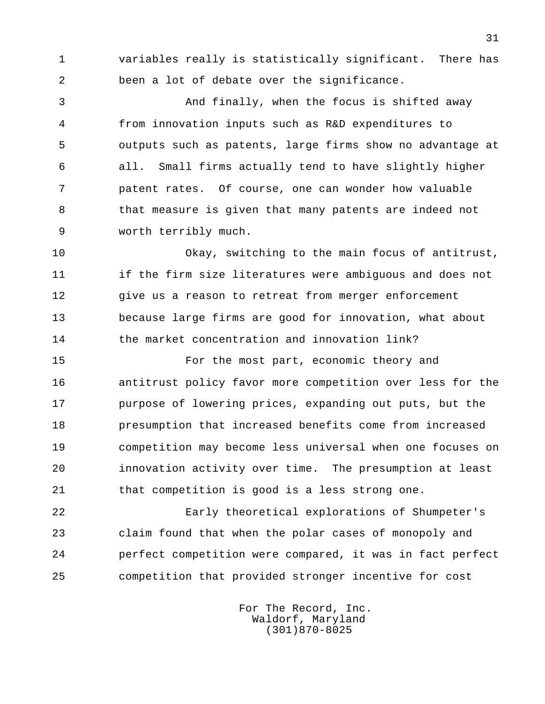1 variables really is statistically significant. There has 2 been a lot of debate over the significance.

 3 And finally, when the focus is shifted away 4 from innovation inputs such as R&D expenditures to 5 outputs such as patents, large firms show no advantage at 6 all. Small firms actually tend to have slightly higher 7 patent rates. Of course, one can wonder how valuable 8 that measure is given that many patents are indeed not 9 worth terribly much.

 10 Okay, switching to the main focus of antitrust, 11 if the firm size literatures were ambiguous and does not 12 give us a reason to retreat from merger enforcement 13 because large firms are good for innovation, what about 14 the market concentration and innovation link?

 15 For the most part, economic theory and 16 antitrust policy favor more competition over less for the 17 purpose of lowering prices, expanding out puts, but the 18 presumption that increased benefits come from increased 19 competition may become less universal when one focuses on 20 innovation activity over time. The presumption at least 21 that competition is good is a less strong one.

 22 Early theoretical explorations of Shumpeter's 23 claim found that when the polar cases of monopoly and 24 perfect competition were compared, it was in fact perfect 25 competition that provided stronger incentive for cost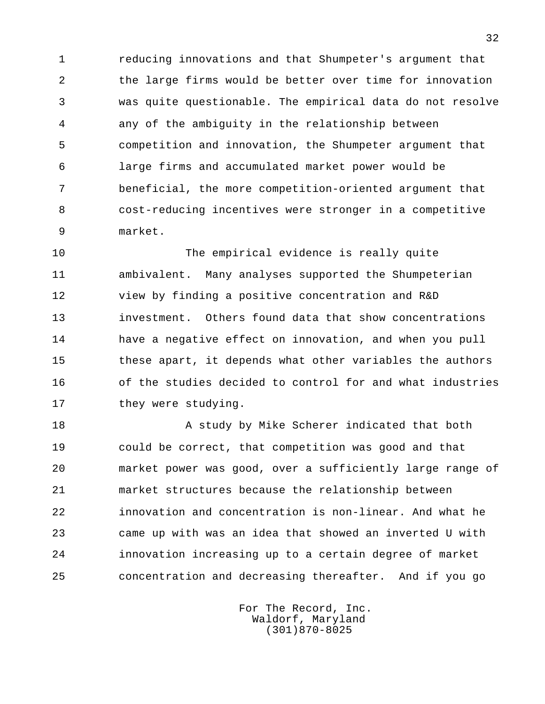1 reducing innovations and that Shumpeter's argument that 2 the large firms would be better over time for innovation 3 was quite questionable. The empirical data do not resolve 4 any of the ambiguity in the relationship between 5 competition and innovation, the Shumpeter argument that 6 large firms and accumulated market power would be 7 beneficial, the more competition-oriented argument that 8 cost-reducing incentives were stronger in a competitive 9 market.

 10 The empirical evidence is really quite 11 ambivalent. Many analyses supported the Shumpeterian 12 view by finding a positive concentration and R&D 13 investment. Others found data that show concentrations 14 have a negative effect on innovation, and when you pull 15 these apart, it depends what other variables the authors 16 of the studies decided to control for and what industries 17 they were studying.

18 A study by Mike Scherer indicated that both 19 could be correct, that competition was good and that 20 market power was good, over a sufficiently large range of 21 market structures because the relationship between 22 innovation and concentration is non-linear. And what he 23 came up with was an idea that showed an inverted U with 24 innovation increasing up to a certain degree of market 25 concentration and decreasing thereafter. And if you go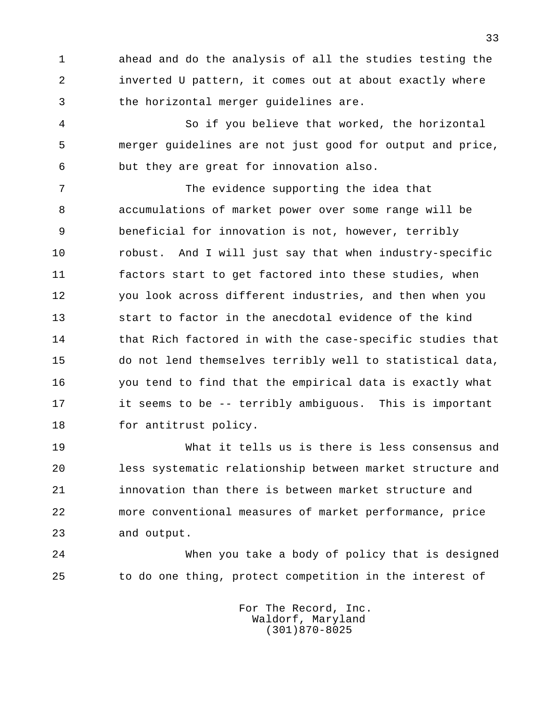1 ahead and do the analysis of all the studies testing the 2 inverted U pattern, it comes out at about exactly where 3 the horizontal merger guidelines are.

 4 So if you believe that worked, the horizontal 5 merger guidelines are not just good for output and price, 6 but they are great for innovation also.

 7 The evidence supporting the idea that 8 accumulations of market power over some range will be 9 beneficial for innovation is not, however, terribly 10 robust. And I will just say that when industry-specific 11 factors start to get factored into these studies, when 12 you look across different industries, and then when you 13 start to factor in the anecdotal evidence of the kind 14 that Rich factored in with the case-specific studies that 15 do not lend themselves terribly well to statistical data, 16 you tend to find that the empirical data is exactly what 17 it seems to be -- terribly ambiguous. This is important 18 for antitrust policy.

 19 What it tells us is there is less consensus and 20 less systematic relationship between market structure and 21 innovation than there is between market structure and 22 more conventional measures of market performance, price 23 and output.

 24 When you take a body of policy that is designed 25 to do one thing, protect competition in the interest of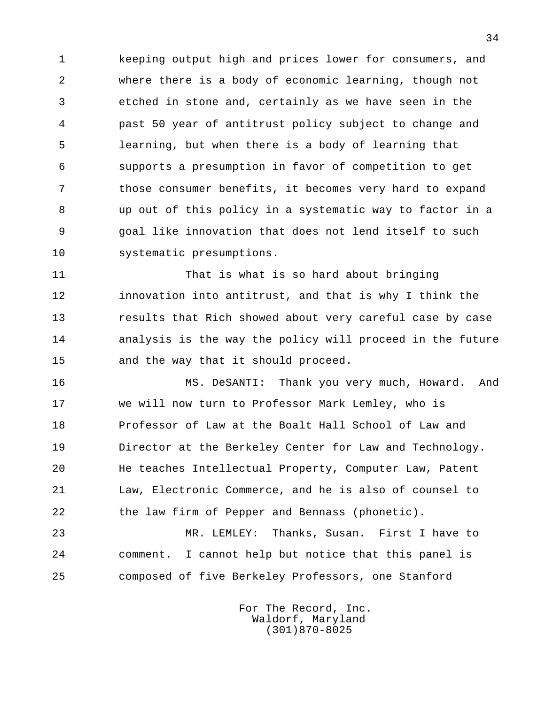1 keeping output high and prices lower for consumers, and 2 where there is a body of economic learning, though not 3 etched in stone and, certainly as we have seen in the 4 past 50 year of antitrust policy subject to change and 5 learning, but when there is a body of learning that 6 supports a presumption in favor of competition to get 7 those consumer benefits, it becomes very hard to expand 8 up out of this policy in a systematic way to factor in a 9 goal like innovation that does not lend itself to such 10 systematic presumptions.

 11 That is what is so hard about bringing 12 innovation into antitrust, and that is why I think the 13 results that Rich showed about very careful case by case 14 analysis is the way the policy will proceed in the future 15 and the way that it should proceed.

 16 MS. DeSANTI: Thank you very much, Howard. And 17 we will now turn to Professor Mark Lemley, who is 18 Professor of Law at the Boalt Hall School of Law and 19 Director at the Berkeley Center for Law and Technology. 20 He teaches Intellectual Property, Computer Law, Patent 21 Law, Electronic Commerce, and he is also of counsel to 22 the law firm of Pepper and Bennass (phonetic).

 23 MR. LEMLEY: Thanks, Susan. First I have to 24 comment. I cannot help but notice that this panel is 25 composed of five Berkeley Professors, one Stanford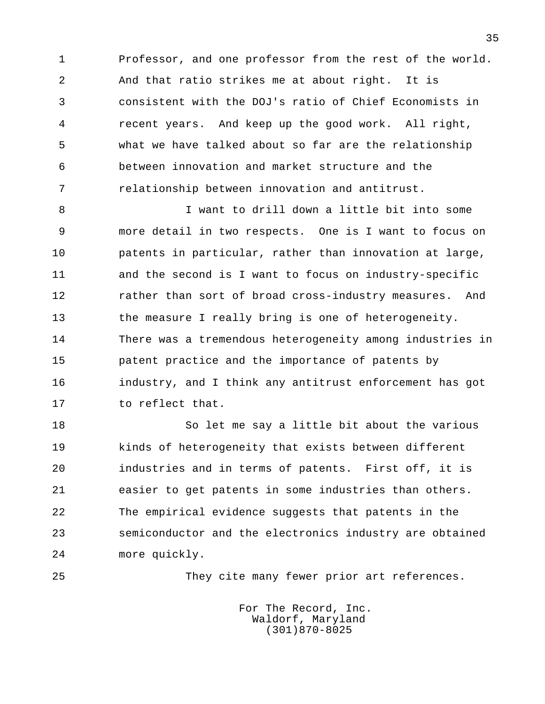1 Professor, and one professor from the rest of the world. 2 And that ratio strikes me at about right. It is 3 consistent with the DOJ's ratio of Chief Economists in 4 recent years. And keep up the good work. All right, 5 what we have talked about so far are the relationship 6 between innovation and market structure and the 7 relationship between innovation and antitrust.

 8 I want to drill down a little bit into some 9 more detail in two respects. One is I want to focus on 10 patents in particular, rather than innovation at large, 11 and the second is I want to focus on industry-specific 12 rather than sort of broad cross-industry measures. And 13 the measure I really bring is one of heterogeneity. 14 There was a tremendous heterogeneity among industries in 15 patent practice and the importance of patents by 16 industry, and I think any antitrust enforcement has got 17 to reflect that.

 18 So let me say a little bit about the various 19 kinds of heterogeneity that exists between different 20 industries and in terms of patents. First off, it is 21 easier to get patents in some industries than others. 22 The empirical evidence suggests that patents in the 23 semiconductor and the electronics industry are obtained 24 more quickly.

25 They cite many fewer prior art references.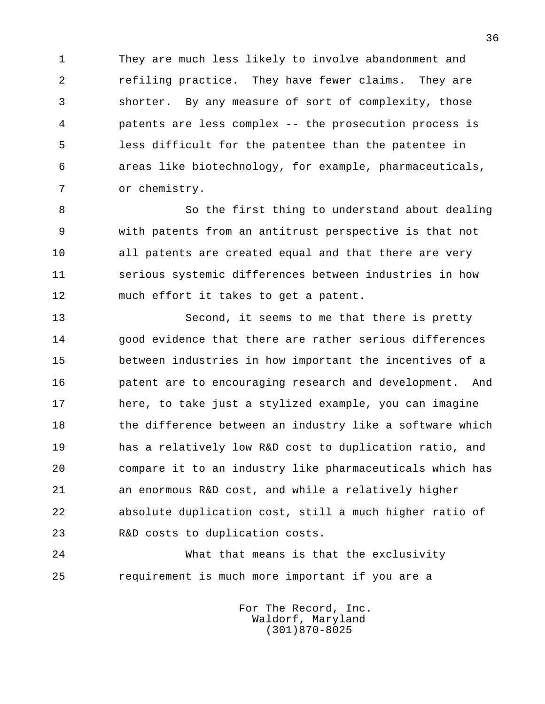1 They are much less likely to involve abandonment and 2 refiling practice. They have fewer claims. They are 3 shorter. By any measure of sort of complexity, those 4 patents are less complex -- the prosecution process is 5 less difficult for the patentee than the patentee in 6 areas like biotechnology, for example, pharmaceuticals, 7 or chemistry.

 8 So the first thing to understand about dealing 9 with patents from an antitrust perspective is that not 10 all patents are created equal and that there are very 11 serious systemic differences between industries in how 12 much effort it takes to get a patent.

13 Second, it seems to me that there is pretty 14 good evidence that there are rather serious differences 15 between industries in how important the incentives of a 16 patent are to encouraging research and development. And 17 here, to take just a stylized example, you can imagine 18 the difference between an industry like a software which 19 has a relatively low R&D cost to duplication ratio, and 20 compare it to an industry like pharmaceuticals which has 21 an enormous R&D cost, and while a relatively higher 22 absolute duplication cost, still a much higher ratio of 23 R&D costs to duplication costs.

 24 What that means is that the exclusivity 25 requirement is much more important if you are a

> For The Record, Inc. Waldorf, Maryland (301)870-8025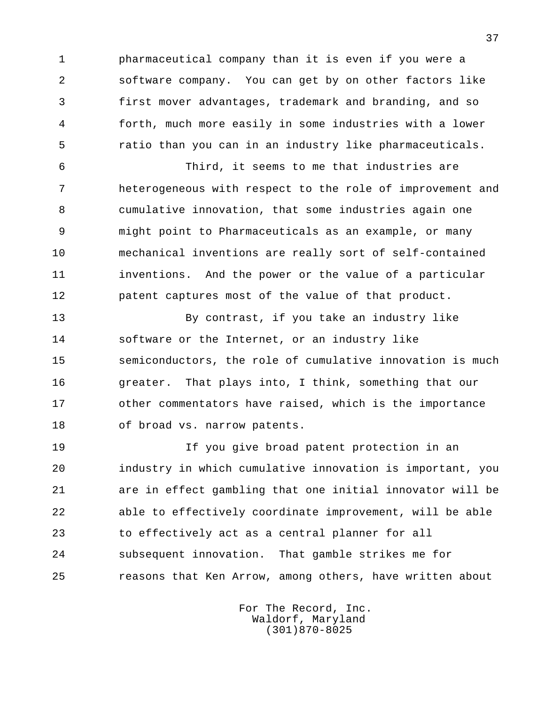1 pharmaceutical company than it is even if you were a 2 software company. You can get by on other factors like 3 first mover advantages, trademark and branding, and so 4 forth, much more easily in some industries with a lower 5 ratio than you can in an industry like pharmaceuticals.

 6 Third, it seems to me that industries are 7 heterogeneous with respect to the role of improvement and 8 cumulative innovation, that some industries again one 9 might point to Pharmaceuticals as an example, or many 10 mechanical inventions are really sort of self-contained 11 inventions. And the power or the value of a particular 12 patent captures most of the value of that product.

 13 By contrast, if you take an industry like 14 software or the Internet, or an industry like 15 semiconductors, the role of cumulative innovation is much 16 9 greater. That plays into, I think, something that our 17 other commentators have raised, which is the importance 18 of broad vs. narrow patents.

 19 If you give broad patent protection in an 20 industry in which cumulative innovation is important, you 21 are in effect gambling that one initial innovator will be 22 able to effectively coordinate improvement, will be able 23 to effectively act as a central planner for all 24 subsequent innovation. That gamble strikes me for 25 reasons that Ken Arrow, among others, have written about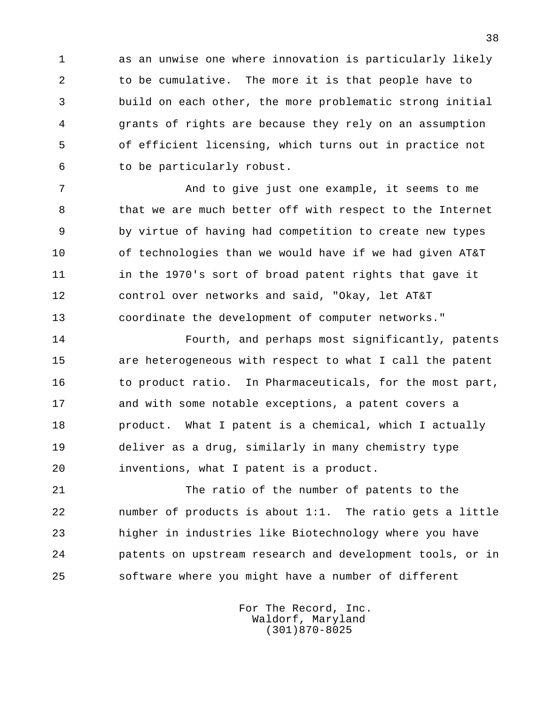1 as an unwise one where innovation is particularly likely 2 to be cumulative. The more it is that people have to 3 build on each other, the more problematic strong initial 4 grants of rights are because they rely on an assumption 5 of efficient licensing, which turns out in practice not 6 to be particularly robust.

 7 And to give just one example, it seems to me 8 that we are much better off with respect to the Internet 9 by virtue of having had competition to create new types 10 of technologies than we would have if we had given AT&T 11 in the 1970's sort of broad patent rights that gave it 12 control over networks and said, "Okay, let AT&T 13 coordinate the development of computer networks."

 14 Fourth, and perhaps most significantly, patents 15 are heterogeneous with respect to what I call the patent 16 to product ratio. In Pharmaceuticals, for the most part, 17 and with some notable exceptions, a patent covers a 18 product. What I patent is a chemical, which I actually 19 deliver as a drug, similarly in many chemistry type 20 inventions, what I patent is a product.

 21 The ratio of the number of patents to the 22 number of products is about 1:1. The ratio gets a little 23 higher in industries like Biotechnology where you have 24 patents on upstream research and development tools, or in 25 software where you might have a number of different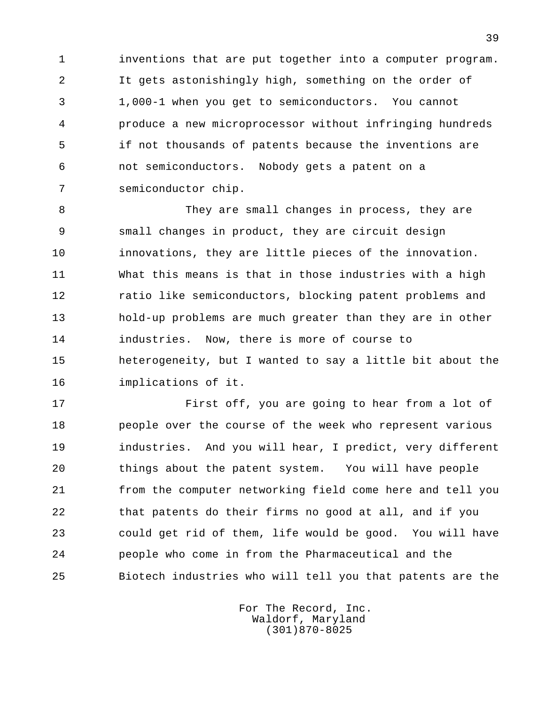1 inventions that are put together into a computer program. 2 It gets astonishingly high, something on the order of 3 1,000-1 when you get to semiconductors. You cannot 4 produce a new microprocessor without infringing hundreds 5 if not thousands of patents because the inventions are 6 not semiconductors. Nobody gets a patent on a 7 semiconductor chip.

8 They are small changes in process, they are 9 small changes in product, they are circuit design 10 innovations, they are little pieces of the innovation. 11 What this means is that in those industries with a high 12 ratio like semiconductors, blocking patent problems and 13 hold-up problems are much greater than they are in other 14 industries. Now, there is more of course to 15 heterogeneity, but I wanted to say a little bit about the 16 implications of it.

 17 First off, you are going to hear from a lot of 18 people over the course of the week who represent various 19 industries. And you will hear, I predict, very different 20 things about the patent system. You will have people 21 from the computer networking field come here and tell you 22 that patents do their firms no good at all, and if you 23 could get rid of them, life would be good. You will have 24 people who come in from the Pharmaceutical and the 25 Biotech industries who will tell you that patents are the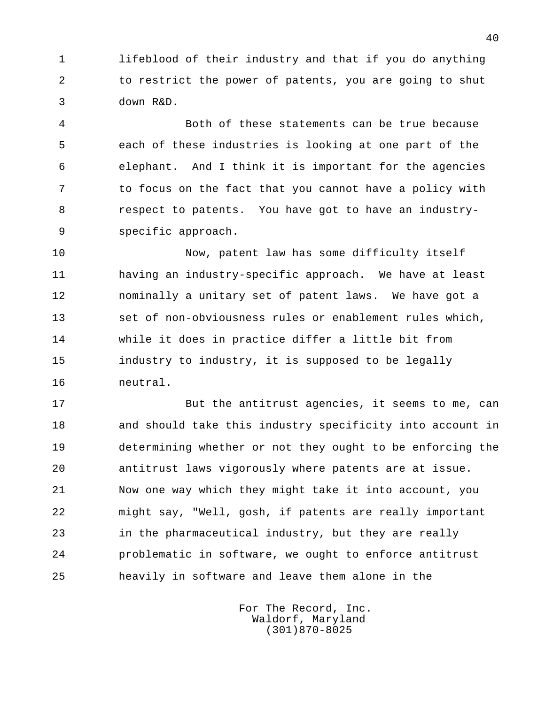1 lifeblood of their industry and that if you do anything 2 to restrict the power of patents, you are going to shut 3 down R&D.

 4 Both of these statements can be true because 5 each of these industries is looking at one part of the 6 elephant. And I think it is important for the agencies 7 to focus on the fact that you cannot have a policy with 8 respect to patents. You have got to have an industry- 9 specific approach.

 10 Now, patent law has some difficulty itself 11 having an industry-specific approach. We have at least 12 nominally a unitary set of patent laws. We have got a 13 set of non-obviousness rules or enablement rules which, 14 while it does in practice differ a little bit from 15 industry to industry, it is supposed to be legally 16 neutral.

 17 But the antitrust agencies, it seems to me, can 18 and should take this industry specificity into account in 19 determining whether or not they ought to be enforcing the 20 antitrust laws vigorously where patents are at issue. 21 Now one way which they might take it into account, you 22 might say, "Well, gosh, if patents are really important 23 in the pharmaceutical industry, but they are really 24 problematic in software, we ought to enforce antitrust 25 heavily in software and leave them alone in the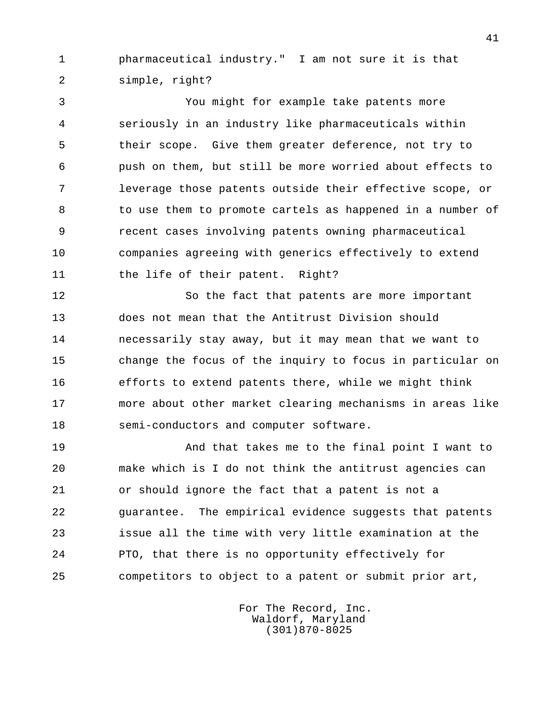1 pharmaceutical industry." I am not sure it is that 2 simple, right?

 3 You might for example take patents more 4 seriously in an industry like pharmaceuticals within 5 their scope. Give them greater deference, not try to 6 push on them, but still be more worried about effects to 7 leverage those patents outside their effective scope, or 8 to use them to promote cartels as happened in a number of 9 recent cases involving patents owning pharmaceutical 10 companies agreeing with generics effectively to extend 11 the life of their patent. Right?

 12 So the fact that patents are more important 13 does not mean that the Antitrust Division should 14 necessarily stay away, but it may mean that we want to 15 change the focus of the inquiry to focus in particular on 16 efforts to extend patents there, while we might think 17 more about other market clearing mechanisms in areas like 18 semi-conductors and computer software.

 19 And that takes me to the final point I want to 20 make which is I do not think the antitrust agencies can 21 or should ignore the fact that a patent is not a 22 guarantee. The empirical evidence suggests that patents 23 issue all the time with very little examination at the 24 PTO, that there is no opportunity effectively for 25 competitors to object to a patent or submit prior art,

> For The Record, Inc. Waldorf, Maryland (301)870-8025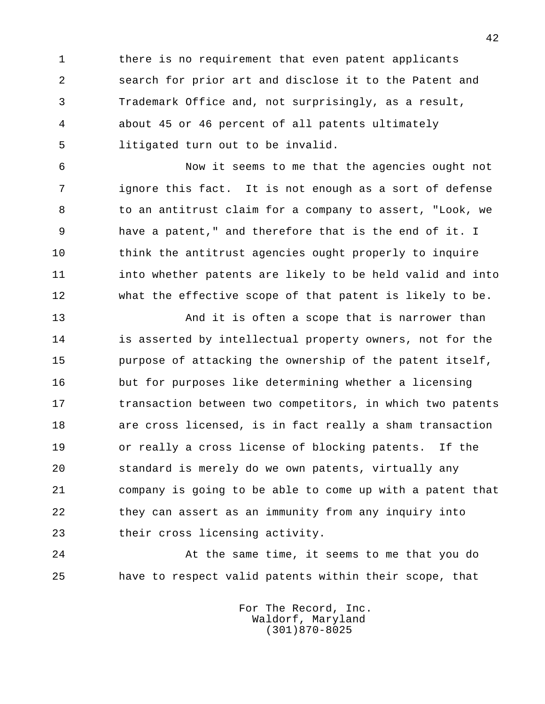1 there is no requirement that even patent applicants 2 search for prior art and disclose it to the Patent and 3 Trademark Office and, not surprisingly, as a result, 4 about 45 or 46 percent of all patents ultimately 5 litigated turn out to be invalid.

 6 Now it seems to me that the agencies ought not 7 ignore this fact. It is not enough as a sort of defense 8 to an antitrust claim for a company to assert, "Look, we 9 have a patent," and therefore that is the end of it. I 10 think the antitrust agencies ought properly to inquire 11 into whether patents are likely to be held valid and into 12 what the effective scope of that patent is likely to be.

13 And it is often a scope that is narrower than 14 is asserted by intellectual property owners, not for the 15 purpose of attacking the ownership of the patent itself, 16 but for purposes like determining whether a licensing 17 transaction between two competitors, in which two patents 18 are cross licensed, is in fact really a sham transaction 19 or really a cross license of blocking patents. If the 20 standard is merely do we own patents, virtually any 21 company is going to be able to come up with a patent that 22 they can assert as an immunity from any inquiry into 23 their cross licensing activity.

 24 At the same time, it seems to me that you do 25 have to respect valid patents within their scope, that

> For The Record, Inc. Waldorf, Maryland (301)870-8025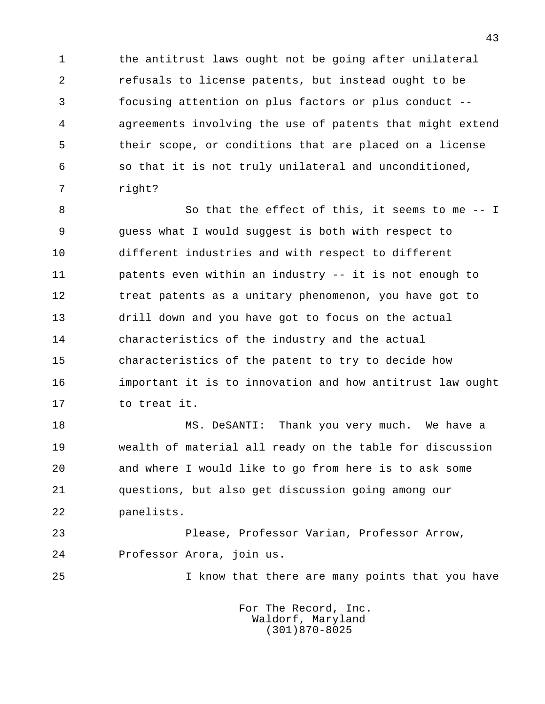1 the antitrust laws ought not be going after unilateral 2 refusals to license patents, but instead ought to be 3 focusing attention on plus factors or plus conduct -- 4 agreements involving the use of patents that might extend 5 their scope, or conditions that are placed on a license 6 so that it is not truly unilateral and unconditioned, 7 right?

8 So that the effect of this, it seems to me -- I 9 guess what I would suggest is both with respect to 10 different industries and with respect to different 11 patents even within an industry -- it is not enough to 12 treat patents as a unitary phenomenon, you have got to 13 drill down and you have got to focus on the actual 14 characteristics of the industry and the actual 15 characteristics of the patent to try to decide how 16 important it is to innovation and how antitrust law ought 17 to treat it.

18 MS. DeSANTI: Thank you very much. We have a 19 wealth of material all ready on the table for discussion 20 and where I would like to go from here is to ask some 21 questions, but also get discussion going among our 22 panelists.

 23 Please, Professor Varian, Professor Arrow, 24 Professor Arora, join us.

25 I know that there are many points that you have

 For The Record, Inc. Waldorf, Maryland (301)870-8025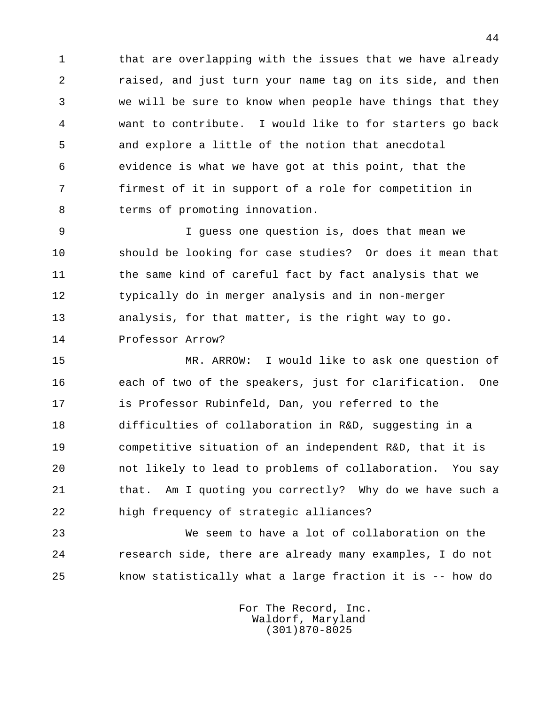1 that are overlapping with the issues that we have already 2 raised, and just turn your name tag on its side, and then 3 we will be sure to know when people have things that they 4 want to contribute. I would like to for starters go back 5 and explore a little of the notion that anecdotal 6 evidence is what we have got at this point, that the 7 firmest of it in support of a role for competition in 8 terms of promoting innovation.

 9 I guess one question is, does that mean we 10 should be looking for case studies? Or does it mean that 11 the same kind of careful fact by fact analysis that we 12 typically do in merger analysis and in non-merger 13 analysis, for that matter, is the right way to go. 14 Professor Arrow?

 15 MR. ARROW: I would like to ask one question of 16 each of two of the speakers, just for clarification. One 17 is Professor Rubinfeld, Dan, you referred to the 18 difficulties of collaboration in R&D, suggesting in a 19 competitive situation of an independent R&D, that it is 20 not likely to lead to problems of collaboration. You say 21 that. Am I quoting you correctly? Why do we have such a 22 high frequency of strategic alliances?

 23 We seem to have a lot of collaboration on the 24 research side, there are already many examples, I do not 25 know statistically what a large fraction it is -- how do

> For The Record, Inc. Waldorf, Maryland (301)870-8025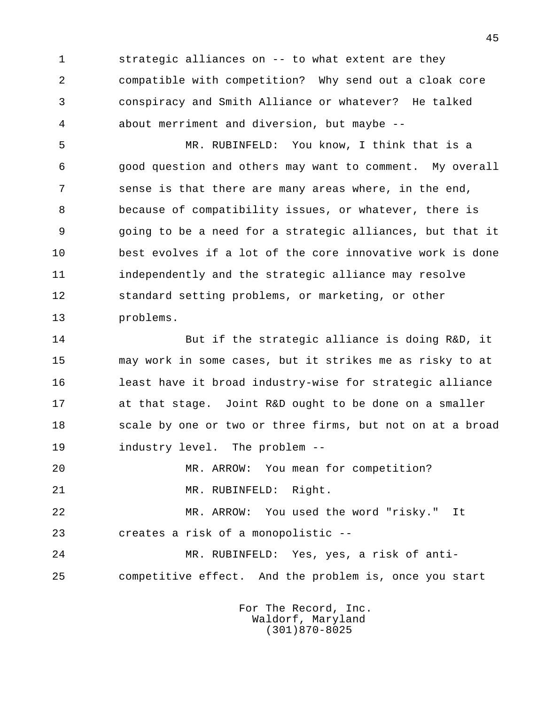1 strategic alliances on -- to what extent are they 2 compatible with competition? Why send out a cloak core 3 conspiracy and Smith Alliance or whatever? He talked 4 about merriment and diversion, but maybe --

 5 MR. RUBINFELD: You know, I think that is a 6 good question and others may want to comment. My overall 7 sense is that there are many areas where, in the end, 8 because of compatibility issues, or whatever, there is 9 going to be a need for a strategic alliances, but that it 10 best evolves if a lot of the core innovative work is done 11 independently and the strategic alliance may resolve 12 standard setting problems, or marketing, or other 13 problems.

 14 But if the strategic alliance is doing R&D, it 15 may work in some cases, but it strikes me as risky to at 16 least have it broad industry-wise for strategic alliance 17 at that stage. Joint R&D ought to be done on a smaller 18 scale by one or two or three firms, but not on at a broad 19 industry level. The problem --

20 MR. ARROW: You mean for competition?

21 MR. RUBINFELD: Right.

 22 MR. ARROW: You used the word "risky." It 23 creates a risk of a monopolistic --

 24 MR. RUBINFELD: Yes, yes, a risk of anti- 25 competitive effect. And the problem is, once you start

> For The Record, Inc. Waldorf, Maryland (301)870-8025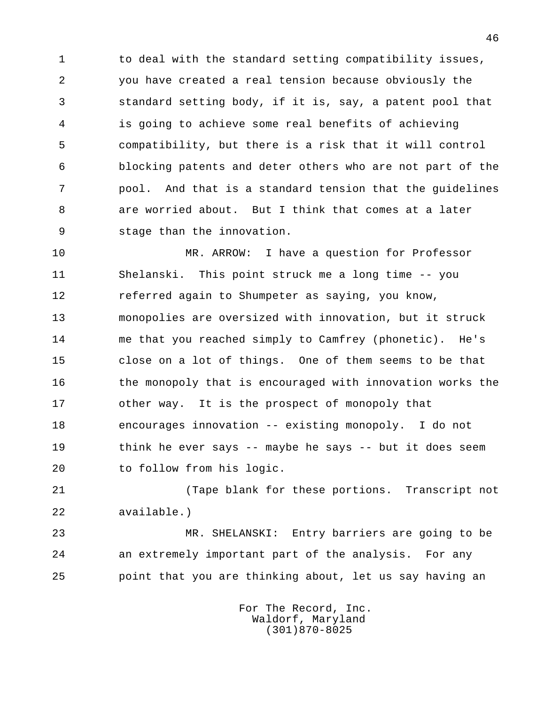1 to deal with the standard setting compatibility issues, 2 you have created a real tension because obviously the 3 standard setting body, if it is, say, a patent pool that 4 is going to achieve some real benefits of achieving 5 compatibility, but there is a risk that it will control 6 blocking patents and deter others who are not part of the 7 pool. And that is a standard tension that the guidelines 8 are worried about. But I think that comes at a later 9 stage than the innovation.

 10 MR. ARROW: I have a question for Professor 11 Shelanski. This point struck me a long time -- you 12 referred again to Shumpeter as saying, you know, 13 monopolies are oversized with innovation, but it struck 14 me that you reached simply to Camfrey (phonetic). He's 15 close on a lot of things. One of them seems to be that 16 the monopoly that is encouraged with innovation works the 17 other way. It is the prospect of monopoly that 18 encourages innovation -- existing monopoly. I do not 19 think he ever says -- maybe he says -- but it does seem 20 to follow from his logic.

 21 (Tape blank for these portions. Transcript not 22 available.)

 23 MR. SHELANSKI: Entry barriers are going to be 24 an extremely important part of the analysis. For any 25 point that you are thinking about, let us say having an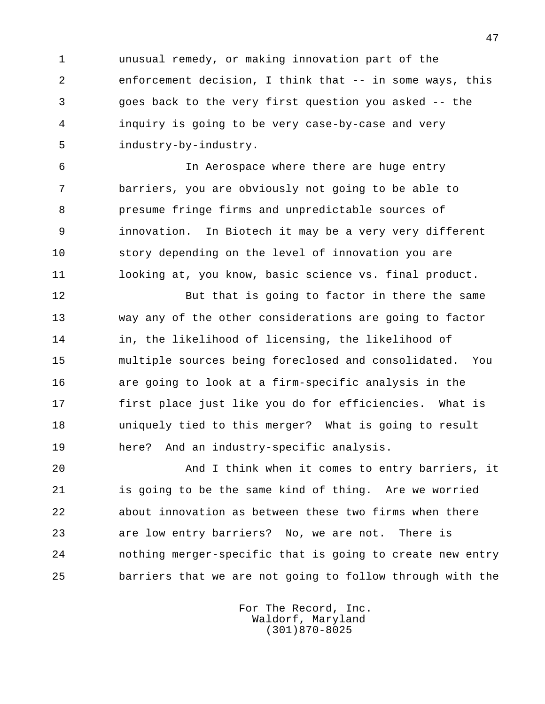1 unusual remedy, or making innovation part of the 2 enforcement decision, I think that -- in some ways, this 3 goes back to the very first question you asked -- the 4 inquiry is going to be very case-by-case and very 5 industry-by-industry.

 6 In Aerospace where there are huge entry 7 barriers, you are obviously not going to be able to 8 presume fringe firms and unpredictable sources of 9 innovation. In Biotech it may be a very very different 10 story depending on the level of innovation you are 11 looking at, you know, basic science vs. final product.

12 But that is going to factor in there the same 13 way any of the other considerations are going to factor 14 in, the likelihood of licensing, the likelihood of 15 multiple sources being foreclosed and consolidated. You 16 are going to look at a firm-specific analysis in the 17 first place just like you do for efficiencies. What is 18 uniquely tied to this merger? What is going to result 19 here? And an industry-specific analysis.

 20 And I think when it comes to entry barriers, it 21 is going to be the same kind of thing. Are we worried 22 about innovation as between these two firms when there 23 are low entry barriers? No, we are not. There is 24 nothing merger-specific that is going to create new entry 25 barriers that we are not going to follow through with the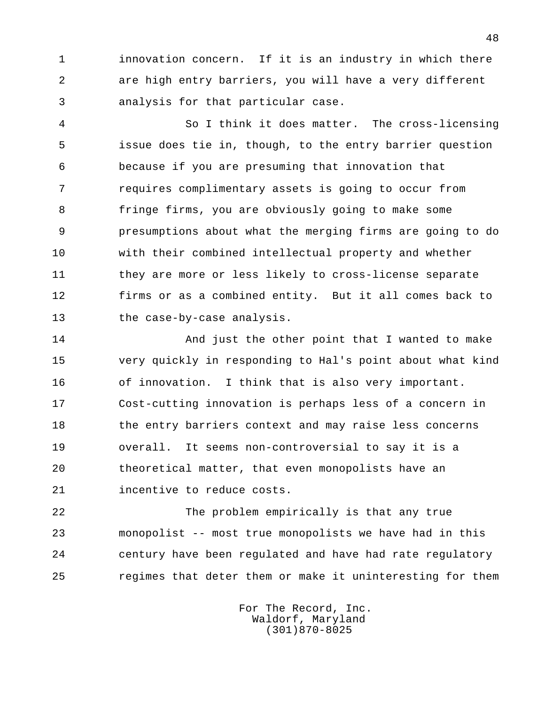1 innovation concern. If it is an industry in which there 2 are high entry barriers, you will have a very different 3 analysis for that particular case.

 4 So I think it does matter. The cross-licensing 5 issue does tie in, though, to the entry barrier question 6 because if you are presuming that innovation that 7 requires complimentary assets is going to occur from 8 fringe firms, you are obviously going to make some 9 presumptions about what the merging firms are going to do 10 with their combined intellectual property and whether 11 they are more or less likely to cross-license separate 12 firms or as a combined entity. But it all comes back to 13 the case-by-case analysis.

14 And just the other point that I wanted to make 15 very quickly in responding to Hal's point about what kind 16 of innovation. I think that is also very important. 17 Cost-cutting innovation is perhaps less of a concern in 18 the entry barriers context and may raise less concerns 19 overall. It seems non-controversial to say it is a 20 theoretical matter, that even monopolists have an 21 incentive to reduce costs.

 22 The problem empirically is that any true 23 monopolist -- most true monopolists we have had in this 24 century have been regulated and have had rate regulatory 25 regimes that deter them or make it uninteresting for them

> For The Record, Inc. Waldorf, Maryland (301)870-8025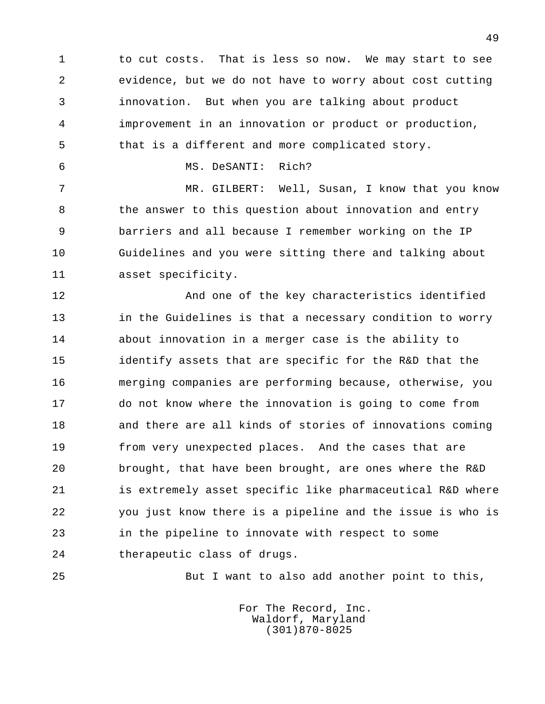1 to cut costs. That is less so now. We may start to see 2 evidence, but we do not have to worry about cost cutting 3 innovation. But when you are talking about product 4 improvement in an innovation or product or production, 5 that is a different and more complicated story.

6 MS. DeSANTI: Rich?

 7 MR. GILBERT: Well, Susan, I know that you know 8 the answer to this question about innovation and entry 9 barriers and all because I remember working on the IP 10 Guidelines and you were sitting there and talking about 11 asset specificity.

 12 And one of the key characteristics identified 13 in the Guidelines is that a necessary condition to worry 14 about innovation in a merger case is the ability to 15 identify assets that are specific for the R&D that the 16 merging companies are performing because, otherwise, you 17 do not know where the innovation is going to come from 18 and there are all kinds of stories of innovations coming 19 from very unexpected places. And the cases that are 20 brought, that have been brought, are ones where the R&D 21 is extremely asset specific like pharmaceutical R&D where 22 you just know there is a pipeline and the issue is who is 23 in the pipeline to innovate with respect to some 24 therapeutic class of drugs.

25 But I want to also add another point to this,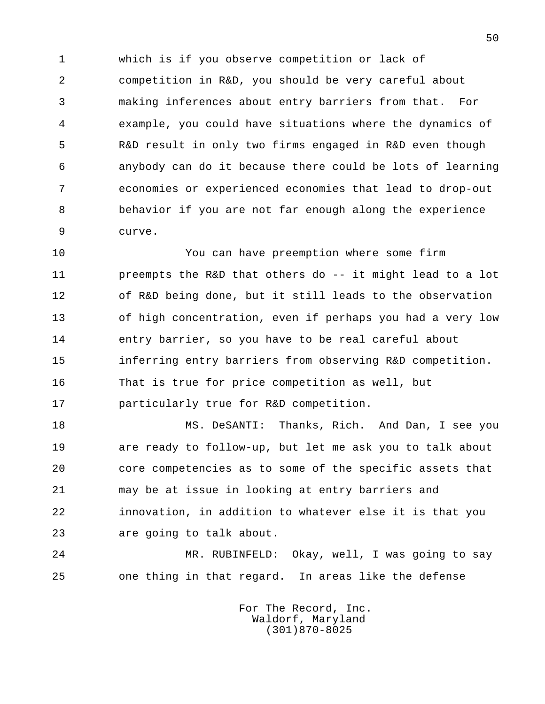1 which is if you observe competition or lack of 2 competition in R&D, you should be very careful about 3 making inferences about entry barriers from that. For 4 example, you could have situations where the dynamics of 5 R&D result in only two firms engaged in R&D even though 6 anybody can do it because there could be lots of learning 7 economies or experienced economies that lead to drop-out 8 behavior if you are not far enough along the experience 9 curve.

 10 You can have preemption where some firm 11 preempts the R&D that others do -- it might lead to a lot 12 of R&D being done, but it still leads to the observation 13 of high concentration, even if perhaps you had a very low 14 entry barrier, so you have to be real careful about 15 inferring entry barriers from observing R&D competition. 16 That is true for price competition as well, but 17 particularly true for R&D competition.

 18 MS. DeSANTI: Thanks, Rich. And Dan, I see you 19 are ready to follow-up, but let me ask you to talk about 20 core competencies as to some of the specific assets that 21 may be at issue in looking at entry barriers and 22 innovation, in addition to whatever else it is that you 23 are going to talk about.

 24 MR. RUBINFELD: Okay, well, I was going to say 25 one thing in that regard. In areas like the defense

> For The Record, Inc. Waldorf, Maryland (301)870-8025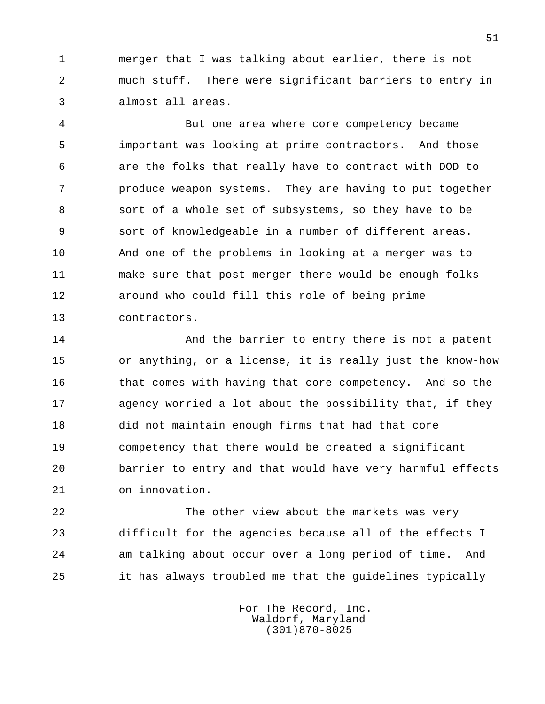1 merger that I was talking about earlier, there is not 2 much stuff. There were significant barriers to entry in 3 almost all areas.

 4 But one area where core competency became 5 important was looking at prime contractors. And those 6 are the folks that really have to contract with DOD to 7 **produce weapon systems.** They are having to put together 8 sort of a whole set of subsystems, so they have to be 9 sort of knowledgeable in a number of different areas. 10 And one of the problems in looking at a merger was to 11 make sure that post-merger there would be enough folks 12 around who could fill this role of being prime 13 contractors.

14 And the barrier to entry there is not a patent 15 or anything, or a license, it is really just the know-how 16 that comes with having that core competency. And so the 17 agency worried a lot about the possibility that, if they 18 did not maintain enough firms that had that core 19 competency that there would be created a significant 20 barrier to entry and that would have very harmful effects 21 on innovation.

 22 The other view about the markets was very 23 difficult for the agencies because all of the effects I 24 am talking about occur over a long period of time. And 25 it has always troubled me that the guidelines typically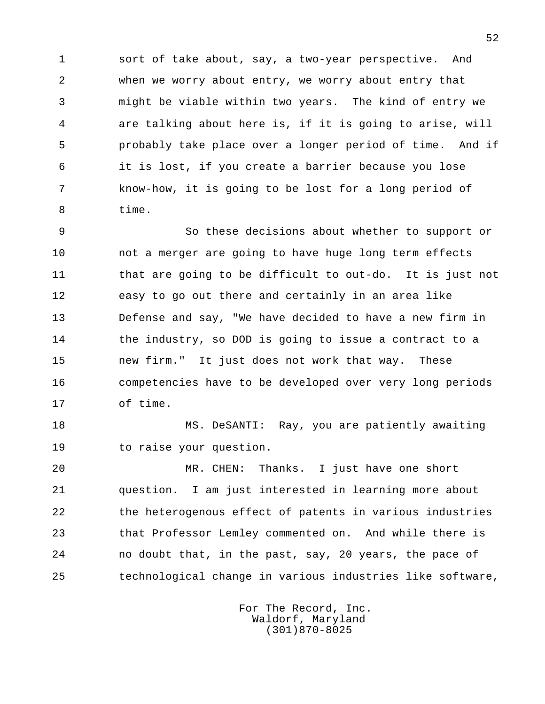1 sort of take about, say, a two-year perspective. And 2 when we worry about entry, we worry about entry that 3 might be viable within two years. The kind of entry we 4 are talking about here is, if it is going to arise, will 5 probably take place over a longer period of time. And if 6 it is lost, if you create a barrier because you lose 7 know-how, it is going to be lost for a long period of 8 time.

 9 So these decisions about whether to support or 10 not a merger are going to have huge long term effects 11 that are going to be difficult to out-do. It is just not 12 easy to go out there and certainly in an area like 13 Defense and say, "We have decided to have a new firm in 14 the industry, so DOD is going to issue a contract to a 15 new firm." It just does not work that way. These 16 competencies have to be developed over very long periods 17 of time.

18 MS. DeSANTI: Ray, you are patiently awaiting 19 to raise your question.

 20 MR. CHEN: Thanks. I just have one short 21 question. I am just interested in learning more about 22 the heterogenous effect of patents in various industries 23 that Professor Lemley commented on. And while there is 24 no doubt that, in the past, say, 20 years, the pace of 25 technological change in various industries like software,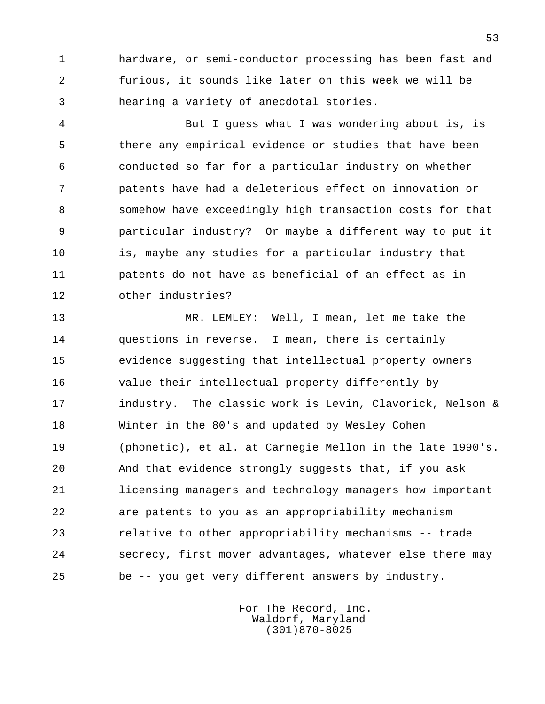1 hardware, or semi-conductor processing has been fast and 2 furious, it sounds like later on this week we will be 3 hearing a variety of anecdotal stories.

 4 But I guess what I was wondering about is, is 5 there any empirical evidence or studies that have been 6 conducted so far for a particular industry on whether 7 patents have had a deleterious effect on innovation or 8 somehow have exceedingly high transaction costs for that 9 particular industry? Or maybe a different way to put it 10 is, maybe any studies for a particular industry that 11 patents do not have as beneficial of an effect as in 12 other industries?

 13 MR. LEMLEY: Well, I mean, let me take the 14 questions in reverse. I mean, there is certainly 15 evidence suggesting that intellectual property owners 16 value their intellectual property differently by 17 industry. The classic work is Levin, Clavorick, Nelson & 18 Winter in the 80's and updated by Wesley Cohen 19 (phonetic), et al. at Carnegie Mellon in the late 1990's. 20 And that evidence strongly suggests that, if you ask 21 licensing managers and technology managers how important 22 are patents to you as an appropriability mechanism 23 relative to other appropriability mechanisms -- trade 24 secrecy, first mover advantages, whatever else there may 25 be -- you get very different answers by industry.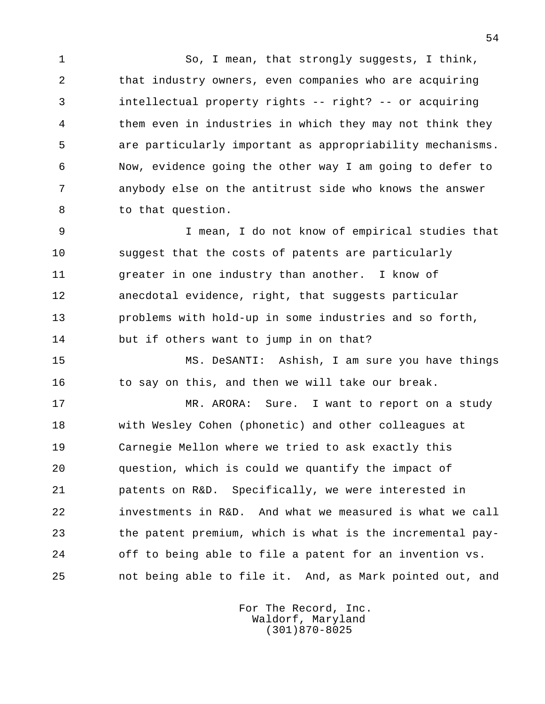1 So, I mean, that strongly suggests, I think, 2 that industry owners, even companies who are acquiring 3 intellectual property rights -- right? -- or acquiring 4 them even in industries in which they may not think they 5 are particularly important as appropriability mechanisms. 6 Now, evidence going the other way I am going to defer to 7 anybody else on the antitrust side who knows the answer 8 to that question.

 9 I mean, I do not know of empirical studies that 10 suggest that the costs of patents are particularly 11 greater in one industry than another. I know of 12 anecdotal evidence, right, that suggests particular 13 problems with hold-up in some industries and so forth, 14 but if others want to jump in on that?

 15 MS. DeSANTI: Ashish, I am sure you have things 16 to say on this, and then we will take our break.

17 MR. ARORA: Sure. I want to report on a study 18 with Wesley Cohen (phonetic) and other colleagues at 19 Carnegie Mellon where we tried to ask exactly this 20 question, which is could we quantify the impact of 21 patents on R&D. Specifically, we were interested in 22 investments in R&D. And what we measured is what we call 23 the patent premium, which is what is the incremental pay- 24 off to being able to file a patent for an invention vs. 25 not being able to file it. And, as Mark pointed out, and

> For The Record, Inc. Waldorf, Maryland (301)870-8025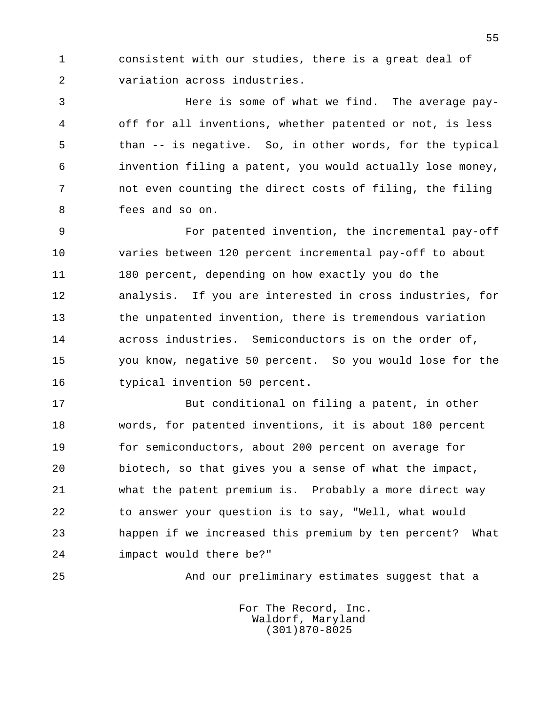1 consistent with our studies, there is a great deal of 2 variation across industries.

 3 Here is some of what we find. The average pay- 4 off for all inventions, whether patented or not, is less 5 than -- is negative. So, in other words, for the typical 6 invention filing a patent, you would actually lose money, 7 not even counting the direct costs of filing, the filing 8 fees and so on.

 9 For patented invention, the incremental pay-off 10 varies between 120 percent incremental pay-off to about 11 180 percent, depending on how exactly you do the 12 analysis. If you are interested in cross industries, for 13 the unpatented invention, there is tremendous variation 14 across industries. Semiconductors is on the order of, 15 you know, negative 50 percent. So you would lose for the 16 typical invention 50 percent.

 17 But conditional on filing a patent, in other 18 words, for patented inventions, it is about 180 percent 19 for semiconductors, about 200 percent on average for 20 biotech, so that gives you a sense of what the impact, 21 what the patent premium is. Probably a more direct way 22 to answer your question is to say, "Well, what would 23 happen if we increased this premium by ten percent? What 24 impact would there be?"

25 And our preliminary estimates suggest that a

 For The Record, Inc. Waldorf, Maryland (301)870-8025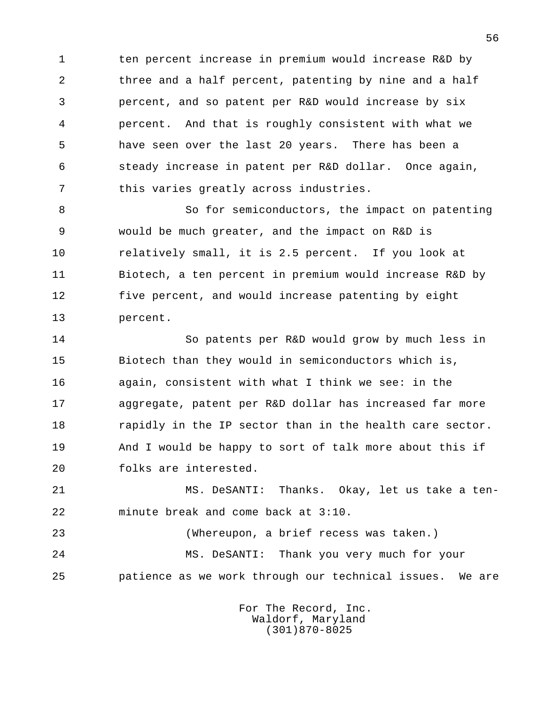1 ten percent increase in premium would increase R&D by 2 three and a half percent, patenting by nine and a half 3 percent, and so patent per R&D would increase by six 4 percent. And that is roughly consistent with what we 5 have seen over the last 20 years. There has been a 6 steady increase in patent per R&D dollar. Once again, 7 this varies greatly across industries.

8 So for semiconductors, the impact on patenting 9 would be much greater, and the impact on R&D is 10 relatively small, it is 2.5 percent. If you look at 11 Biotech, a ten percent in premium would increase R&D by 12 five percent, and would increase patenting by eight 13 percent.

 14 So patents per R&D would grow by much less in 15 Biotech than they would in semiconductors which is, 16 again, consistent with what I think we see: in the 17 aggregate, patent per R&D dollar has increased far more 18 rapidly in the IP sector than in the health care sector. 19 And I would be happy to sort of talk more about this if 20 folks are interested.

 21 MS. DeSANTI: Thanks. Okay, let us take a ten- 22 minute break and come back at 3:10.

 23 (Whereupon, a brief recess was taken.) 24 MS. DeSANTI: Thank you very much for your 25 patience as we work through our technical issues. We are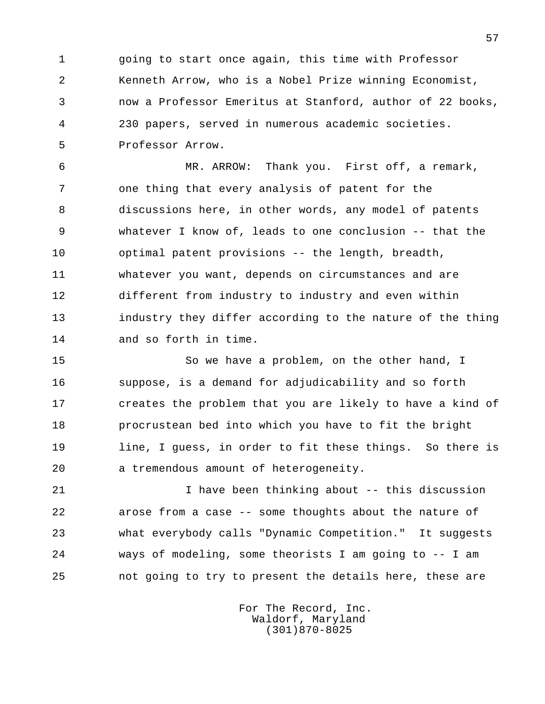1 going to start once again, this time with Professor 2 Kenneth Arrow, who is a Nobel Prize winning Economist, 3 now a Professor Emeritus at Stanford, author of 22 books, 4 230 papers, served in numerous academic societies. 5 Professor Arrow.

 6 MR. ARROW: Thank you. First off, a remark, 7 one thing that every analysis of patent for the 8 discussions here, in other words, any model of patents 9 whatever I know of, leads to one conclusion -- that the 10 optimal patent provisions -- the length, breadth, 11 whatever you want, depends on circumstances and are 12 different from industry to industry and even within 13 industry they differ according to the nature of the thing 14 and so forth in time.

15 So we have a problem, on the other hand, I 16 suppose, is a demand for adjudicability and so forth 17 creates the problem that you are likely to have a kind of 18 procrustean bed into which you have to fit the bright 19 line, I guess, in order to fit these things. So there is 20 a tremendous amount of heterogeneity.

 21 I have been thinking about -- this discussion 22 arose from a case -- some thoughts about the nature of 23 what everybody calls "Dynamic Competition." It suggests 24 ways of modeling, some theorists I am going to -- I am 25 not going to try to present the details here, these are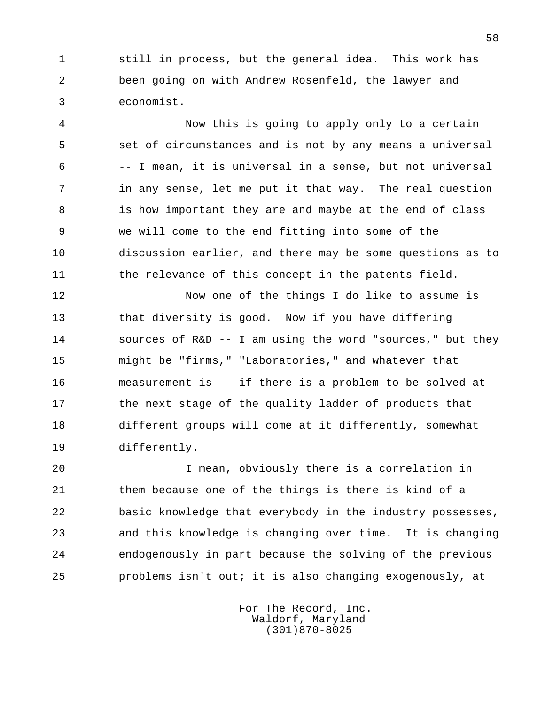1 still in process, but the general idea. This work has 2 been going on with Andrew Rosenfeld, the lawyer and 3 economist.

 4 Now this is going to apply only to a certain 5 set of circumstances and is not by any means a universal 6 -- I mean, it is universal in a sense, but not universal 7 in any sense, let me put it that way. The real question 8 is how important they are and maybe at the end of class 9 we will come to the end fitting into some of the 10 discussion earlier, and there may be some questions as to 11 the relevance of this concept in the patents field.

 12 Now one of the things I do like to assume is 13 that diversity is good. Now if you have differing 14 sources of R&D -- I am using the word "sources," but they 15 might be "firms," "Laboratories," and whatever that 16 measurement is -- if there is a problem to be solved at 17 the next stage of the quality ladder of products that 18 different groups will come at it differently, somewhat 19 differently.

 20 I mean, obviously there is a correlation in 21 them because one of the things is there is kind of a 22 basic knowledge that everybody in the industry possesses, 23 and this knowledge is changing over time. It is changing 24 endogenously in part because the solving of the previous 25 problems isn't out; it is also changing exogenously, at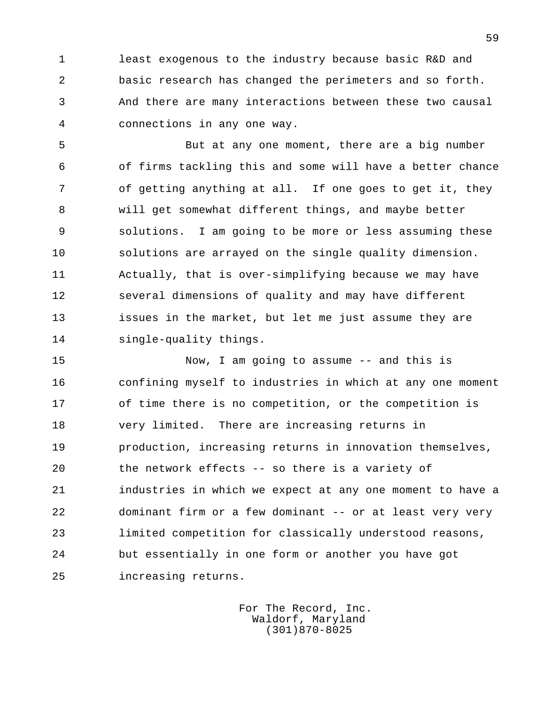1 least exogenous to the industry because basic R&D and 2 basic research has changed the perimeters and so forth. 3 And there are many interactions between these two causal 4 connections in any one way.

 5 But at any one moment, there are a big number 6 of firms tackling this and some will have a better chance 7 of getting anything at all. If one goes to get it, they 8 will get somewhat different things, and maybe better 9 solutions. I am going to be more or less assuming these 10 solutions are arrayed on the single quality dimension. 11 Actually, that is over-simplifying because we may have 12 several dimensions of quality and may have different 13 issues in the market, but let me just assume they are 14 single-quality things.

 15 Now, I am going to assume -- and this is 16 confining myself to industries in which at any one moment 17 of time there is no competition, or the competition is 18 very limited. There are increasing returns in 19 production, increasing returns in innovation themselves, 20 the network effects -- so there is a variety of 21 industries in which we expect at any one moment to have a 22 dominant firm or a few dominant -- or at least very very 23 limited competition for classically understood reasons, 24 but essentially in one form or another you have got 25 increasing returns.

> For The Record, Inc. Waldorf, Maryland (301)870-8025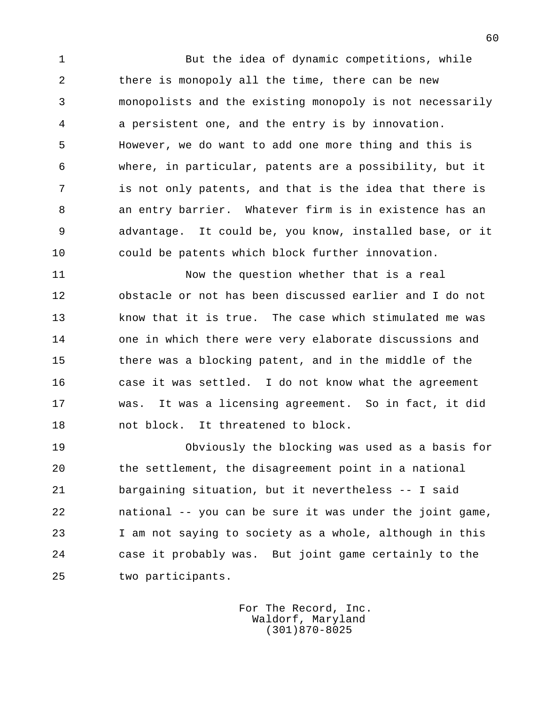1 But the idea of dynamic competitions, while 2 there is monopoly all the time, there can be new 3 monopolists and the existing monopoly is not necessarily 4 a persistent one, and the entry is by innovation. 5 However, we do want to add one more thing and this is 6 where, in particular, patents are a possibility, but it 7 is not only patents, and that is the idea that there is 8 an entry barrier. Whatever firm is in existence has an 9 advantage. It could be, you know, installed base, or it 10 could be patents which block further innovation.

 11 Now the question whether that is a real 12 obstacle or not has been discussed earlier and I do not 13 know that it is true. The case which stimulated me was 14 one in which there were very elaborate discussions and 15 there was a blocking patent, and in the middle of the 16 case it was settled. I do not know what the agreement 17 was. It was a licensing agreement. So in fact, it did 18 not block. It threatened to block.

 19 Obviously the blocking was used as a basis for 20 the settlement, the disagreement point in a national 21 bargaining situation, but it nevertheless -- I said 22 national -- you can be sure it was under the joint game, 23 I am not saying to society as a whole, although in this 24 case it probably was. But joint game certainly to the 25 two participants.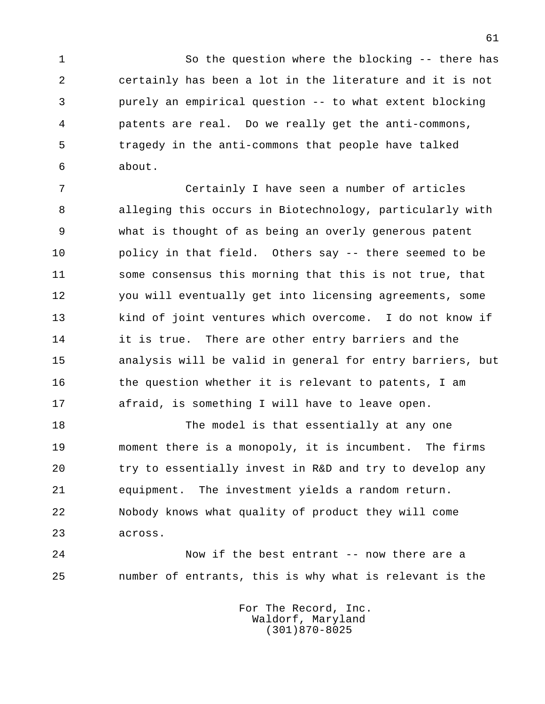1 So the question where the blocking -- there has 2 certainly has been a lot in the literature and it is not 3 purely an empirical question -- to what extent blocking 4 patents are real. Do we really get the anti-commons, 5 tragedy in the anti-commons that people have talked 6 about.

 7 Certainly I have seen a number of articles 8 alleging this occurs in Biotechnology, particularly with 9 what is thought of as being an overly generous patent 10 policy in that field. Others say -- there seemed to be 11 some consensus this morning that this is not true, that 12 you will eventually get into licensing agreements, some 13 kind of joint ventures which overcome. I do not know if 14 it is true. There are other entry barriers and the 15 analysis will be valid in general for entry barriers, but 16 the question whether it is relevant to patents, I am 17 afraid, is something I will have to leave open.

18 The model is that essentially at any one 19 moment there is a monopoly, it is incumbent. The firms 20 try to essentially invest in R&D and try to develop any 21 equipment. The investment yields a random return. 22 Nobody knows what quality of product they will come 23 across.

 24 Now if the best entrant -- now there are a 25 number of entrants, this is why what is relevant is the

> For The Record, Inc. Waldorf, Maryland (301)870-8025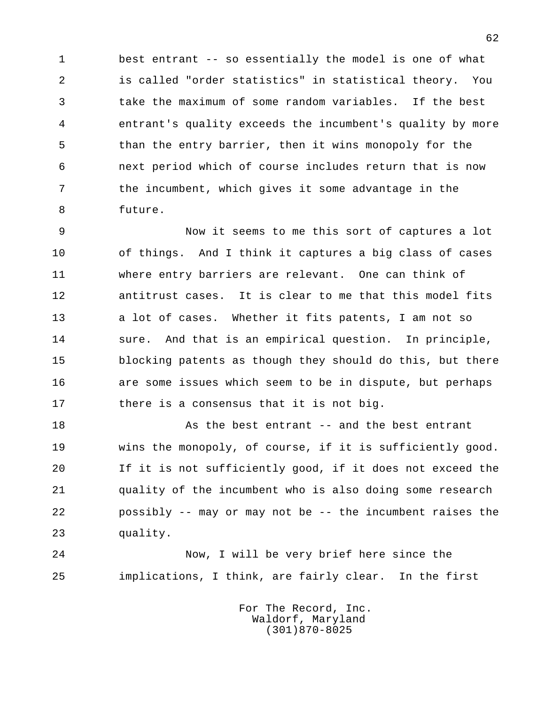1 best entrant -- so essentially the model is one of what 2 is called "order statistics" in statistical theory. You 3 take the maximum of some random variables. If the best 4 entrant's quality exceeds the incumbent's quality by more 5 than the entry barrier, then it wins monopoly for the 6 next period which of course includes return that is now 7 the incumbent, which gives it some advantage in the 8 future.

 9 Now it seems to me this sort of captures a lot 10 of things. And I think it captures a big class of cases 11 where entry barriers are relevant. One can think of 12 antitrust cases. It is clear to me that this model fits 13 a lot of cases. Whether it fits patents, I am not so 14 sure. And that is an empirical question. In principle, 15 blocking patents as though they should do this, but there 16 are some issues which seem to be in dispute, but perhaps 17 there is a consensus that it is not big.

18 As the best entrant -- and the best entrant 19 wins the monopoly, of course, if it is sufficiently good. 20 If it is not sufficiently good, if it does not exceed the 21 quality of the incumbent who is also doing some research 22 possibly -- may or may not be -- the incumbent raises the 23 quality.

 24 Now, I will be very brief here since the 25 implications, I think, are fairly clear. In the first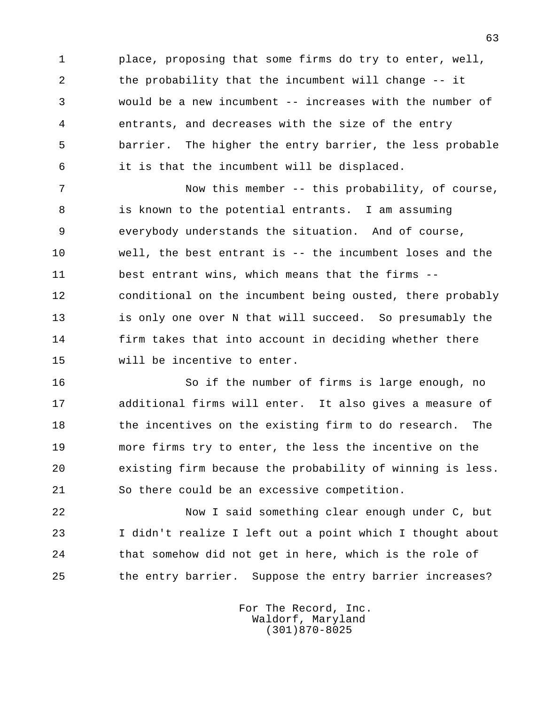1 place, proposing that some firms do try to enter, well, 2 the probability that the incumbent will change -- it 3 would be a new incumbent -- increases with the number of 4 entrants, and decreases with the size of the entry 5 barrier. The higher the entry barrier, the less probable 6 it is that the incumbent will be displaced.

7 Now this member -- this probability, of course, 8 is known to the potential entrants. I am assuming 9 everybody understands the situation. And of course, 10 well, the best entrant is -- the incumbent loses and the 11 best entrant wins, which means that the firms -- 12 conditional on the incumbent being ousted, there probably 13 is only one over N that will succeed. So presumably the 14 firm takes that into account in deciding whether there 15 will be incentive to enter.

 16 So if the number of firms is large enough, no 17 additional firms will enter. It also gives a measure of 18 the incentives on the existing firm to do research. The 19 more firms try to enter, the less the incentive on the 20 existing firm because the probability of winning is less. 21 So there could be an excessive competition.

 22 Now I said something clear enough under C, but 23 I didn't realize I left out a point which I thought about 24 that somehow did not get in here, which is the role of 25 the entry barrier. Suppose the entry barrier increases?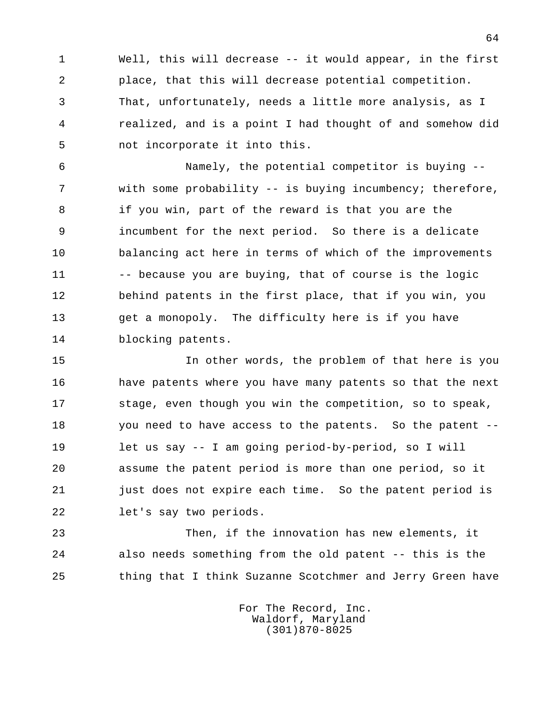1 Well, this will decrease -- it would appear, in the first 2 place, that this will decrease potential competition. 3 That, unfortunately, needs a little more analysis, as I 4 realized, and is a point I had thought of and somehow did 5 not incorporate it into this.

 6 Namely, the potential competitor is buying -- 7 with some probability -- is buying incumbency; therefore, 8 if you win, part of the reward is that you are the 9 incumbent for the next period. So there is a delicate 10 balancing act here in terms of which of the improvements 11 -- because you are buying, that of course is the logic 12 behind patents in the first place, that if you win, you 13 get a monopoly. The difficulty here is if you have 14 blocking patents.

 15 In other words, the problem of that here is you 16 have patents where you have many patents so that the next 17 stage, even though you win the competition, so to speak, 18 you need to have access to the patents. So the patent -- 19 let us say -- I am going period-by-period, so I will 20 assume the patent period is more than one period, so it 21 just does not expire each time. So the patent period is 22 let's say two periods.

 23 Then, if the innovation has new elements, it 24 also needs something from the old patent -- this is the 25 thing that I think Suzanne Scotchmer and Jerry Green have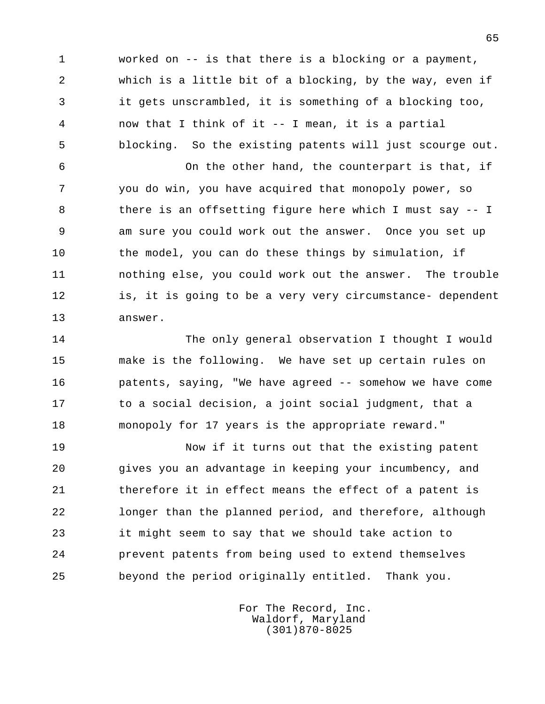1 worked on -- is that there is a blocking or a payment, 2 which is a little bit of a blocking, by the way, even if 3 it gets unscrambled, it is something of a blocking too, 4 now that I think of it -- I mean, it is a partial 5 blocking. So the existing patents will just scourge out.

 6 On the other hand, the counterpart is that, if 7 you do win, you have acquired that monopoly power, so 8 there is an offsetting figure here which I must say -- I 9 am sure you could work out the answer. Once you set up 10 the model, you can do these things by simulation, if 11 nothing else, you could work out the answer. The trouble 12 is, it is going to be a very very circumstance- dependent 13 answer.

 14 The only general observation I thought I would 15 make is the following. We have set up certain rules on 16 patents, saying, "We have agreed -- somehow we have come 17 to a social decision, a joint social judgment, that a 18 monopoly for 17 years is the appropriate reward."

 19 Now if it turns out that the existing patent 20 gives you an advantage in keeping your incumbency, and 21 therefore it in effect means the effect of a patent is 22 longer than the planned period, and therefore, although 23 it might seem to say that we should take action to 24 prevent patents from being used to extend themselves 25 beyond the period originally entitled. Thank you.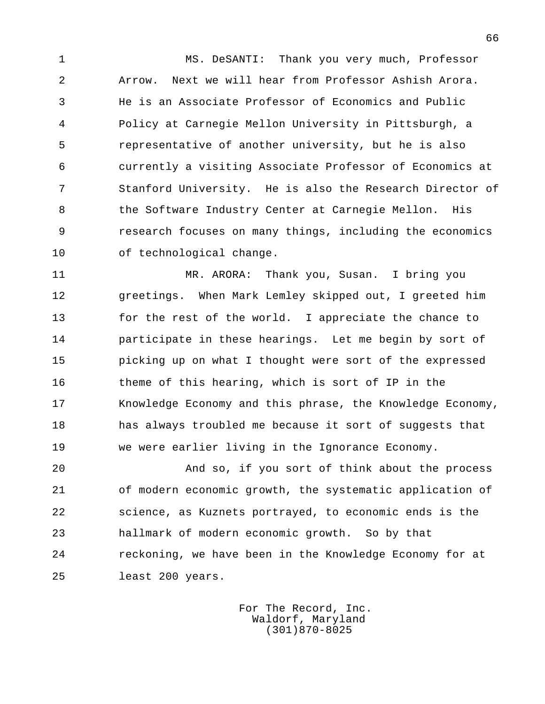1 MS. DeSANTI: Thank you very much, Professor 2 Arrow. Next we will hear from Professor Ashish Arora. 3 He is an Associate Professor of Economics and Public 4 Policy at Carnegie Mellon University in Pittsburgh, a 5 representative of another university, but he is also 6 currently a visiting Associate Professor of Economics at 7 Stanford University. He is also the Research Director of 8 the Software Industry Center at Carnegie Mellon. His 9 research focuses on many things, including the economics 10 of technological change.

 11 MR. ARORA: Thank you, Susan. I bring you 12 greetings. When Mark Lemley skipped out, I greeted him 13 for the rest of the world. I appreciate the chance to 14 participate in these hearings. Let me begin by sort of 15 picking up on what I thought were sort of the expressed 16 theme of this hearing, which is sort of IP in the 17 Knowledge Economy and this phrase, the Knowledge Economy, 18 has always troubled me because it sort of suggests that 19 we were earlier living in the Ignorance Economy.

 20 And so, if you sort of think about the process 21 of modern economic growth, the systematic application of 22 science, as Kuznets portrayed, to economic ends is the 23 hallmark of modern economic growth. So by that 24 reckoning, we have been in the Knowledge Economy for at 25 least 200 years.

> For The Record, Inc. Waldorf, Maryland (301)870-8025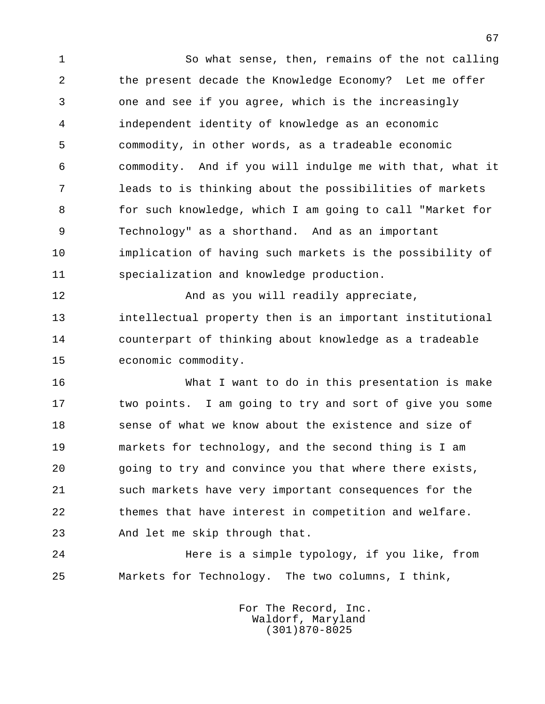1 So what sense, then, remains of the not calling 2 the present decade the Knowledge Economy? Let me offer 3 one and see if you agree, which is the increasingly 4 independent identity of knowledge as an economic 5 commodity, in other words, as a tradeable economic 6 commodity. And if you will indulge me with that, what it 7 leads to is thinking about the possibilities of markets 8 for such knowledge, which I am going to call "Market for 9 Technology" as a shorthand. And as an important 10 implication of having such markets is the possibility of 11 specialization and knowledge production. 12 And as you will readily appreciate, 13 intellectual property then is an important institutional 14 counterpart of thinking about knowledge as a tradeable 15 economic commodity. 16 What I want to do in this presentation is make 17 two points. I am going to try and sort of give you some 18 sense of what we know about the existence and size of 19 markets for technology, and the second thing is I am 20 going to try and convince you that where there exists,

 21 such markets have very important consequences for the 22 themes that have interest in competition and welfare. 23 And let me skip through that.

 24 Here is a simple typology, if you like, from 25 Markets for Technology. The two columns, I think,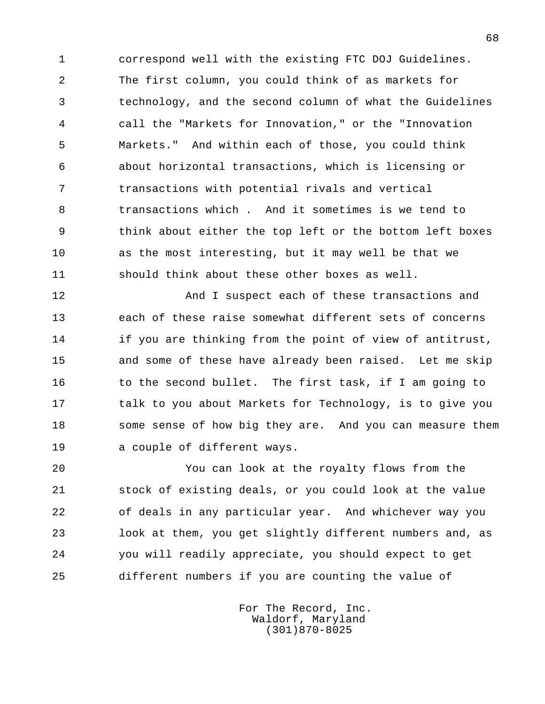1 correspond well with the existing FTC DOJ Guidelines. 2 The first column, you could think of as markets for 3 technology, and the second column of what the Guidelines 4 call the "Markets for Innovation," or the "Innovation 5 Markets." And within each of those, you could think 6 about horizontal transactions, which is licensing or 7 transactions with potential rivals and vertical 8 transactions which . And it sometimes is we tend to 9 think about either the top left or the bottom left boxes 10 as the most interesting, but it may well be that we 11 should think about these other boxes as well.

12 **And I** suspect each of these transactions and 13 each of these raise somewhat different sets of concerns 14 if you are thinking from the point of view of antitrust, 15 and some of these have already been raised. Let me skip 16 to the second bullet. The first task, if I am going to 17 talk to you about Markets for Technology, is to give you 18 some sense of how big they are. And you can measure them 19 a couple of different ways.

 20 You can look at the royalty flows from the 21 stock of existing deals, or you could look at the value 22 of deals in any particular year. And whichever way you 23 look at them, you get slightly different numbers and, as 24 you will readily appreciate, you should expect to get 25 different numbers if you are counting the value of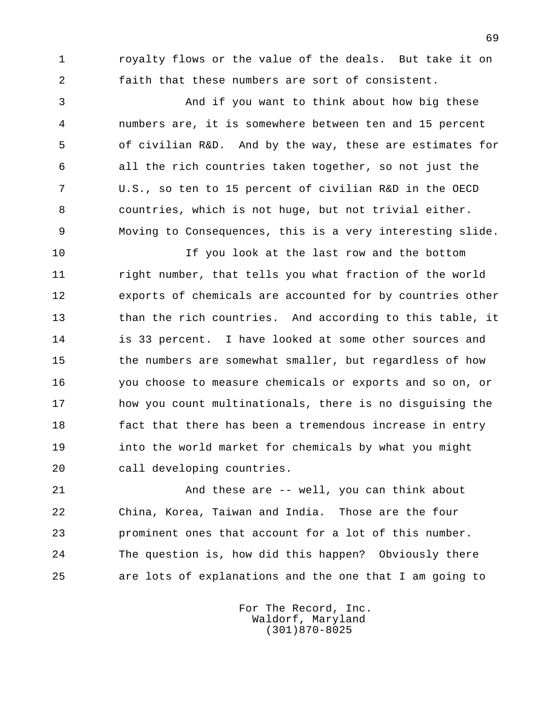1 royalty flows or the value of the deals. But take it on 2 faith that these numbers are sort of consistent.

 3 And if you want to think about how big these 4 numbers are, it is somewhere between ten and 15 percent 5 of civilian R&D. And by the way, these are estimates for 6 all the rich countries taken together, so not just the 7 U.S., so ten to 15 percent of civilian R&D in the OECD 8 countries, which is not huge, but not trivial either. 9 Moving to Consequences, this is a very interesting slide.

 10 If you look at the last row and the bottom 11 right number, that tells you what fraction of the world 12 exports of chemicals are accounted for by countries other 13 than the rich countries. And according to this table, it 14 is 33 percent. I have looked at some other sources and 15 the numbers are somewhat smaller, but regardless of how 16 you choose to measure chemicals or exports and so on, or 17 how you count multinationals, there is no disguising the 18 fact that there has been a tremendous increase in entry 19 into the world market for chemicals by what you might 20 call developing countries.

 21 And these are -- well, you can think about 22 China, Korea, Taiwan and India. Those are the four 23 prominent ones that account for a lot of this number. 24 The question is, how did this happen? Obviously there 25 are lots of explanations and the one that I am going to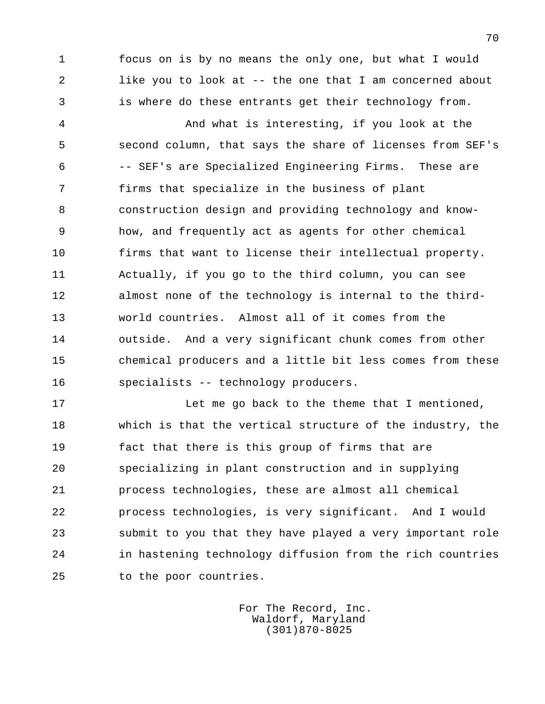1 focus on is by no means the only one, but what I would 2 like you to look at -- the one that I am concerned about 3 is where do these entrants get their technology from.

 4 And what is interesting, if you look at the 5 second column, that says the share of licenses from SEF's 6 -- SEF's are Specialized Engineering Firms. These are 7 firms that specialize in the business of plant 8 construction design and providing technology and know- 9 how, and frequently act as agents for other chemical 10 firms that want to license their intellectual property. 11 Actually, if you go to the third column, you can see 12 almost none of the technology is internal to the third- 13 world countries. Almost all of it comes from the 14 outside. And a very significant chunk comes from other 15 chemical producers and a little bit less comes from these 16 specialists -- technology producers.

17 **Let me go back to the theme that I mentioned,**  18 which is that the vertical structure of the industry, the 19 fact that there is this group of firms that are 20 specializing in plant construction and in supplying 21 process technologies, these are almost all chemical 22 process technologies, is very significant. And I would 23 submit to you that they have played a very important role 24 in hastening technology diffusion from the rich countries 25 to the poor countries.

> For The Record, Inc. Waldorf, Maryland (301)870-8025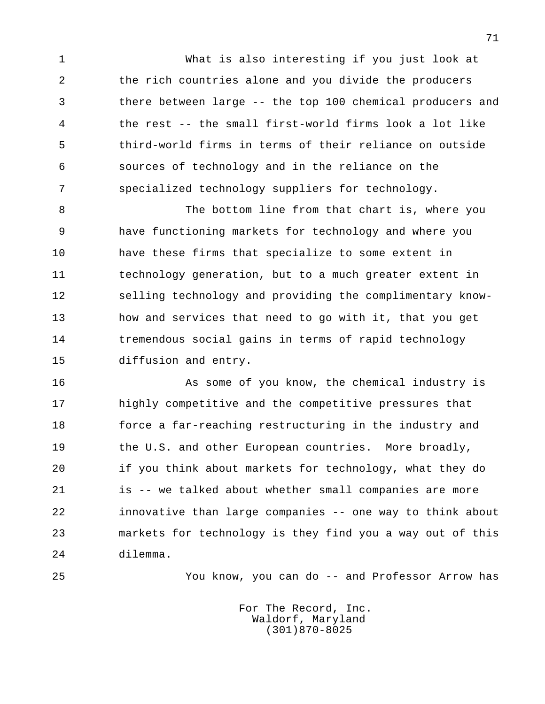1 What is also interesting if you just look at 2 the rich countries alone and you divide the producers 3 there between large -- the top 100 chemical producers and 4 the rest -- the small first-world firms look a lot like 5 third-world firms in terms of their reliance on outside 6 sources of technology and in the reliance on the 7 specialized technology suppliers for technology.

8 The bottom line from that chart is, where you 9 have functioning markets for technology and where you 10 have these firms that specialize to some extent in 11 technology generation, but to a much greater extent in 12 selling technology and providing the complimentary know- 13 how and services that need to go with it, that you get 14 tremendous social gains in terms of rapid technology 15 diffusion and entry.

 16 As some of you know, the chemical industry is 17 highly competitive and the competitive pressures that 18 force a far-reaching restructuring in the industry and 19 the U.S. and other European countries. More broadly, 20 if you think about markets for technology, what they do 21 is -- we talked about whether small companies are more 22 innovative than large companies -- one way to think about 23 markets for technology is they find you a way out of this 24 dilemma.

25 You know, you can do -- and Professor Arrow has

 For The Record, Inc. Waldorf, Maryland (301)870-8025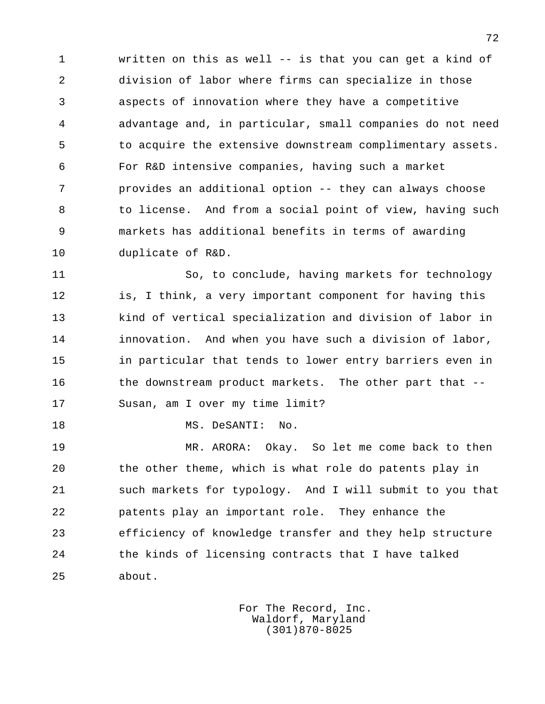1 written on this as well -- is that you can get a kind of 2 division of labor where firms can specialize in those 3 aspects of innovation where they have a competitive 4 advantage and, in particular, small companies do not need 5 to acquire the extensive downstream complimentary assets. 6 For R&D intensive companies, having such a market 7 provides an additional option -- they can always choose 8 to license. And from a social point of view, having such 9 markets has additional benefits in terms of awarding 10 duplicate of R&D.

 11 So, to conclude, having markets for technology 12 is, I think, a very important component for having this 13 kind of vertical specialization and division of labor in 14 innovation. And when you have such a division of labor, 15 in particular that tends to lower entry barriers even in 16 the downstream product markets. The other part that --17 Susan, am I over my time limit?

18 MS. DeSANTI: No.

 19 MR. ARORA: Okay. So let me come back to then 20 the other theme, which is what role do patents play in 21 such markets for typology. And I will submit to you that 22 patents play an important role. They enhance the 23 efficiency of knowledge transfer and they help structure 24 the kinds of licensing contracts that I have talked 25 about.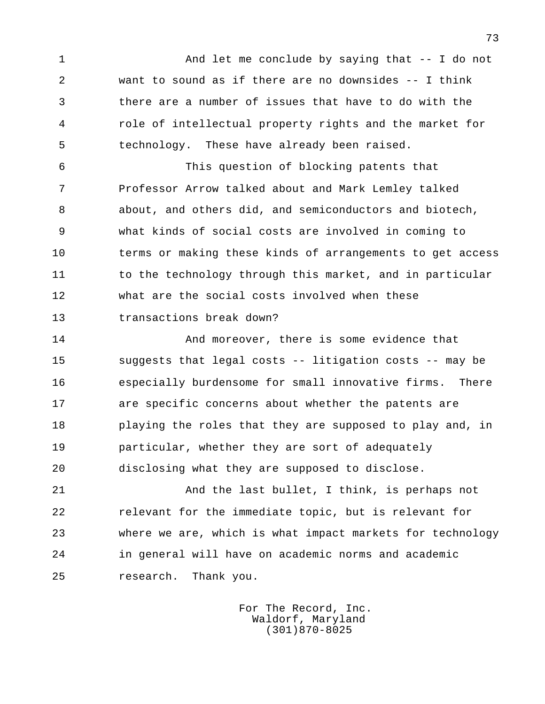1 And let me conclude by saying that -- I do not 2 want to sound as if there are no downsides -- I think 3 there are a number of issues that have to do with the 4 role of intellectual property rights and the market for 5 technology. These have already been raised.

 6 This question of blocking patents that 7 Professor Arrow talked about and Mark Lemley talked 8 about, and others did, and semiconductors and biotech, 9 what kinds of social costs are involved in coming to 10 terms or making these kinds of arrangements to get access 11 to the technology through this market, and in particular 12 what are the social costs involved when these 13 transactions break down?

14 **And moreover, there is some evidence that**  15 suggests that legal costs -- litigation costs -- may be 16 especially burdensome for small innovative firms. There 17 are specific concerns about whether the patents are 18 playing the roles that they are supposed to play and, in 19 particular, whether they are sort of adequately 20 disclosing what they are supposed to disclose.

 21 And the last bullet, I think, is perhaps not 22 relevant for the immediate topic, but is relevant for 23 where we are, which is what impact markets for technology 24 in general will have on academic norms and academic 25 research. Thank you.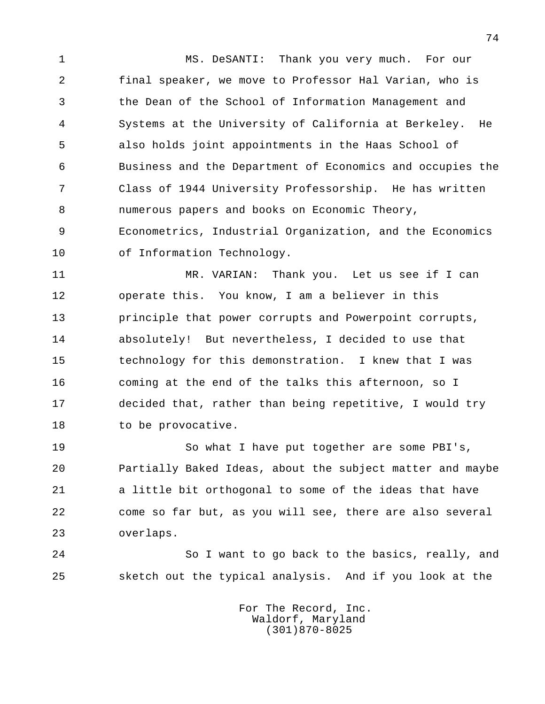1 MS. DeSANTI: Thank you very much. For our 2 final speaker, we move to Professor Hal Varian, who is 3 the Dean of the School of Information Management and 4 Systems at the University of California at Berkeley. He 5 also holds joint appointments in the Haas School of 6 Business and the Department of Economics and occupies the 7 Class of 1944 University Professorship. He has written 8 numerous papers and books on Economic Theory, 9 Econometrics, Industrial Organization, and the Economics 10 of Information Technology.

11 MR. VARIAN: Thank you. Let us see if I can 12 operate this. You know, I am a believer in this 13 principle that power corrupts and Powerpoint corrupts, 14 absolutely! But nevertheless, I decided to use that 15 technology for this demonstration. I knew that I was 16 coming at the end of the talks this afternoon, so I 17 decided that, rather than being repetitive, I would try 18 to be provocative.

 19 So what I have put together are some PBI's, 20 Partially Baked Ideas, about the subject matter and maybe 21 a little bit orthogonal to some of the ideas that have 22 come so far but, as you will see, there are also several 23 overlaps.

 24 So I want to go back to the basics, really, and 25 sketch out the typical analysis. And if you look at the

> For The Record, Inc. Waldorf, Maryland (301)870-8025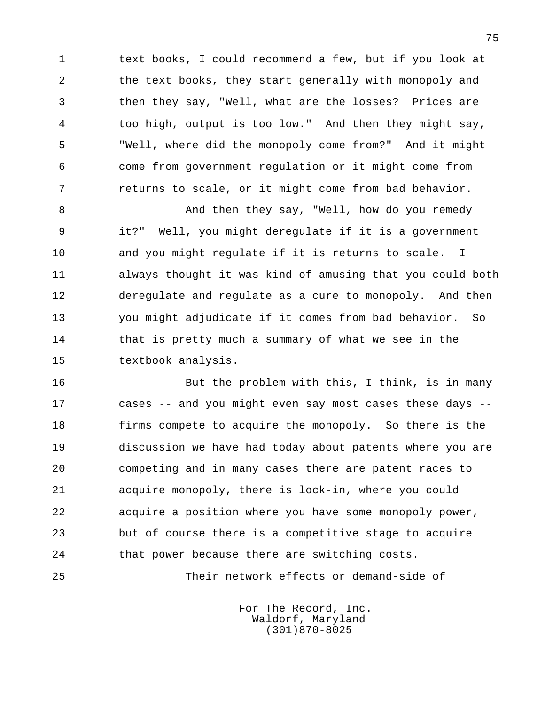1 text books, I could recommend a few, but if you look at 2 the text books, they start generally with monopoly and 3 then they say, "Well, what are the losses? Prices are 4 too high, output is too low." And then they might say, 5 "Well, where did the monopoly come from?" And it might 6 come from government regulation or it might come from 7 returns to scale, or it might come from bad behavior.

8 And then they say, "Well, how do you remedy 9 it?" Well, you might deregulate if it is a government 10 and you might regulate if it is returns to scale. I 11 always thought it was kind of amusing that you could both 12 deregulate and regulate as a cure to monopoly. And then 13 you might adjudicate if it comes from bad behavior. So 14 that is pretty much a summary of what we see in the 15 textbook analysis.

16 But the problem with this, I think, is in many 17 cases -- and you might even say most cases these days -- 18 firms compete to acquire the monopoly. So there is the 19 discussion we have had today about patents where you are 20 competing and in many cases there are patent races to 21 acquire monopoly, there is lock-in, where you could 22 acquire a position where you have some monopoly power, 23 but of course there is a competitive stage to acquire 24 that power because there are switching costs.

25 Their network effects or demand-side of

 For The Record, Inc. Waldorf, Maryland (301)870-8025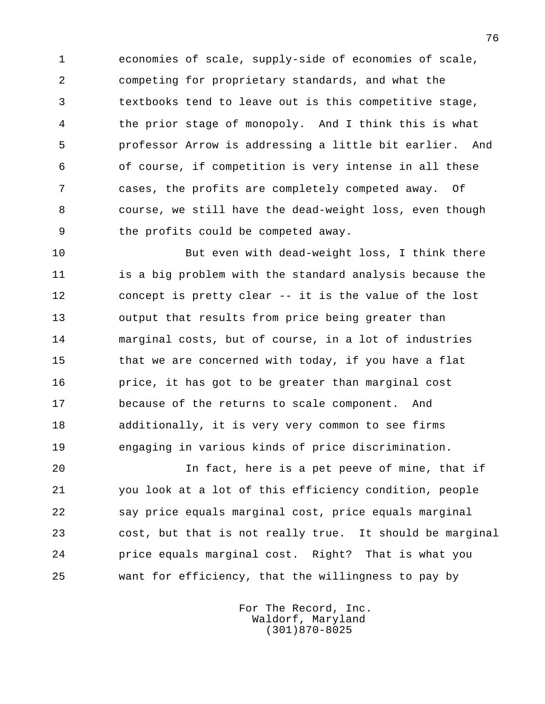1 economies of scale, supply-side of economies of scale, 2 competing for proprietary standards, and what the 3 textbooks tend to leave out is this competitive stage, 4 the prior stage of monopoly. And I think this is what 5 professor Arrow is addressing a little bit earlier. And 6 of course, if competition is very intense in all these 7 cases, the profits are completely competed away. Of 8 course, we still have the dead-weight loss, even though 9 the profits could be competed away.

 10 But even with dead-weight loss, I think there 11 is a big problem with the standard analysis because the 12 concept is pretty clear -- it is the value of the lost 13 output that results from price being greater than 14 marginal costs, but of course, in a lot of industries 15 that we are concerned with today, if you have a flat 16 price, it has got to be greater than marginal cost 17 because of the returns to scale component. And 18 additionally, it is very very common to see firms 19 engaging in various kinds of price discrimination.

 20 In fact, here is a pet peeve of mine, that if 21 you look at a lot of this efficiency condition, people 22 say price equals marginal cost, price equals marginal 23 cost, but that is not really true. It should be marginal 24 price equals marginal cost. Right? That is what you 25 want for efficiency, that the willingness to pay by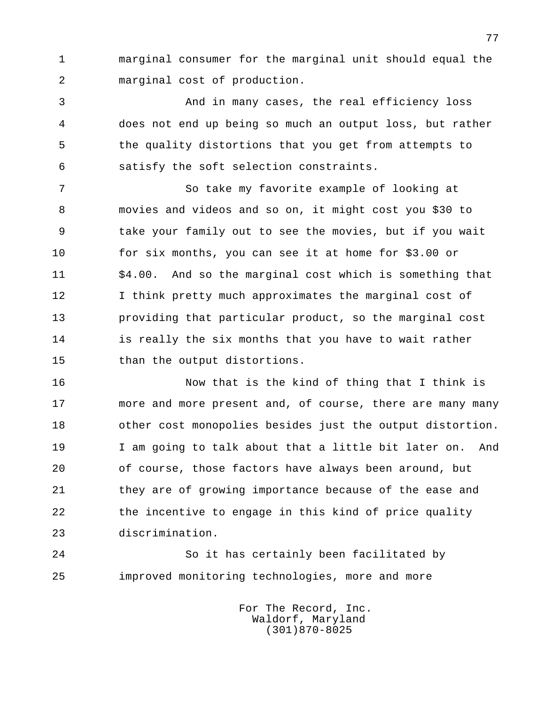1 marginal consumer for the marginal unit should equal the 2 marginal cost of production.

 3 And in many cases, the real efficiency loss 4 does not end up being so much an output loss, but rather 5 the quality distortions that you get from attempts to 6 satisfy the soft selection constraints.

 7 So take my favorite example of looking at 8 movies and videos and so on, it might cost you \$30 to 9 take your family out to see the movies, but if you wait 10 for six months, you can see it at home for \$3.00 or 11 \$4.00. And so the marginal cost which is something that 12 I think pretty much approximates the marginal cost of 13 providing that particular product, so the marginal cost 14 is really the six months that you have to wait rather 15 than the output distortions.

 16 Now that is the kind of thing that I think is 17 more and more present and, of course, there are many many 18 other cost monopolies besides just the output distortion. 19 I am going to talk about that a little bit later on. And 20 of course, those factors have always been around, but 21 they are of growing importance because of the ease and 22 the incentive to engage in this kind of price quality 23 discrimination.

 24 So it has certainly been facilitated by 25 improved monitoring technologies, more and more

> For The Record, Inc. Waldorf, Maryland (301)870-8025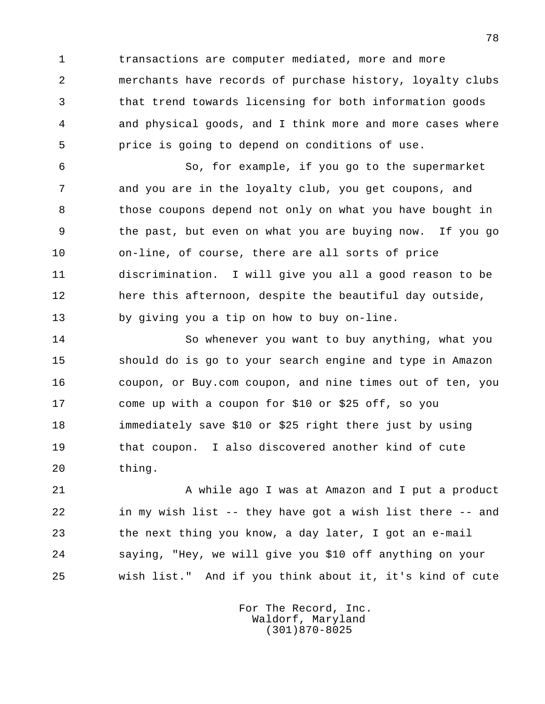1 transactions are computer mediated, more and more 2 merchants have records of purchase history, loyalty clubs 3 that trend towards licensing for both information goods 4 and physical goods, and I think more and more cases where 5 price is going to depend on conditions of use.

 6 So, for example, if you go to the supermarket 7 and you are in the loyalty club, you get coupons, and 8 those coupons depend not only on what you have bought in 9 the past, but even on what you are buying now. If you go 10 on-line, of course, there are all sorts of price 11 discrimination. I will give you all a good reason to be 12 here this afternoon, despite the beautiful day outside, 13 by giving you a tip on how to buy on-line.

 14 So whenever you want to buy anything, what you 15 should do is go to your search engine and type in Amazon 16 coupon, or Buy.com coupon, and nine times out of ten, you 17 come up with a coupon for \$10 or \$25 off, so you 18 immediately save \$10 or \$25 right there just by using 19 that coupon. I also discovered another kind of cute 20 thing.

21 A while ago I was at Amazon and I put a product 22 in my wish list -- they have got a wish list there -- and 23 the next thing you know, a day later, I got an e-mail 24 saying, "Hey, we will give you \$10 off anything on your 25 wish list." And if you think about it, it's kind of cute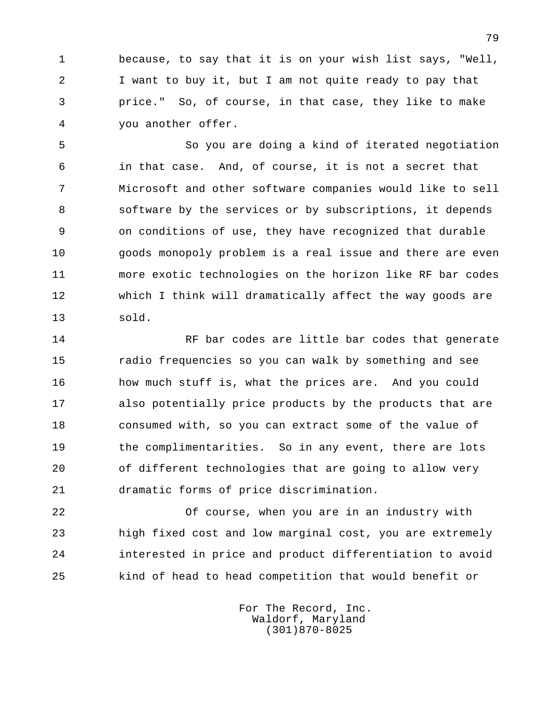1 because, to say that it is on your wish list says, "Well, 2 I want to buy it, but I am not quite ready to pay that 3 price." So, of course, in that case, they like to make 4 you another offer.

 5 So you are doing a kind of iterated negotiation 6 in that case. And, of course, it is not a secret that 7 Microsoft and other software companies would like to sell 8 software by the services or by subscriptions, it depends 9 on conditions of use, they have recognized that durable 10 goods monopoly problem is a real issue and there are even 11 more exotic technologies on the horizon like RF bar codes 12 which I think will dramatically affect the way goods are 13 sold.

14 RF bar codes are little bar codes that generate 15 radio frequencies so you can walk by something and see 16 how much stuff is, what the prices are. And you could 17 also potentially price products by the products that are 18 consumed with, so you can extract some of the value of 19 the complimentarities. So in any event, there are lots 20 of different technologies that are going to allow very 21 dramatic forms of price discrimination.

 22 Of course, when you are in an industry with 23 high fixed cost and low marginal cost, you are extremely 24 interested in price and product differentiation to avoid 25 kind of head to head competition that would benefit or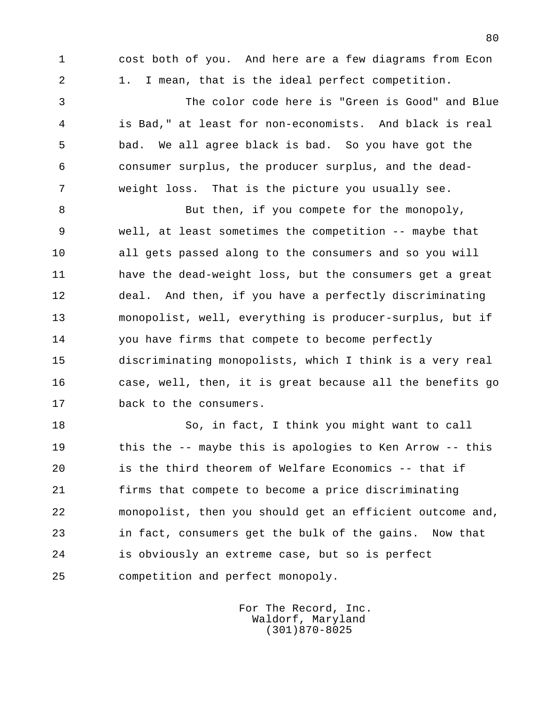1 cost both of you. And here are a few diagrams from Econ 2 1. I mean, that is the ideal perfect competition.

 3 The color code here is "Green is Good" and Blue 4 is Bad," at least for non-economists. And black is real 5 bad. We all agree black is bad. So you have got the 6 consumer surplus, the producer surplus, and the dead- 7 weight loss. That is the picture you usually see.

8 But then, if you compete for the monopoly, 9 well, at least sometimes the competition -- maybe that 10 all gets passed along to the consumers and so you will 11 have the dead-weight loss, but the consumers get a great 12 deal. And then, if you have a perfectly discriminating 13 monopolist, well, everything is producer-surplus, but if 14 you have firms that compete to become perfectly 15 discriminating monopolists, which I think is a very real 16 case, well, then, it is great because all the benefits go 17 back to the consumers.

 18 So, in fact, I think you might want to call 19 this the -- maybe this is apologies to Ken Arrow -- this 20 is the third theorem of Welfare Economics -- that if 21 firms that compete to become a price discriminating 22 monopolist, then you should get an efficient outcome and, 23 in fact, consumers get the bulk of the gains. Now that 24 is obviously an extreme case, but so is perfect 25 competition and perfect monopoly.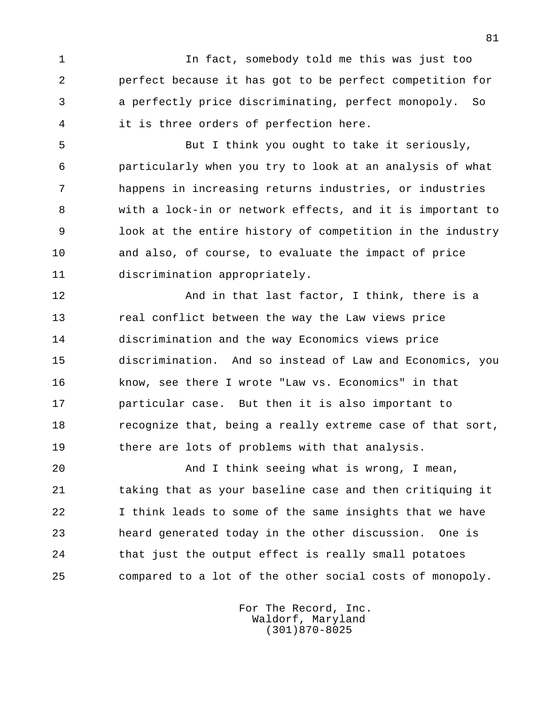1 In fact, somebody told me this was just too 2 perfect because it has got to be perfect competition for 3 a perfectly price discriminating, perfect monopoly. So 4 it is three orders of perfection here.

 5 But I think you ought to take it seriously, 6 particularly when you try to look at an analysis of what 7 happens in increasing returns industries, or industries 8 with a lock-in or network effects, and it is important to 9 look at the entire history of competition in the industry 10 and also, of course, to evaluate the impact of price 11 discrimination appropriately.

12 And in that last factor, I think, there is a 13 real conflict between the way the Law views price 14 discrimination and the way Economics views price 15 discrimination. And so instead of Law and Economics, you 16 know, see there I wrote "Law vs. Economics" in that 17 particular case. But then it is also important to 18 recognize that, being a really extreme case of that sort, 19 there are lots of problems with that analysis.

 20 And I think seeing what is wrong, I mean, 21 taking that as your baseline case and then critiquing it 22 I think leads to some of the same insights that we have 23 heard generated today in the other discussion. One is 24 that just the output effect is really small potatoes 25 compared to a lot of the other social costs of monopoly.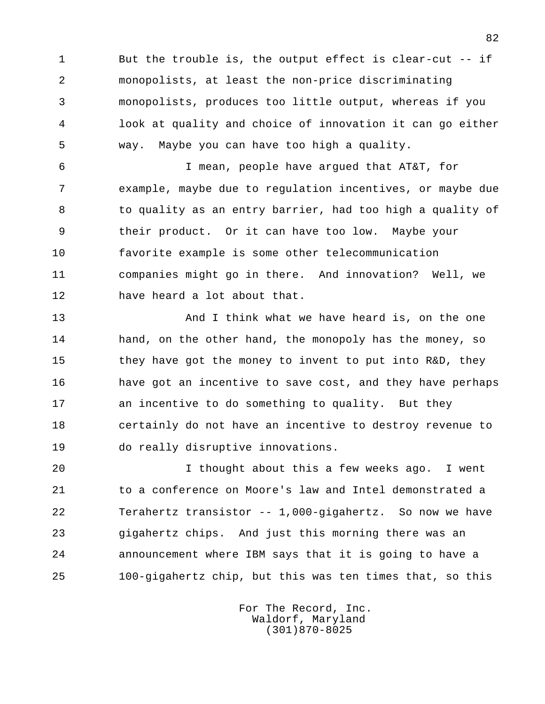1 But the trouble is, the output effect is clear-cut -- if 2 monopolists, at least the non-price discriminating 3 monopolists, produces too little output, whereas if you 4 look at quality and choice of innovation it can go either 5 way. Maybe you can have too high a quality.

 6 I mean, people have argued that AT&T, for 7 example, maybe due to regulation incentives, or maybe due 8 to quality as an entry barrier, had too high a quality of 9 their product. Or it can have too low. Maybe your 10 favorite example is some other telecommunication 11 companies might go in there. And innovation? Well, we 12 have heard a lot about that.

13 And I think what we have heard is, on the one 14 hand, on the other hand, the monopoly has the money, so 15 they have got the money to invent to put into R&D, they 16 have got an incentive to save cost, and they have perhaps 17 an incentive to do something to quality. But they 18 certainly do not have an incentive to destroy revenue to 19 do really disruptive innovations.

 20 I thought about this a few weeks ago. I went 21 to a conference on Moore's law and Intel demonstrated a 22 Terahertz transistor -- 1,000-gigahertz. So now we have 23 gigahertz chips. And just this morning there was an 24 announcement where IBM says that it is going to have a 25 100-gigahertz chip, but this was ten times that, so this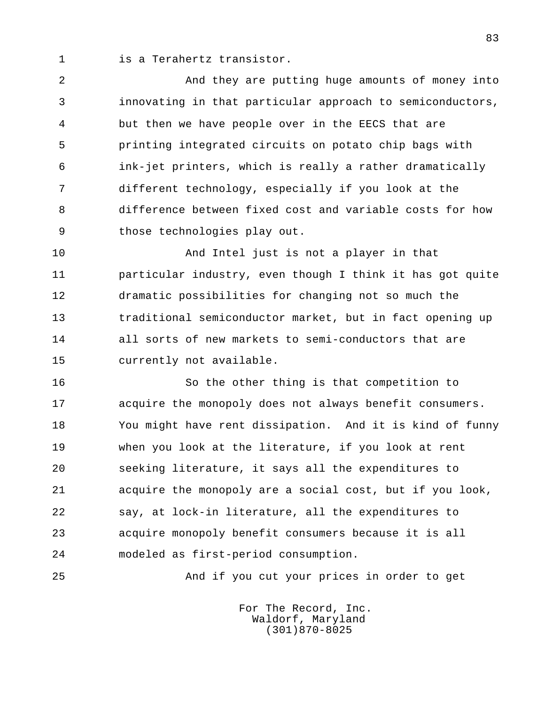1 is a Terahertz transistor.

 2 And they are putting huge amounts of money into 3 innovating in that particular approach to semiconductors, 4 but then we have people over in the EECS that are 5 printing integrated circuits on potato chip bags with 6 ink-jet printers, which is really a rather dramatically 7 different technology, especially if you look at the 8 difference between fixed cost and variable costs for how 9 those technologies play out.

 10 And Intel just is not a player in that 11 particular industry, even though I think it has got quite 12 dramatic possibilities for changing not so much the 13 traditional semiconductor market, but in fact opening up 14 all sorts of new markets to semi-conductors that are 15 currently not available.

 16 So the other thing is that competition to 17 acquire the monopoly does not always benefit consumers. 18 You might have rent dissipation. And it is kind of funny 19 when you look at the literature, if you look at rent 20 seeking literature, it says all the expenditures to 21 acquire the monopoly are a social cost, but if you look, 22 say, at lock-in literature, all the expenditures to 23 acquire monopoly benefit consumers because it is all 24 modeled as first-period consumption.

25 And if you cut your prices in order to get

 For The Record, Inc. Waldorf, Maryland (301)870-8025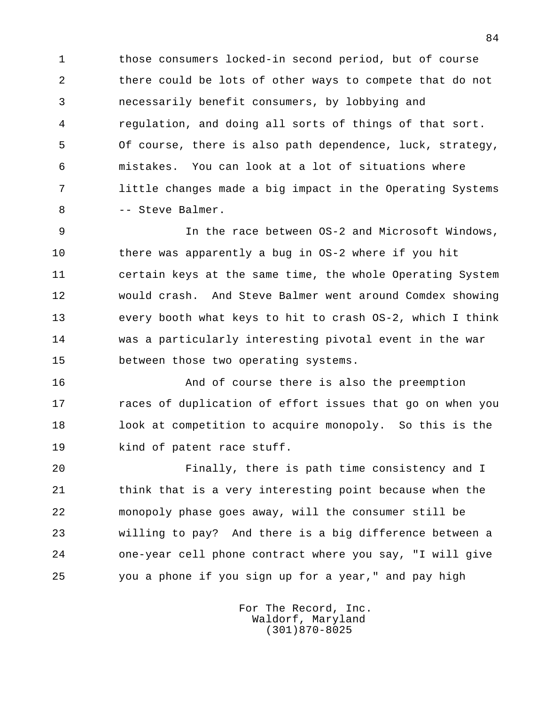1 those consumers locked-in second period, but of course 2 there could be lots of other ways to compete that do not 3 necessarily benefit consumers, by lobbying and 4 regulation, and doing all sorts of things of that sort. 5 Of course, there is also path dependence, luck, strategy, 6 mistakes. You can look at a lot of situations where 7 little changes made a big impact in the Operating Systems 8 -- Steve Balmer.

 9 In the race between OS-2 and Microsoft Windows, 10 there was apparently a bug in OS-2 where if you hit 11 certain keys at the same time, the whole Operating System 12 would crash. And Steve Balmer went around Comdex showing 13 every booth what keys to hit to crash OS-2, which I think 14 was a particularly interesting pivotal event in the war 15 between those two operating systems.

 16 And of course there is also the preemption 17 races of duplication of effort issues that go on when you 18 look at competition to acquire monopoly. So this is the 19 kind of patent race stuff.

 20 Finally, there is path time consistency and I 21 think that is a very interesting point because when the 22 monopoly phase goes away, will the consumer still be 23 willing to pay? And there is a big difference between a 24 one-year cell phone contract where you say, "I will give 25 you a phone if you sign up for a year," and pay high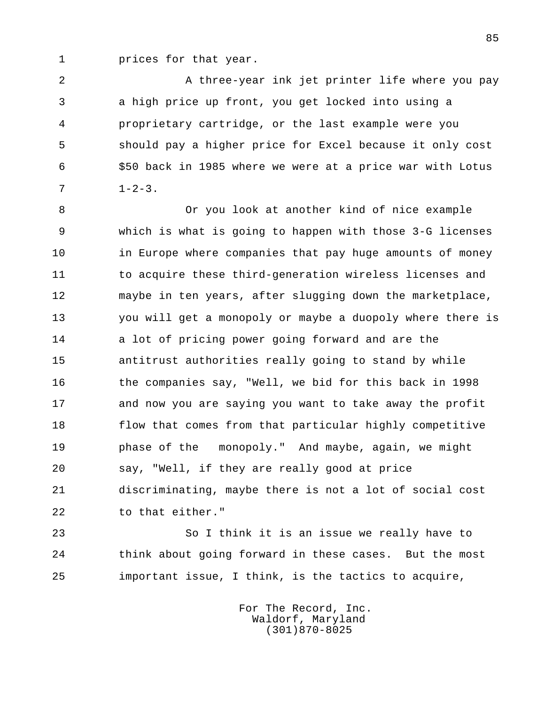1 prices for that year.

2 A three-year ink jet printer life where you pay 3 a high price up front, you get locked into using a 4 proprietary cartridge, or the last example were you 5 should pay a higher price for Excel because it only cost 6 \$50 back in 1985 where we were at a price war with Lotus  $7 \t 1-2-3.$ 

 8 Or you look at another kind of nice example 9 which is what is going to happen with those 3-G licenses 10 in Europe where companies that pay huge amounts of money 11 to acquire these third-generation wireless licenses and 12 maybe in ten years, after slugging down the marketplace, 13 you will get a monopoly or maybe a duopoly where there is 14 a lot of pricing power going forward and are the 15 antitrust authorities really going to stand by while 16 the companies say, "Well, we bid for this back in 1998 17 and now you are saying you want to take away the profit 18 flow that comes from that particular highly competitive 19 phase of the monopoly." And maybe, again, we might 20 say, "Well, if they are really good at price 21 discriminating, maybe there is not a lot of social cost 22 to that either."

 23 So I think it is an issue we really have to 24 think about going forward in these cases. But the most 25 important issue, I think, is the tactics to acquire,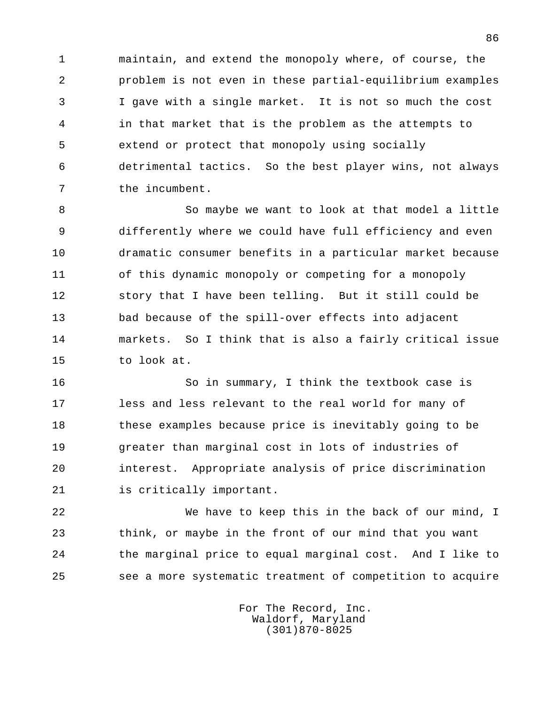1 maintain, and extend the monopoly where, of course, the 2 problem is not even in these partial-equilibrium examples 3 I gave with a single market. It is not so much the cost 4 in that market that is the problem as the attempts to 5 extend or protect that monopoly using socially 6 detrimental tactics. So the best player wins, not always 7 the incumbent.

8 So maybe we want to look at that model a little 9 differently where we could have full efficiency and even 10 dramatic consumer benefits in a particular market because 11 of this dynamic monopoly or competing for a monopoly 12 story that I have been telling. But it still could be 13 bad because of the spill-over effects into adjacent 14 markets. So I think that is also a fairly critical issue 15 to look at.

 16 So in summary, I think the textbook case is 17 less and less relevant to the real world for many of 18 these examples because price is inevitably going to be 19 greater than marginal cost in lots of industries of 20 interest. Appropriate analysis of price discrimination 21 is critically important.

 22 We have to keep this in the back of our mind, I 23 think, or maybe in the front of our mind that you want 24 the marginal price to equal marginal cost. And I like to 25 see a more systematic treatment of competition to acquire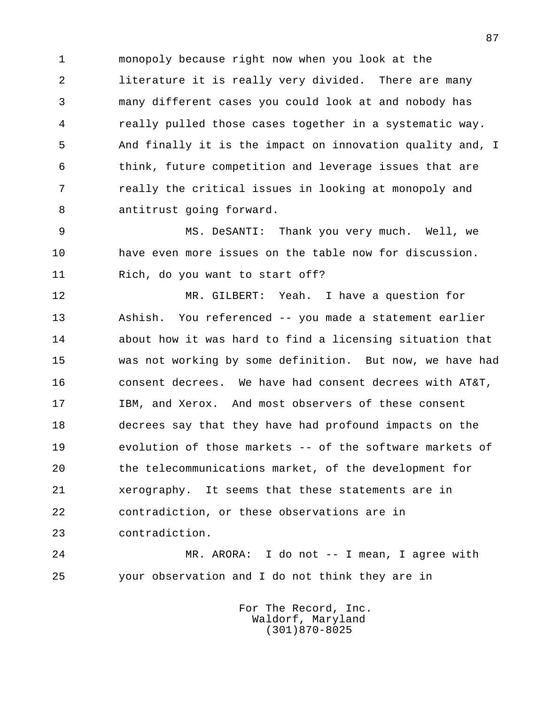1 monopoly because right now when you look at the 2 literature it is really very divided. There are many 3 many different cases you could look at and nobody has 4 really pulled those cases together in a systematic way. 5 And finally it is the impact on innovation quality and, I 6 think, future competition and leverage issues that are 7 really the critical issues in looking at monopoly and 8 antitrust going forward.

 9 MS. DeSANTI: Thank you very much. Well, we 10 have even more issues on the table now for discussion. 11 Rich, do you want to start off?

 12 MR. GILBERT: Yeah. I have a question for 13 Ashish. You referenced -- you made a statement earlier 14 about how it was hard to find a licensing situation that 15 was not working by some definition. But now, we have had 16 consent decrees. We have had consent decrees with AT&T, 17 IBM, and Xerox. And most observers of these consent 18 decrees say that they have had profound impacts on the 19 evolution of those markets -- of the software markets of 20 the telecommunications market, of the development for 21 xerography. It seems that these statements are in 22 contradiction, or these observations are in 23 contradiction.

 24 MR. ARORA: I do not -- I mean, I agree with 25 your observation and I do not think they are in

> For The Record, Inc. Waldorf, Maryland (301)870-8025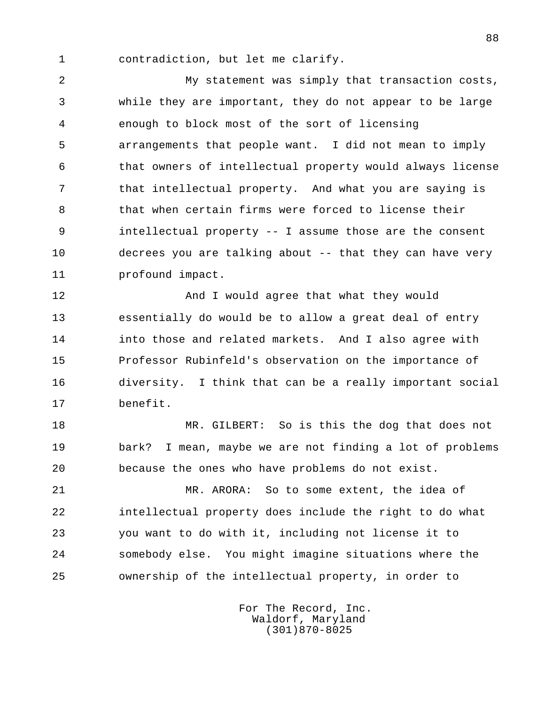1 contradiction, but let me clarify.

 2 My statement was simply that transaction costs, 3 while they are important, they do not appear to be large 4 enough to block most of the sort of licensing 5 arrangements that people want. I did not mean to imply 6 that owners of intellectual property would always license 7 that intellectual property. And what you are saying is 8 that when certain firms were forced to license their 9 intellectual property -- I assume those are the consent 10 decrees you are talking about -- that they can have very 11 profound impact.

 12 And I would agree that what they would 13 essentially do would be to allow a great deal of entry 14 into those and related markets. And I also agree with 15 Professor Rubinfeld's observation on the importance of 16 diversity. I think that can be a really important social 17 benefit.

18 MR. GILBERT: So is this the dog that does not 19 bark? I mean, maybe we are not finding a lot of problems 20 because the ones who have problems do not exist.

 21 MR. ARORA: So to some extent, the idea of 22 intellectual property does include the right to do what 23 you want to do with it, including not license it to 24 somebody else. You might imagine situations where the 25 ownership of the intellectual property, in order to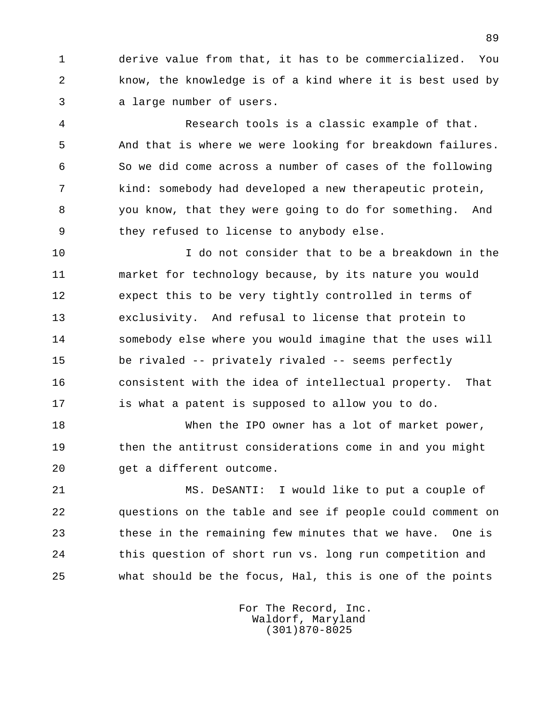1 derive value from that, it has to be commercialized. You 2 know, the knowledge is of a kind where it is best used by 3 a large number of users.

 4 Research tools is a classic example of that. 5 And that is where we were looking for breakdown failures. 6 So we did come across a number of cases of the following 7 kind: somebody had developed a new therapeutic protein, 8 you know, that they were going to do for something. And 9 they refused to license to anybody else.

 10 I do not consider that to be a breakdown in the 11 market for technology because, by its nature you would 12 expect this to be very tightly controlled in terms of 13 exclusivity. And refusal to license that protein to 14 somebody else where you would imagine that the uses will 15 be rivaled -- privately rivaled -- seems perfectly 16 consistent with the idea of intellectual property. That 17 is what a patent is supposed to allow you to do.

 18 When the IPO owner has a lot of market power, 19 then the antitrust considerations come in and you might 20 get a different outcome.

 21 MS. DeSANTI: I would like to put a couple of 22 questions on the table and see if people could comment on 23 these in the remaining few minutes that we have. One is 24 this question of short run vs. long run competition and 25 what should be the focus, Hal, this is one of the points

> For The Record, Inc. Waldorf, Maryland (301)870-8025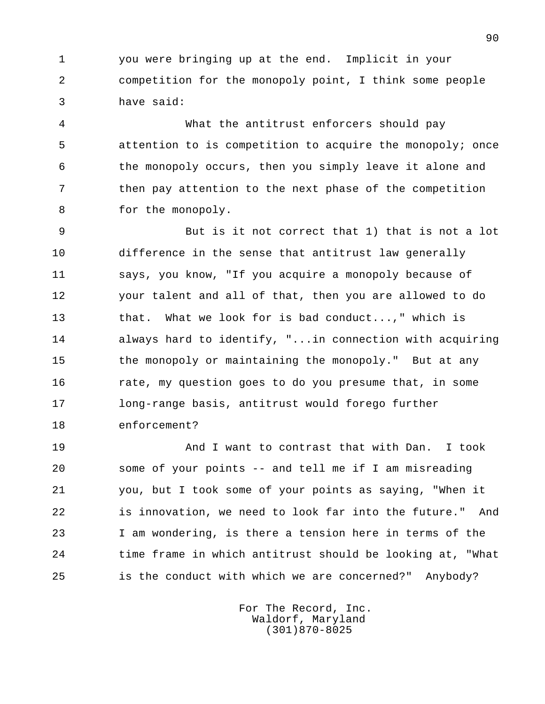1 you were bringing up at the end. Implicit in your 2 competition for the monopoly point, I think some people 3 have said:

 4 What the antitrust enforcers should pay 5 attention to is competition to acquire the monopoly; once 6 the monopoly occurs, then you simply leave it alone and 7 then pay attention to the next phase of the competition 8 for the monopoly.

 9 But is it not correct that 1) that is not a lot 10 difference in the sense that antitrust law generally 11 says, you know, "If you acquire a monopoly because of 12 your talent and all of that, then you are allowed to do 13 that. What we look for is bad conduct...," which is 14 always hard to identify, "...in connection with acquiring 15 the monopoly or maintaining the monopoly." But at any 16 rate, my question goes to do you presume that, in some 17 long-range basis, antitrust would forego further 18 enforcement?

 19 And I want to contrast that with Dan. I took 20 some of your points -- and tell me if I am misreading 21 you, but I took some of your points as saying, "When it 22 is innovation, we need to look far into the future." And 23 I am wondering, is there a tension here in terms of the 24 time frame in which antitrust should be looking at, "What 25 is the conduct with which we are concerned?" Anybody?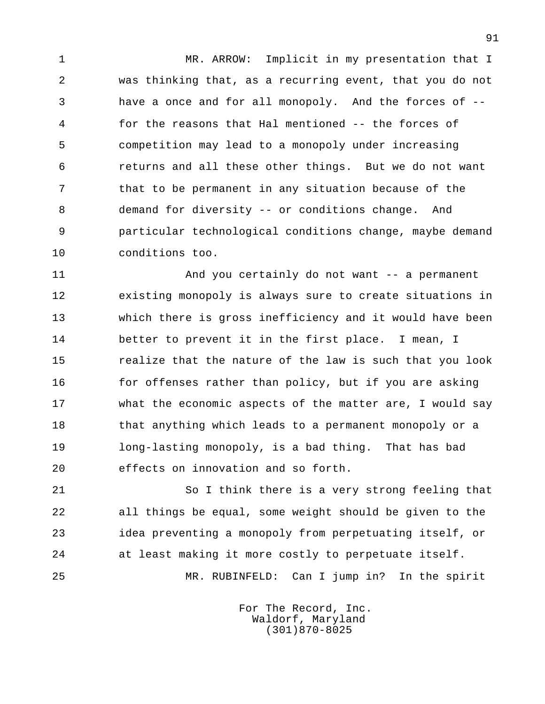1 MR. ARROW: Implicit in my presentation that I 2 was thinking that, as a recurring event, that you do not 3 have a once and for all monopoly. And the forces of -- 4 for the reasons that Hal mentioned -- the forces of 5 competition may lead to a monopoly under increasing 6 returns and all these other things. But we do not want 7 that to be permanent in any situation because of the 8 demand for diversity -- or conditions change. And 9 particular technological conditions change, maybe demand 10 conditions too.

 11 And you certainly do not want -- a permanent 12 existing monopoly is always sure to create situations in 13 which there is gross inefficiency and it would have been 14 better to prevent it in the first place. I mean, I 15 realize that the nature of the law is such that you look 16 for offenses rather than policy, but if you are asking 17 what the economic aspects of the matter are, I would say 18 that anything which leads to a permanent monopoly or a 19 long-lasting monopoly, is a bad thing. That has bad 20 effects on innovation and so forth.

 21 So I think there is a very strong feeling that 22 all things be equal, some weight should be given to the 23 idea preventing a monopoly from perpetuating itself, or 24 at least making it more costly to perpetuate itself. 25 MR. RUBINFELD: Can I jump in? In the spirit

> For The Record, Inc. Waldorf, Maryland (301)870-8025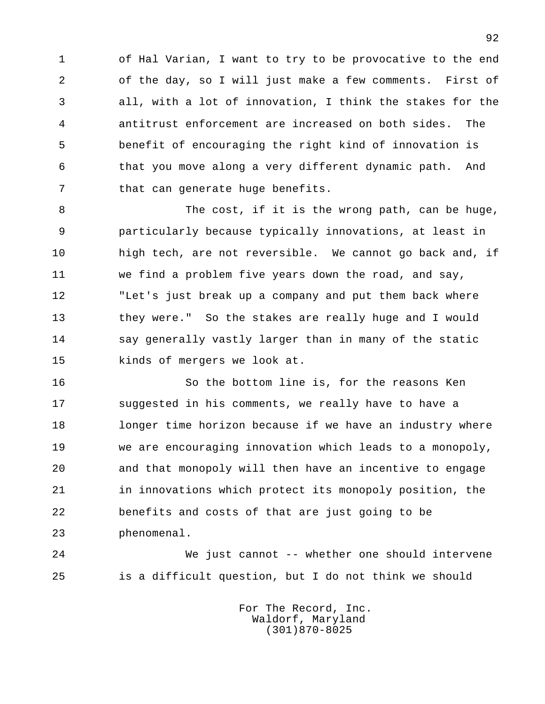1 of Hal Varian, I want to try to be provocative to the end 2 of the day, so I will just make a few comments. First of 3 all, with a lot of innovation, I think the stakes for the 4 antitrust enforcement are increased on both sides. The 5 benefit of encouraging the right kind of innovation is 6 that you move along a very different dynamic path. And 7 that can generate huge benefits.

8 The cost, if it is the wrong path, can be huge, 9 particularly because typically innovations, at least in 10 high tech, are not reversible. We cannot go back and, if 11 we find a problem five years down the road, and say, 12 "Let's just break up a company and put them back where 13 they were." So the stakes are really huge and I would 14 say generally vastly larger than in many of the static 15 kinds of mergers we look at.

 16 So the bottom line is, for the reasons Ken 17 suggested in his comments, we really have to have a 18 longer time horizon because if we have an industry where 19 we are encouraging innovation which leads to a monopoly, 20 and that monopoly will then have an incentive to engage 21 in innovations which protect its monopoly position, the 22 benefits and costs of that are just going to be 23 phenomenal.

 24 We just cannot -- whether one should intervene 25 is a difficult question, but I do not think we should

> For The Record, Inc. Waldorf, Maryland (301)870-8025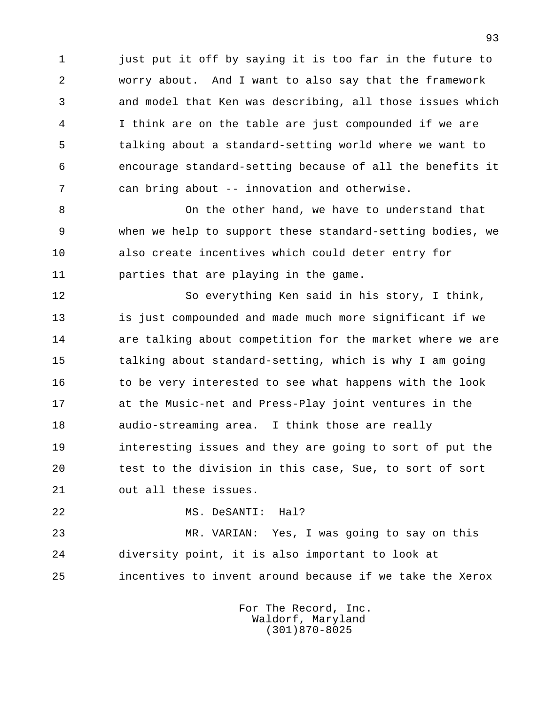1 just put it off by saying it is too far in the future to 2 worry about. And I want to also say that the framework 3 and model that Ken was describing, all those issues which 4 I think are on the table are just compounded if we are 5 talking about a standard-setting world where we want to 6 encourage standard-setting because of all the benefits it 7 can bring about -- innovation and otherwise.

 8 On the other hand, we have to understand that 9 when we help to support these standard-setting bodies, we 10 also create incentives which could deter entry for 11 parties that are playing in the game.

 12 So everything Ken said in his story, I think, 13 is just compounded and made much more significant if we 14 are talking about competition for the market where we are 15 talking about standard-setting, which is why I am going 16 to be very interested to see what happens with the look 17 at the Music-net and Press-Play joint ventures in the 18 audio-streaming area. I think those are really 19 interesting issues and they are going to sort of put the 20 test to the division in this case, Sue, to sort of sort 21 out all these issues.

22 MS. DeSANTI: Hal?

 23 MR. VARIAN: Yes, I was going to say on this 24 diversity point, it is also important to look at 25 incentives to invent around because if we take the Xerox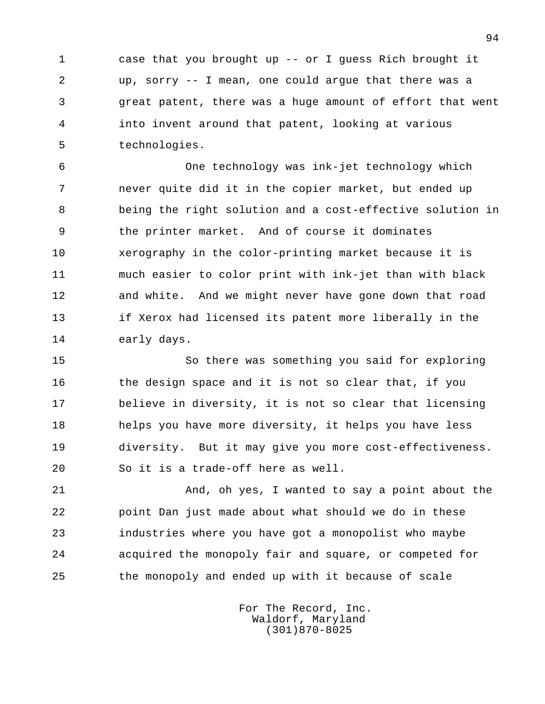1 case that you brought up -- or I guess Rich brought it 2 up, sorry -- I mean, one could argue that there was a 3 great patent, there was a huge amount of effort that went 4 into invent around that patent, looking at various 5 technologies.

 6 One technology was ink-jet technology which 7 never quite did it in the copier market, but ended up 8 being the right solution and a cost-effective solution in 9 the printer market. And of course it dominates 10 xerography in the color-printing market because it is 11 much easier to color print with ink-jet than with black 12 and white. And we might never have gone down that road 13 if Xerox had licensed its patent more liberally in the 14 early days.

 15 So there was something you said for exploring 16 the design space and it is not so clear that, if you 17 believe in diversity, it is not so clear that licensing 18 helps you have more diversity, it helps you have less 19 diversity. But it may give you more cost-effectiveness. 20 So it is a trade-off here as well.

21 And, oh yes, I wanted to say a point about the 22 point Dan just made about what should we do in these 23 industries where you have got a monopolist who maybe 24 acquired the monopoly fair and square, or competed for 25 the monopoly and ended up with it because of scale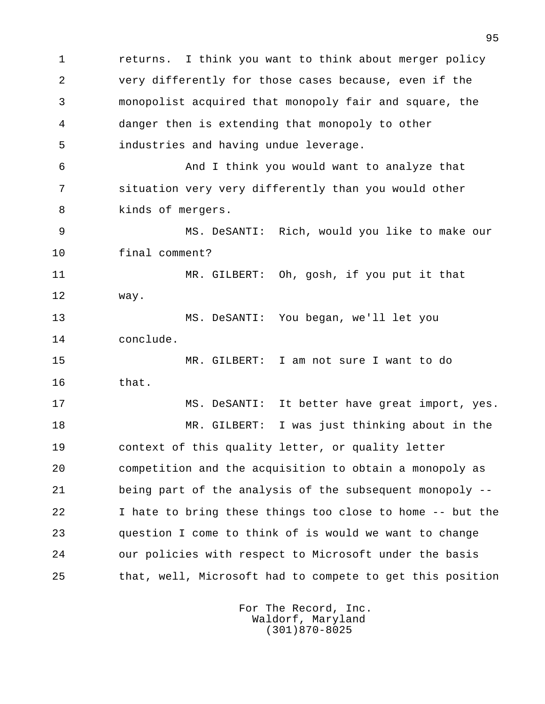1 returns. I think you want to think about merger policy 2 very differently for those cases because, even if the 3 monopolist acquired that monopoly fair and square, the 4 danger then is extending that monopoly to other 5 industries and having undue leverage. 6 And I think you would want to analyze that 7 situation very very differently than you would other 8 kinds of mergers. 9 MS. DeSANTI: Rich, would you like to make our 10 final comment? 11 MR. GILBERT: Oh, gosh, if you put it that 12 way. 13 MS. DeSANTI: You began, we'll let you 14 conclude. 15 MR. GILBERT: I am not sure I want to do 16 that. 17 MS. DeSANTI: It better have great import, yes. 18 MR. GILBERT: I was just thinking about in the 19 context of this quality letter, or quality letter 20 competition and the acquisition to obtain a monopoly as 21 being part of the analysis of the subsequent monopoly -- 22 I hate to bring these things too close to home -- but the 23 question I come to think of is would we want to change 24 our policies with respect to Microsoft under the basis 25 that, well, Microsoft had to compete to get this position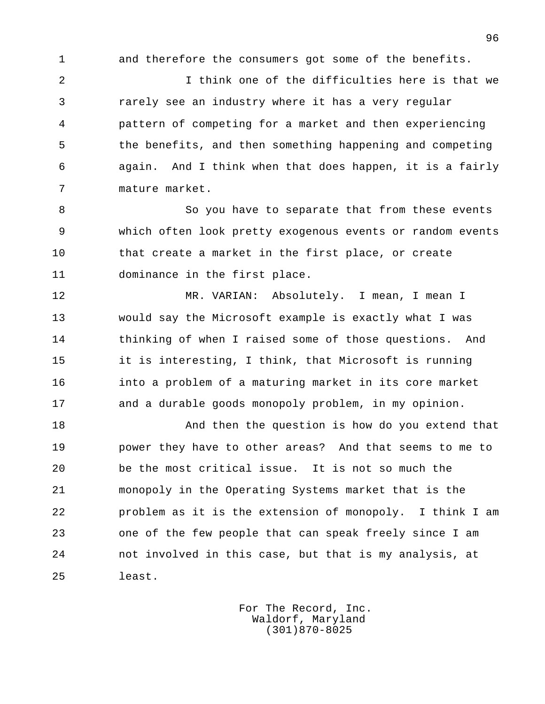1 and therefore the consumers got some of the benefits.

 2 I think one of the difficulties here is that we 3 rarely see an industry where it has a very regular 4 pattern of competing for a market and then experiencing 5 the benefits, and then something happening and competing 6 again. And I think when that does happen, it is a fairly 7 mature market.

8 So you have to separate that from these events 9 which often look pretty exogenous events or random events 10 that create a market in the first place, or create 11 dominance in the first place.

 12 MR. VARIAN: Absolutely. I mean, I mean I 13 would say the Microsoft example is exactly what I was 14 thinking of when I raised some of those questions. And 15 it is interesting, I think, that Microsoft is running 16 into a problem of a maturing market in its core market 17 and a durable goods monopoly problem, in my opinion.

 18 And then the question is how do you extend that 19 power they have to other areas? And that seems to me to 20 be the most critical issue. It is not so much the 21 monopoly in the Operating Systems market that is the 22 problem as it is the extension of monopoly. I think I am 23 one of the few people that can speak freely since I am 24 not involved in this case, but that is my analysis, at 25 least.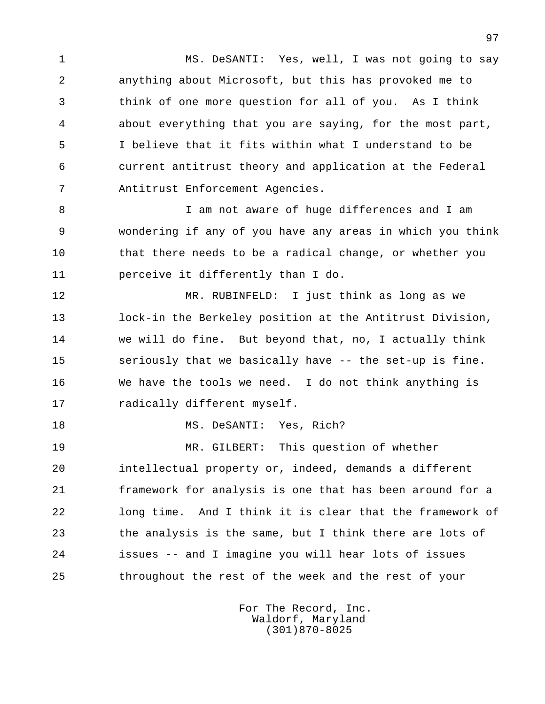1 MS. DeSANTI: Yes, well, I was not going to say 2 anything about Microsoft, but this has provoked me to 3 think of one more question for all of you. As I think 4 about everything that you are saying, for the most part, 5 I believe that it fits within what I understand to be 6 current antitrust theory and application at the Federal 7 Antitrust Enforcement Agencies.

 8 I am not aware of huge differences and I am 9 wondering if any of you have any areas in which you think 10 that there needs to be a radical change, or whether you 11 perceive it differently than I do.

 12 MR. RUBINFELD: I just think as long as we 13 lock-in the Berkeley position at the Antitrust Division, 14 we will do fine. But beyond that, no, I actually think 15 seriously that we basically have -- the set-up is fine. 16 We have the tools we need. I do not think anything is 17 radically different myself.

18 MS. DeSANTI: Yes, Rich?

 19 MR. GILBERT: This question of whether 20 intellectual property or, indeed, demands a different 21 framework for analysis is one that has been around for a 22 long time. And I think it is clear that the framework of 23 the analysis is the same, but I think there are lots of 24 issues -- and I imagine you will hear lots of issues 25 throughout the rest of the week and the rest of your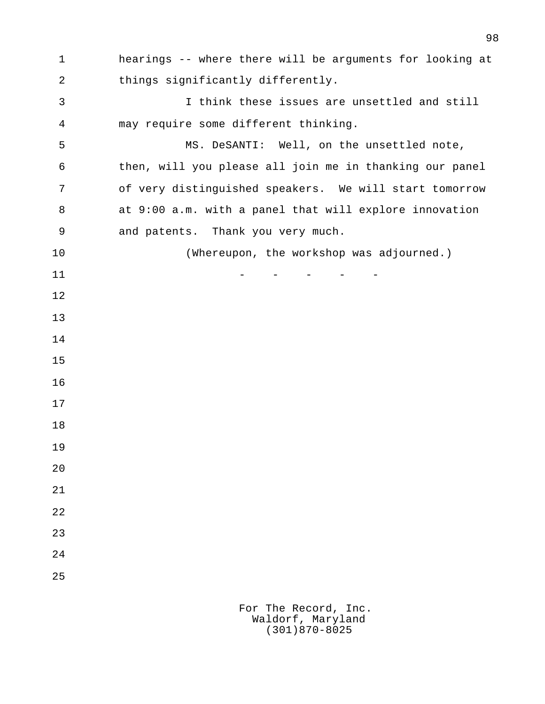1 hearings -- where there will be arguments for looking at 2 things significantly differently. 3 I think these issues are unsettled and still 4 may require some different thinking. 5 MS. DeSANTI: Well, on the unsettled note, 6 then, will you please all join me in thanking our panel 7 of very distinguished speakers. We will start tomorrow 8 at 9:00 a.m. with a panel that will explore innovation 9 and patents. Thank you very much. 10 (Whereupon, the workshop was adjourned.)  $11$  -  $-$  -  $-$  -  $-$  -  $-$  12 13 14 15 16 17 18 19 20 21 22 23 24 25